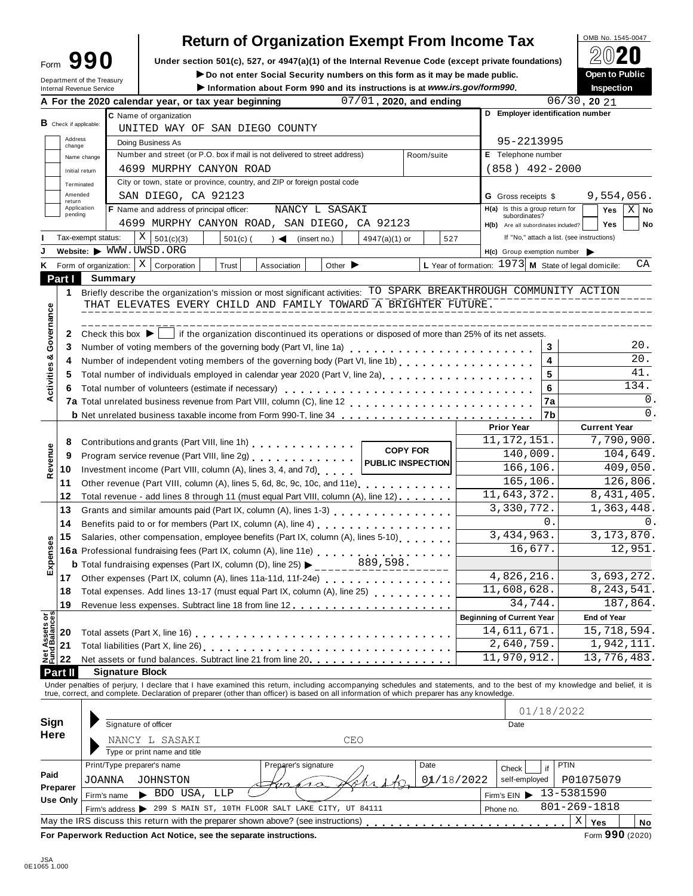| ∙orm | QQ() |
|------|------|
|      |      |

# **DEMA No. 1545-0047** Return of Organization Exempt From Income Tax  $\bigcap_{n=0}^{\infty} P_n$

Form  $\mathbf{990}$  Under section 501(c), 527, or 4947(a)(1) of the Internal Revenue Code (except private foundations)  $\mathbb{Z} \cup \mathbb{Z}$ 

**IDED NO NOTE IN SECURITY NUMBER ON this form as it may be made public.** Department of the Treasury **Department of the Treasury** 

| Internal Revenue Service                     | Department of the Treasury     |                                                                                                 |                                                                                                                                                                                                                                   |                          |                      |                                | ► Do not enter Social Security numbers on this form as it may be made public. |                 | Information about Form 990 and its instructions is at www.irs.gov/form990. |                    |                                     |                                            |                            | Open to Public<br>Inspection |                |  |
|----------------------------------------------|--------------------------------|-------------------------------------------------------------------------------------------------|-----------------------------------------------------------------------------------------------------------------------------------------------------------------------------------------------------------------------------------|--------------------------|----------------------|--------------------------------|-------------------------------------------------------------------------------|-----------------|----------------------------------------------------------------------------|--------------------|-------------------------------------|--------------------------------------------|----------------------------|------------------------------|----------------|--|
|                                              |                                |                                                                                                 | A For the 2020 calendar year, or tax year beginning                                                                                                                                                                               |                          |                      |                                | 07/01, 2020, and ending                                                       |                 |                                                                            |                    |                                     |                                            | $06/30$ , 20 $21$          |                              |                |  |
|                                              |                                |                                                                                                 | C Name of organization                                                                                                                                                                                                            |                          |                      |                                |                                                                               |                 |                                                                            |                    | D Employer identification number    |                                            |                            |                              |                |  |
| $B$ Check if applicable:                     |                                |                                                                                                 | UNITED WAY OF SAN DIEGO COUNTY                                                                                                                                                                                                    |                          |                      |                                |                                                                               |                 |                                                                            |                    |                                     |                                            |                            |                              |                |  |
| Address<br>change                            |                                | Doing Business As                                                                               |                                                                                                                                                                                                                                   |                          |                      |                                |                                                                               |                 |                                                                            |                    |                                     | 95-2213995                                 |                            |                              |                |  |
|                                              | Name change                    |                                                                                                 | Number and street (or P.O. box if mail is not delivered to street address)                                                                                                                                                        |                          |                      |                                |                                                                               |                 | Room/suite                                                                 | E Telephone number |                                     |                                            |                            |                              |                |  |
|                                              | Initial return                 |                                                                                                 | 4699 MURPHY CANYON ROAD                                                                                                                                                                                                           |                          |                      |                                |                                                                               |                 |                                                                            |                    | $(858)$ 492-2000                    |                                            |                            |                              |                |  |
|                                              | Terminated                     |                                                                                                 | City or town, state or province, country, and ZIP or foreign postal code                                                                                                                                                          |                          |                      |                                |                                                                               |                 |                                                                            |                    |                                     |                                            |                            |                              |                |  |
| Amended                                      |                                |                                                                                                 | SAN DIEGO, CA 92123                                                                                                                                                                                                               |                          |                      |                                |                                                                               |                 |                                                                            |                    | <b>G</b> Gross receipts \$          |                                            |                            | 9,554,056.                   |                |  |
| return                                       | Application                    |                                                                                                 | F Name and address of principal officer:                                                                                                                                                                                          |                          |                      | NANCY L SASAKI                 |                                                                               |                 |                                                                            |                    | $H(a)$ Is this a group return for   |                                            |                            | Yes                          | $X \mid$ No    |  |
| pending                                      |                                |                                                                                                 | 4699 MURPHY CANYON ROAD, SAN DIEGO, CA 92123                                                                                                                                                                                      |                          |                      |                                |                                                                               |                 |                                                                            |                    | subordinates?                       |                                            |                            | <b>Yes</b>                   | No             |  |
|                                              | Tax-exempt status:             |                                                                                                 | X                                                                                                                                                                                                                                 |                          |                      |                                |                                                                               |                 |                                                                            |                    | H(b) Are all subordinates included? | If "No," attach a list. (see instructions) |                            |                              |                |  |
|                                              |                                |                                                                                                 | 501(c)(3)<br>Website: WWW.UWSD.ORG                                                                                                                                                                                                | $501(c)$ (               |                      | $) \triangleleft$ (insert no.) | 4947(a)(1) or                                                                 |                 | 527                                                                        |                    |                                     |                                            |                            |                              |                |  |
|                                              |                                |                                                                                                 |                                                                                                                                                                                                                                   |                          |                      |                                |                                                                               |                 |                                                                            |                    | H(c) Group exemption number         |                                            |                            |                              |                |  |
|                                              | K Form of organization:        |                                                                                                 | $X \vert$ Corporation                                                                                                                                                                                                             | Trust                    | Association          | Other $\blacktriangleright$    |                                                                               |                 | L Year of formation: $1973$ M State of legal domicile:                     |                    |                                     |                                            |                            |                              | СA             |  |
| Part I                                       |                                | Summary                                                                                         |                                                                                                                                                                                                                                   |                          |                      |                                |                                                                               |                 |                                                                            |                    |                                     |                                            |                            |                              |                |  |
| 1.                                           |                                |                                                                                                 | Briefly describe the organization's mission or most significant activities: TO SPARK BREAKTHROUGH COMMUNITY ACTION                                                                                                                |                          |                      |                                |                                                                               |                 |                                                                            |                    |                                     |                                            |                            |                              |                |  |
| Governance                                   |                                |                                                                                                 | THAT ELEVATES EVERY CHILD AND FAMILY TOWARD A BRIGHTER FUTURE.                                                                                                                                                                    |                          |                      |                                |                                                                               |                 |                                                                            |                    |                                     |                                            |                            |                              |                |  |
|                                              |                                |                                                                                                 |                                                                                                                                                                                                                                   |                          |                      |                                |                                                                               |                 |                                                                            |                    |                                     |                                            |                            |                              |                |  |
| 2                                            |                                |                                                                                                 | Check this box $\blacktriangleright$   if the organization discontinued its operations or disposed of more than 25% of its net assets.                                                                                            |                          |                      |                                |                                                                               |                 |                                                                            |                    |                                     |                                            |                            |                              |                |  |
| 3                                            |                                |                                                                                                 | Number of voting members of the governing body (Part VI, line 1a)                                                                                                                                                                 |                          |                      |                                |                                                                               |                 |                                                                            |                    |                                     | 3                                          |                            |                              | 20.            |  |
| 4                                            |                                |                                                                                                 |                                                                                                                                                                                                                                   |                          |                      |                                |                                                                               |                 |                                                                            |                    |                                     | $\overline{\mathbf{4}}$                    |                            |                              | 20.            |  |
| 5                                            |                                |                                                                                                 | Total number of individuals employed in calendar year 2020 (Part V, line 2a)<br>The 2a)                                                                                                                                           |                          |                      |                                |                                                                               |                 |                                                                            |                    |                                     | 5                                          |                            |                              | 41.            |  |
| Activities &<br>6                            |                                |                                                                                                 | Total number of volunteers (estimate if necessary)                                                                                                                                                                                |                          |                      |                                |                                                                               |                 |                                                                            |                    |                                     | 6                                          |                            |                              | 134.           |  |
|                                              |                                |                                                                                                 |                                                                                                                                                                                                                                   |                          |                      |                                |                                                                               |                 |                                                                            |                    |                                     | 7a                                         |                            |                              | 0.             |  |
|                                              |                                |                                                                                                 | <b>b</b> Net unrelated business taxable income from Form 990-T, line 34                                                                                                                                                           |                          |                      |                                |                                                                               |                 |                                                                            |                    |                                     | 7b                                         |                            |                              | $\mathbf{0}$ . |  |
|                                              |                                |                                                                                                 |                                                                                                                                                                                                                                   |                          |                      |                                |                                                                               |                 |                                                                            |                    | <b>Prior Year</b>                   |                                            |                            | <b>Current Year</b>          |                |  |
| 8                                            |                                | Contributions and grants (Part VIII, line 1h)                                                   |                                                                                                                                                                                                                                   |                          |                      |                                |                                                                               |                 |                                                                            |                    | 11, 172, 151.                       |                                            |                            | 7,790,900.                   |                |  |
| Revenue<br>9                                 |                                |                                                                                                 | Program service revenue (Part VIII, line 2g)                                                                                                                                                                                      |                          |                      |                                |                                                                               | <b>COPY FOR</b> |                                                                            |                    | 140,009.                            |                                            | 104,649.                   |                              |                |  |
| 10                                           |                                | Investment income (Part VIII, column (A), lines 3, 4, and 7d)                                   |                                                                                                                                                                                                                                   | <b>PUBLIC INSPECTION</b> |                      |                                |                                                                               | 166,106.        |                                                                            | 409,050.           |                                     |                                            |                            |                              |                |  |
| 11                                           |                                | Other revenue (Part VIII, column (A), lines 5, 6d, 8c, 9c, 10c, and 11e)                        |                                                                                                                                                                                                                                   |                          |                      |                                |                                                                               |                 |                                                                            |                    |                                     | 165,106.                                   | 126,806.                   |                              |                |  |
| 12                                           |                                |                                                                                                 | Total revenue - add lines 8 through 11 (must equal Part VIII, column (A), line 12)                                                                                                                                                |                          |                      |                                |                                                                               |                 |                                                                            |                    | 11,643,372.                         |                                            |                            | 8,431,405.                   |                |  |
| 13                                           |                                |                                                                                                 |                                                                                                                                                                                                                                   |                          |                      |                                |                                                                               |                 |                                                                            |                    | 3,330,772.                          |                                            |                            | 1,363,448.                   |                |  |
| 14                                           |                                | Benefits paid to or for members (Part IX, column (A), line 4)                                   |                                                                                                                                                                                                                                   |                          |                      |                                |                                                                               |                 |                                                                            |                    |                                     | 0.                                         | 0.                         |                              |                |  |
| 15                                           |                                | 3,434,963.<br>Salaries, other compensation, employee benefits (Part IX, column (A), lines 5-10) |                                                                                                                                                                                                                                   |                          |                      |                                |                                                                               |                 |                                                                            |                    |                                     | 3, 173, 870.                               |                            |                              |                |  |
| Expenses                                     |                                |                                                                                                 |                                                                                                                                                                                                                                   |                          |                      | 16,677.                        |                                                                               | 12,951.         |                                                                            |                    |                                     |                                            |                            |                              |                |  |
|                                              |                                |                                                                                                 | 16a Professional fundraising fees (Part IX, column (A), line 11e)<br>16a Professional fundraising fees (Part IX, column (A), line 11e)                                                                                            |                          |                      |                                | 889,598.                                                                      |                 |                                                                            |                    |                                     |                                            |                            |                              |                |  |
|                                              |                                |                                                                                                 | <b>b</b> Total fundraising expenses (Part IX, column (D), line 25) $\blacktriangleright$ ____                                                                                                                                     |                          |                      |                                |                                                                               |                 |                                                                            |                    | 4,826,216.                          |                                            |                            |                              |                |  |
| 17                                           |                                |                                                                                                 | Other expenses (Part IX, column (A), lines 11a-11d, 11f-24e)                                                                                                                                                                      |                          |                      |                                |                                                                               |                 |                                                                            |                    | 11,608,628.                         |                                            | 3,693,272.<br>8, 243, 541. |                              |                |  |
| 18                                           |                                |                                                                                                 | Total expenses. Add lines 13-17 (must equal Part IX, column (A), line 25)                                                                                                                                                         |                          |                      |                                |                                                                               |                 |                                                                            |                    | 34,744.                             |                                            |                            | 187,864.                     |                |  |
| 19                                           |                                |                                                                                                 |                                                                                                                                                                                                                                   |                          |                      |                                |                                                                               |                 |                                                                            |                    |                                     |                                            |                            |                              |                |  |
|                                              |                                |                                                                                                 |                                                                                                                                                                                                                                   |                          |                      |                                |                                                                               |                 |                                                                            |                    | <b>Beginning of Current Year</b>    |                                            |                            | <b>End of Year</b>           |                |  |
| 20                                           |                                |                                                                                                 |                                                                                                                                                                                                                                   |                          |                      |                                |                                                                               |                 |                                                                            |                    | 14,611,671.                         |                                            |                            | 15,718,594.                  |                |  |
| <b>Net Assets or<br/>Fund Balances</b><br>21 |                                |                                                                                                 |                                                                                                                                                                                                                                   |                          |                      |                                |                                                                               |                 |                                                                            |                    | 2,640,759.                          |                                            | 1,942,111.                 |                              |                |  |
| 22                                           |                                |                                                                                                 |                                                                                                                                                                                                                                   |                          |                      |                                |                                                                               |                 |                                                                            |                    | 11,970,912.                         |                                            |                            | 13,776,483.                  |                |  |
| Part II                                      |                                | <b>Signature Block</b>                                                                          |                                                                                                                                                                                                                                   |                          |                      |                                |                                                                               |                 |                                                                            |                    |                                     |                                            |                            |                              |                |  |
|                                              |                                |                                                                                                 | Under penalties of perjury, I declare that I have examined this return, including accompanying schedules and statements, and to the best of my knowledge and belief, it is<br>true, correct, and complete. Declaration of prepare |                          |                      |                                |                                                                               |                 |                                                                            |                    |                                     |                                            |                            |                              |                |  |
|                                              |                                |                                                                                                 |                                                                                                                                                                                                                                   |                          |                      |                                |                                                                               |                 |                                                                            |                    |                                     |                                            |                            |                              |                |  |
| Sign                                         |                                |                                                                                                 | Signature of officer                                                                                                                                                                                                              |                          |                      |                                |                                                                               |                 |                                                                            |                    |                                     | 01/18/2022                                 |                            |                              |                |  |
| Here                                         |                                |                                                                                                 |                                                                                                                                                                                                                                   |                          |                      |                                |                                                                               |                 |                                                                            |                    | Date                                |                                            |                            |                              |                |  |
|                                              |                                |                                                                                                 | NANCY L SASAKI                                                                                                                                                                                                                    |                          |                      |                                | CEO                                                                           |                 |                                                                            |                    |                                     |                                            |                            |                              |                |  |
|                                              |                                |                                                                                                 | Type or print name and title                                                                                                                                                                                                      |                          |                      |                                |                                                                               |                 |                                                                            |                    |                                     |                                            |                            |                              |                |  |
|                                              |                                |                                                                                                 | Print/Type preparer's name                                                                                                                                                                                                        |                          | Preparer's signature |                                |                                                                               |                 | Date                                                                       |                    | Check                               | PTIN<br>if                                 |                            |                              |                |  |
| Paid                                         | JOANNA                         |                                                                                                 | JOHNSTON                                                                                                                                                                                                                          |                          |                      | ro                             |                                                                               |                 | 01/18/2022                                                                 |                    | P01075079<br>self-employed          |                                            |                            |                              |                |  |
| Preparer<br><b>Use Only</b>                  | BDO USA,<br>LLP<br>Firm's name |                                                                                                 |                                                                                                                                                                                                                                   |                          |                      |                                |                                                                               | Firm's $EIN$    | 13-5381590                                                                 |                    |                                     |                                            |                            |                              |                |  |
|                                              |                                | Firm's address > 299 S MAIN ST, 10TH FLOOR SALT LAKE CITY, UT 84111                             |                                                                                                                                                                                                                                   |                          |                      |                                |                                                                               |                 |                                                                            |                    | $801 - 269 - 1818$<br>Phone no.     |                                            |                            |                              |                |  |
|                                              |                                |                                                                                                 |                                                                                                                                                                                                                                   |                          |                      |                                |                                                                               |                 |                                                                            |                    |                                     |                                            |                            |                              |                |  |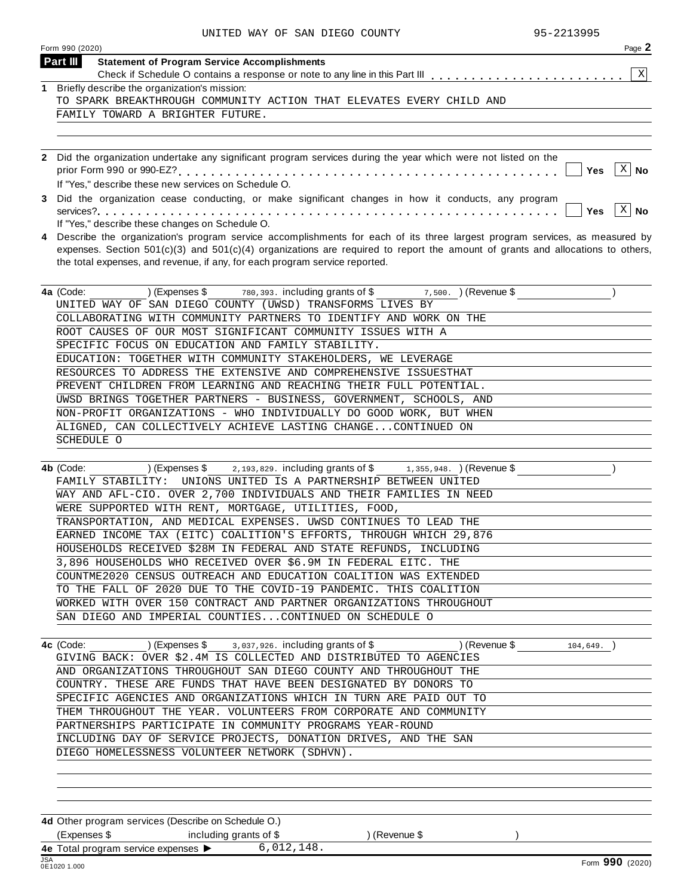| Page 2<br>Form 990 (2020)                                                                                                                                                                                                                                                                                                                         |
|---------------------------------------------------------------------------------------------------------------------------------------------------------------------------------------------------------------------------------------------------------------------------------------------------------------------------------------------------|
| Part III<br><b>Statement of Program Service Accomplishments</b>                                                                                                                                                                                                                                                                                   |
| $\,$ X                                                                                                                                                                                                                                                                                                                                            |
| 1 Briefly describe the organization's mission:                                                                                                                                                                                                                                                                                                    |
| TO SPARK BREAKTHROUGH COMMUNITY ACTION THAT ELEVATES EVERY CHILD AND                                                                                                                                                                                                                                                                              |
| FAMILY TOWARD A BRIGHTER FUTURE.                                                                                                                                                                                                                                                                                                                  |
| 2 Did the organization undertake any significant program services during the year which were not listed on the                                                                                                                                                                                                                                    |
| $X \mid No$<br><b>Yes</b>                                                                                                                                                                                                                                                                                                                         |
| If "Yes," describe these new services on Schedule O.                                                                                                                                                                                                                                                                                              |
| 3 Did the organization cease conducting, or make significant changes in how it conducts, any program<br>$X \mid No$                                                                                                                                                                                                                               |
| If "Yes," describe these changes on Schedule O.                                                                                                                                                                                                                                                                                                   |
| 4 Describe the organization's program service accomplishments for each of its three largest program services, as measured by<br>expenses. Section $501(c)(3)$ and $501(c)(4)$ organizations are required to report the amount of grants and allocations to others,<br>the total expenses, and revenue, if any, for each program service reported. |

| 4a (Code:<br>(Expenses \$ $\frac{1}{2}$ 780, 393. including grants of \$ $\frac{1}{2}$ , 500. (Revenue \$ |
|-----------------------------------------------------------------------------------------------------------|
| UNITED WAY OF SAN DIEGO COUNTY (UWSD) TRANSFORMS LIVES BY                                                 |
| COLLABORATING WITH COMMUNITY PARTNERS TO IDENTIFY AND WORK ON THE                                         |
| ROOT CAUSES OF OUR MOST SIGNIFICANT COMMUNITY ISSUES WITH A                                               |
| SPECIFIC FOCUS ON EDUCATION AND FAMILY STABILITY.                                                         |
| EDUCATION: TOGETHER WITH COMMUNITY STAKEHOLDERS, WE LEVERAGE                                              |
| RESOURCES TO ADDRESS THE EXTENSIVE AND COMPREHENSIVE ISSUESTHAT                                           |
| PREVENT CHILDREN FROM LEARNING AND REACHING THEIR FULL POTENTIAL.                                         |
| UWSD BRINGS TOGETHER PARTNERS - BUSINESS, GOVERNMENT, SCHOOLS, AND                                        |
| NON-PROFIT ORGANIZATIONS - WHO INDIVIDUALLY DO GOOD WORK, BUT WHEN                                        |
| ALIGNED, CAN COLLECTIVELY ACHIEVE LASTING CHANGECONTINUED ON                                              |
| SCHEDULE O                                                                                                |
|                                                                                                           |

| 4b (Code: | (Expenses \$ 2,193,829. including grants of \$ 1,355,948. ) (Revenue \$ |  |  |
|-----------|-------------------------------------------------------------------------|--|--|
|           | FAMILY STABILITY: UNIONS UNITED IS A PARTNERSHIP BETWEEN UNITED         |  |  |
|           | WAY AND AFL-CIO. OVER 2,700 INDIVIDUALS AND THEIR FAMILIES IN NEED      |  |  |
|           | WERE SUPPORTED WITH RENT, MORTGAGE, UTILITIES, FOOD,                    |  |  |
|           | TRANSPORTATION, AND MEDICAL EXPENSES. UWSD CONTINUES TO LEAD THE        |  |  |
|           | EARNED INCOME TAX (EITC) COALITION'S EFFORTS, THROUGH WHICH 29,876      |  |  |
|           | HOUSEHOLDS RECEIVED \$28M IN FEDERAL AND STATE REFUNDS, INCLUDING       |  |  |
|           | 3,896 HOUSEHOLDS WHO RECEIVED OVER \$6.9M IN FEDERAL EITC. THE          |  |  |
|           | COUNTME2020 CENSUS OUTREACH AND EDUCATION COALITION WAS EXTENDED        |  |  |
|           | TO THE FALL OF 2020 DUE TO THE COVID-19 PANDEMIC. THIS COALITION        |  |  |
|           | WORKED WITH OVER 150 CONTRACT AND PARTNER ORGANIZATIONS THROUGHOUT      |  |  |
|           | SAN DIEGO AND IMPERIAL COUNTIESCONTINUED ON SCHEDULE O                  |  |  |

| 4c (Code:                                                         |  | $(Express $ 3,037,926. including grants of $ 1000]$               | ) (Revenue \$ | 104,649. |  |  |  |  |  |
|-------------------------------------------------------------------|--|-------------------------------------------------------------------|---------------|----------|--|--|--|--|--|
| GIVING BACK: OVER \$2.4M IS COLLECTED AND DISTRIBUTED TO AGENCIES |  |                                                                   |               |          |  |  |  |  |  |
| AND ORGANIZATIONS THROUGHOUT SAN DIEGO COUNTY AND THROUGHOUT THE  |  |                                                                   |               |          |  |  |  |  |  |
|                                                                   |  | COUNTRY. THESE ARE FUNDS THAT HAVE BEEN DESIGNATED BY DONORS TO   |               |          |  |  |  |  |  |
|                                                                   |  | SPECIFIC AGENCIES AND ORGANIZATIONS WHICH IN TURN ARE PAID OUT TO |               |          |  |  |  |  |  |
|                                                                   |  | THEM THROUGHOUT THE YEAR. VOLUNTEERS FROM CORPORATE AND COMMUNITY |               |          |  |  |  |  |  |
|                                                                   |  | PARTNERSHIPS PARTICIPATE IN COMMUNITY PROGRAMS YEAR-ROUND         |               |          |  |  |  |  |  |
|                                                                   |  | INCLUDING DAY OF SERVICE PROJECTS, DONATION DRIVES, AND THE SAN   |               |          |  |  |  |  |  |
|                                                                   |  | DIEGO HOMELESSNESS VOLUNTEER NETWORK (SDHVN).                     |               |          |  |  |  |  |  |

**4d** Other program services (Describe on Schedule O.) (Expenses \$ including grants of \$ ) (Revenue \$ ) **4e** Total program service expenses **Including grams**<br>**4e** Total program service expenses **I** 6,012,148.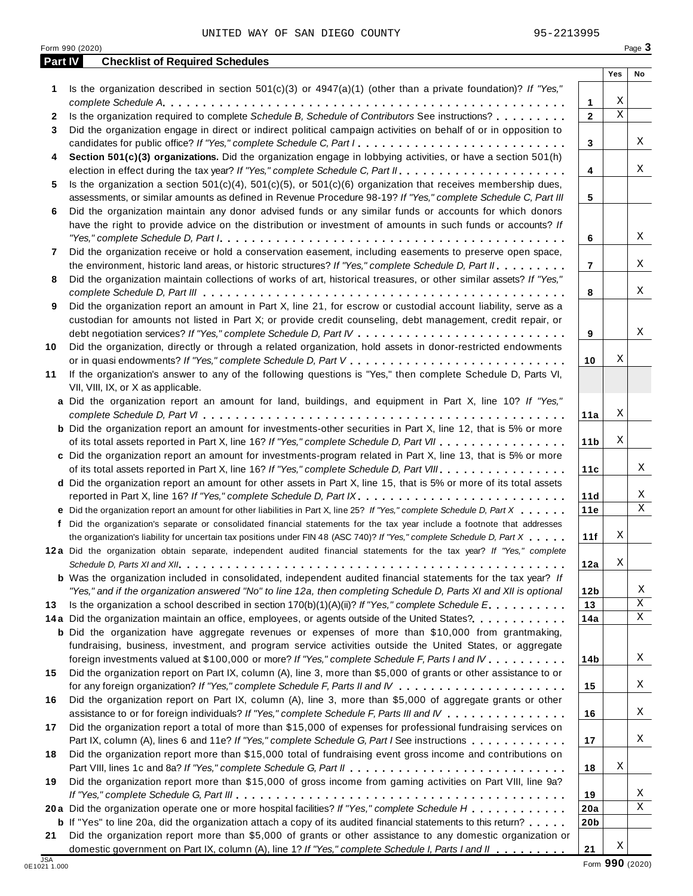**Part IV Checklist of Required Schedules**

**20b**

| 1  | Is the organization described in section $501(c)(3)$ or $4947(a)(1)$ (other than a private foundation)? If "Yes,"         |                 |   |   |
|----|---------------------------------------------------------------------------------------------------------------------------|-----------------|---|---|
|    |                                                                                                                           | 1               | Χ |   |
| 2  | Is the organization required to complete Schedule B, Schedule of Contributors See instructions?                           | $\mathbf{2}$    | Χ |   |
| 3  | Did the organization engage in direct or indirect political campaign activities on behalf of or in opposition to          |                 |   |   |
|    | candidates for public office? If "Yes," complete Schedule C, Part I.                                                      | 3               |   | X |
| 4  | Section 501(c)(3) organizations. Did the organization engage in lobbying activities, or have a section 501(h)             |                 |   |   |
|    |                                                                                                                           | 4               |   | Χ |
| 5  | Is the organization a section $501(c)(4)$ , $501(c)(5)$ , or $501(c)(6)$ organization that receives membership dues,      |                 |   |   |
|    | assessments, or similar amounts as defined in Revenue Procedure 98-19? If "Yes," complete Schedule C, Part III            | 5               |   |   |
| 6  | Did the organization maintain any donor advised funds or any similar funds or accounts for which donors                   |                 |   |   |
|    | have the right to provide advice on the distribution or investment of amounts in such funds or accounts? If               |                 |   |   |
|    |                                                                                                                           | 6               |   | Χ |
| 7  | Did the organization receive or hold a conservation easement, including easements to preserve open space,                 |                 |   |   |
|    | the environment, historic land areas, or historic structures? If "Yes," complete Schedule D, Part II.                     | $\overline{7}$  |   | Χ |
| 8  | Did the organization maintain collections of works of art, historical treasures, or other similar assets? If "Yes,"       |                 |   |   |
|    |                                                                                                                           | 8               |   | Χ |
| 9  | Did the organization report an amount in Part X, line 21, for escrow or custodial account liability, serve as a           |                 |   |   |
|    | custodian for amounts not listed in Part X; or provide credit counseling, debt management, credit repair, or              |                 |   |   |
|    |                                                                                                                           | 9               |   | Χ |
| 10 | Did the organization, directly or through a related organization, hold assets in donor-restricted endowments              |                 |   |   |
|    |                                                                                                                           | 10              | Χ |   |
|    | If the organization's answer to any of the following questions is "Yes," then complete Schedule D, Parts VI,              |                 |   |   |
| 11 | VII, VIII, IX, or X as applicable.                                                                                        |                 |   |   |
|    | a Did the organization report an amount for land, buildings, and equipment in Part X, line 10? If "Yes,"                  |                 |   |   |
|    |                                                                                                                           |                 | Χ |   |
|    |                                                                                                                           | 11a             |   |   |
|    | <b>b</b> Did the organization report an amount for investments-other securities in Part X, line 12, that is 5% or more    |                 | Χ |   |
|    | of its total assets reported in Part X, line 16? If "Yes," complete Schedule D, Part VII                                  | 11 <sub>b</sub> |   |   |
|    | c Did the organization report an amount for investments-program related in Part X, line 13, that is 5% or more            |                 |   |   |
|    | of its total assets reported in Part X, line 16? If "Yes," complete Schedule D, Part VIII                                 | 11c             |   | Χ |
|    | d Did the organization report an amount for other assets in Part X, line 15, that is 5% or more of its total assets       |                 |   |   |
|    | reported in Part X, line 16? If "Yes," complete Schedule D, Part IX.                                                      | 11d             |   | Χ |
|    | e Did the organization report an amount for other liabilities in Part X, line 25? If "Yes," complete Schedule D, Part X   | 11e             |   | Χ |
|    | f Did the organization's separate or consolidated financial statements for the tax year include a footnote that addresses |                 |   |   |
|    | the organization's liability for uncertain tax positions under FIN 48 (ASC 740)? If "Yes," complete Schedule D, Part X    | 11f             | Χ |   |
|    | 12a Did the organization obtain separate, independent audited financial statements for the tax year? If "Yes," complete   |                 |   |   |
|    |                                                                                                                           | 12a             | Χ |   |
|    | <b>b</b> Was the organization included in consolidated, independent audited financial statements for the tax year? If     |                 |   |   |
|    | "Yes," and if the organization answered "No" to line 12a, then completing Schedule D, Parts XI and XII is optional        | 12 <sub>b</sub> |   | Χ |
| 13 | Is the organization a school described in section $170(b)(1)(A)(ii)$ ? If "Yes," complete Schedule E.                     | 13              |   | X |
|    | 14a Did the organization maintain an office, employees, or agents outside of the United States?                           | 14a             |   | Χ |
|    | <b>b</b> Did the organization have aggregate revenues or expenses of more than \$10,000 from grantmaking,                 |                 |   |   |
|    | fundraising, business, investment, and program service activities outside the United States, or aggregate                 |                 |   |   |
|    | foreign investments valued at \$100,000 or more? If "Yes," complete Schedule F, Parts I and IV                            | 14b             |   | X |
| 15 | Did the organization report on Part IX, column (A), line 3, more than \$5,000 of grants or other assistance to or         |                 |   |   |
|    |                                                                                                                           | 15              |   | X |
| 16 | Did the organization report on Part IX, column (A), line 3, more than \$5,000 of aggregate grants or other                |                 |   |   |
|    | assistance to or for foreign individuals? If "Yes," complete Schedule F, Parts III and IV                                 | 16              |   | X |
| 17 | Did the organization report a total of more than \$15,000 of expenses for professional fundraising services on            |                 |   |   |
|    | Part IX, column (A), lines 6 and 11e? If "Yes," complete Schedule G, Part I See instructions                              | 17              |   | X |
| 18 | Did the organization report more than \$15,000 total of fundraising event gross income and contributions on               |                 |   |   |
|    |                                                                                                                           | 18              | Χ |   |
| 19 | Did the organization report more than \$15,000 of gross income from gaming activities on Part VIII, line 9a?              |                 |   |   |
|    |                                                                                                                           | 19              |   | X |
|    | 20a Did the organization operate one or more hospital facilities? If "Yes," complete Schedule H                           | 20a             |   | X |
|    |                                                                                                                           |                 |   |   |

**a** Did the organization operate one or more hospital facilities? If "Yes," complete Schedule H<br>**b** If "Yes" to line 20a, did the organization attach a copy of its audited financial statements to this return?<br>————————————— Did the organization report more than \$5,000 of grants or other assistance to any domestic organization or

 $\Gamma$ 

**Yes No**

**21**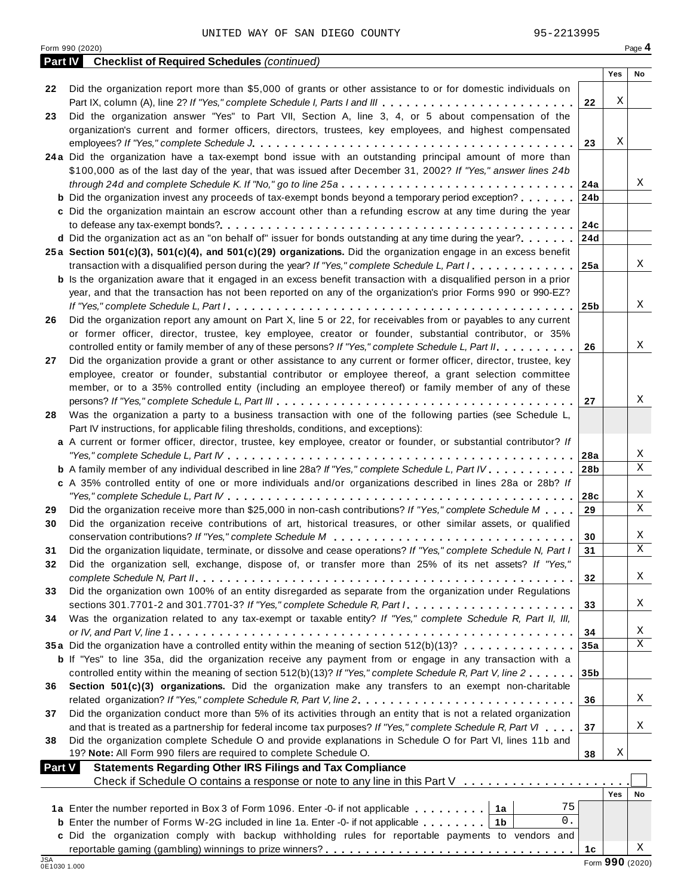|               | <b>Part IV</b> Checklist of Required Schedules (continued)                                                                                                                                                       |                 |                 |                  |
|---------------|------------------------------------------------------------------------------------------------------------------------------------------------------------------------------------------------------------------|-----------------|-----------------|------------------|
|               |                                                                                                                                                                                                                  |                 | Yes             | No               |
| 22            | Did the organization report more than \$5,000 of grants or other assistance to or for domestic individuals on<br>Part IX, column (A), line 2? If "Yes," complete Schedule I, Parts I and III                     | 22              | Χ               |                  |
| 23            | Did the organization answer "Yes" to Part VII, Section A, line 3, 4, or 5 about compensation of the                                                                                                              |                 |                 |                  |
|               | organization's current and former officers, directors, trustees, key employees, and highest compensated                                                                                                          |                 |                 |                  |
|               |                                                                                                                                                                                                                  | 23              | Χ               |                  |
|               | 24a Did the organization have a tax-exempt bond issue with an outstanding principal amount of more than                                                                                                          |                 |                 |                  |
|               | \$100,000 as of the last day of the year, that was issued after December 31, 2002? If "Yes," answer lines 24b                                                                                                    |                 |                 |                  |
|               | through 24d and complete Schedule K. If "No," go to line 25a                                                                                                                                                     | 24a             |                 | X                |
|               | <b>b</b> Did the organization invest any proceeds of tax-exempt bonds beyond a temporary period exception?                                                                                                       | 24 <sub>b</sub> |                 |                  |
|               | c Did the organization maintain an escrow account other than a refunding escrow at any time during the year                                                                                                      |                 |                 |                  |
|               |                                                                                                                                                                                                                  | 24c             |                 |                  |
|               | d Did the organization act as an "on behalf of" issuer for bonds outstanding at any time during the year?                                                                                                        | 24d             |                 |                  |
|               | 25a Section 501(c)(3), 501(c)(4), and 501(c)(29) organizations. Did the organization engage in an excess benefit                                                                                                 |                 |                 |                  |
|               | transaction with a disqualified person during the year? If "Yes," complete Schedule L, Part I.                                                                                                                   | 25a             |                 | X                |
|               | <b>b</b> Is the organization aware that it engaged in an excess benefit transaction with a disqualified person in a prior                                                                                        |                 |                 |                  |
|               | year, and that the transaction has not been reported on any of the organization's prior Forms 990 or 990-EZ?                                                                                                     |                 |                 |                  |
|               |                                                                                                                                                                                                                  | 25 <sub>b</sub> |                 | X                |
| 26            | Did the organization report any amount on Part X, line 5 or 22, for receivables from or payables to any current                                                                                                  |                 |                 |                  |
|               | or former officer, director, trustee, key employee, creator or founder, substantial contributor, or 35%<br>controlled entity or family member of any of these persons? If "Yes," complete Schedule L, Part II.   | 26              |                 | X                |
| 27            | Did the organization provide a grant or other assistance to any current or former officer, director, trustee, key                                                                                                |                 |                 |                  |
|               | employee, creator or founder, substantial contributor or employee thereof, a grant selection committee                                                                                                           |                 |                 |                  |
|               | member, or to a 35% controlled entity (including an employee thereof) or family member of any of these                                                                                                           |                 |                 |                  |
|               |                                                                                                                                                                                                                  | 27              |                 | X                |
| 28            | Was the organization a party to a business transaction with one of the following parties (see Schedule L,                                                                                                        |                 |                 |                  |
|               | Part IV instructions, for applicable filing thresholds, conditions, and exceptions):                                                                                                                             |                 |                 |                  |
|               | a A current or former officer, director, trustee, key employee, creator or founder, or substantial contributor? If                                                                                               |                 |                 |                  |
|               |                                                                                                                                                                                                                  | 28a             |                 | X                |
|               | <b>b</b> A family member of any individual described in line 28a? If "Yes," complete Schedule L, Part IV.                                                                                                        | 28 <sub>b</sub> |                 | $\overline{X}$   |
|               | c A 35% controlled entity of one or more individuals and/or organizations described in lines 28a or 28b? If                                                                                                      |                 |                 |                  |
|               |                                                                                                                                                                                                                  | 28c             |                 | Χ                |
| 29            | Did the organization receive more than \$25,000 in non-cash contributions? If "Yes," complete Schedule M                                                                                                         | 29              |                 | X                |
| 30            | Did the organization receive contributions of art, historical treasures, or other similar assets, or qualified                                                                                                   |                 |                 |                  |
|               |                                                                                                                                                                                                                  | 30              |                 | X<br>$\mathbf X$ |
| 31            | Did the organization liquidate, terminate, or dissolve and cease operations? If "Yes," complete Schedule N, Part I                                                                                               | 31              |                 |                  |
| 32            | Did the organization sell, exchange, dispose of, or transfer more than 25% of its net assets? If "Yes,"                                                                                                          |                 |                 | Χ                |
|               | Did the organization own 100% of an entity disregarded as separate from the organization under Regulations                                                                                                       | 32              |                 |                  |
| 33            | sections 301.7701-2 and 301.7701-3? If "Yes," complete Schedule R, Part /                                                                                                                                        | 33              |                 | Χ                |
| 34            | Was the organization related to any tax-exempt or taxable entity? If "Yes," complete Schedule R, Part II, III,                                                                                                   |                 |                 |                  |
|               |                                                                                                                                                                                                                  | 34              |                 | X                |
|               | 35a Did the organization have a controlled entity within the meaning of section 512(b)(13)?                                                                                                                      | 35a             |                 | $\mathbf X$      |
|               | <b>b</b> If "Yes" to line 35a, did the organization receive any payment from or engage in any transaction with a                                                                                                 |                 |                 |                  |
|               | controlled entity within the meaning of section 512(b)(13)? If "Yes," complete Schedule R, Part V, line 2                                                                                                        | 35 <sub>b</sub> |                 |                  |
| 36            | Section 501(c)(3) organizations. Did the organization make any transfers to an exempt non-charitable                                                                                                             |                 |                 |                  |
|               | related organization? If "Yes," complete Schedule R, Part V, line 2.                                                                                                                                             | 36              |                 | Χ                |
| 37            | Did the organization conduct more than 5% of its activities through an entity that is not a related organization                                                                                                 |                 |                 |                  |
|               | and that is treated as a partnership for federal income tax purposes? If "Yes," complete Schedule R, Part VI                                                                                                     | 37              |                 | X                |
| 38            | Did the organization complete Schedule O and provide explanations in Schedule O for Part VI, lines 11b and                                                                                                       |                 |                 |                  |
|               | 19? Note: All Form 990 filers are required to complete Schedule O.                                                                                                                                               | 38              | Χ               |                  |
| <b>Part V</b> | <b>Statements Regarding Other IRS Filings and Tax Compliance</b>                                                                                                                                                 |                 |                 |                  |
|               | Check if Schedule O contains a response or note to any line in this Part V                                                                                                                                       |                 |                 |                  |
|               | 75                                                                                                                                                                                                               |                 | Yes             | No               |
|               | 1a Enter the number reported in Box 3 of Form 1096. Enter -0- if not applicable   1a<br>0.                                                                                                                       |                 |                 |                  |
|               | <b>b</b> Enter the number of Forms W-2G included in line 1a. Enter -0- if not applicable $\ldots \ldots$ ,<br>c Did the organization comply with backup withholding rules for reportable payments to vendors and |                 |                 |                  |
|               |                                                                                                                                                                                                                  | 1c              |                 | Χ                |
| JSA           |                                                                                                                                                                                                                  |                 | Form 990 (2020) |                  |
| 0E1030 1.000  |                                                                                                                                                                                                                  |                 |                 |                  |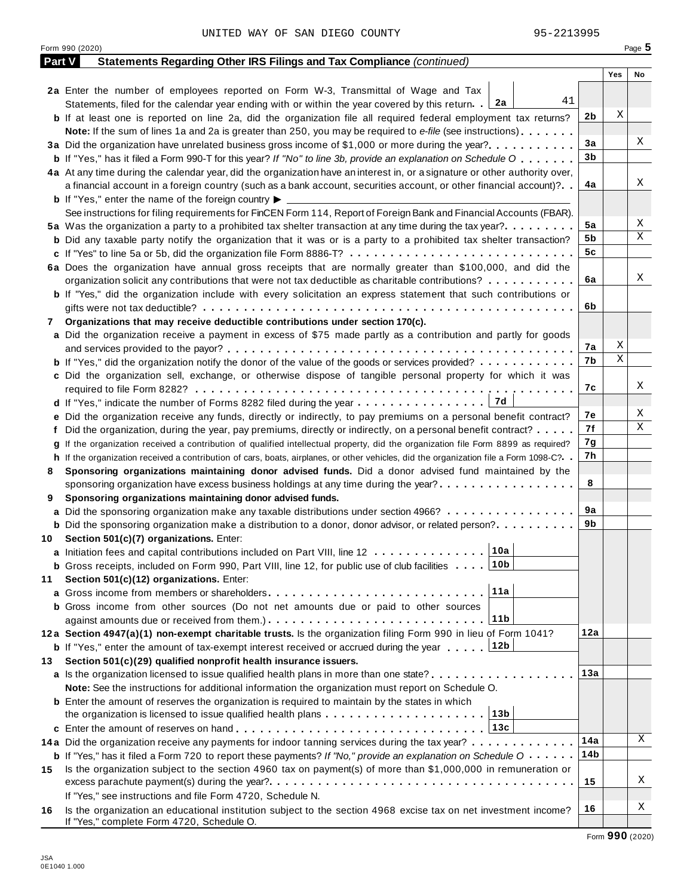| Yes<br>No<br>2a Enter the number of employees reported on Form W-3, Transmittal of Wage and Tax<br>41<br>Statements, filed for the calendar year ending with or within the year covered by this return. [2a<br>Χ<br>2 <sub>b</sub><br><b>b</b> If at least one is reported on line 2a, did the organization file all required federal employment tax returns?<br>Note: If the sum of lines 1a and 2a is greater than 250, you may be required to e-file (see instructions)<br>3a<br>3a Did the organization have unrelated business gross income of \$1,000 or more during the year?<br>3 <sub>b</sub><br><b>b</b> If "Yes," has it filed a Form 990-T for this year? If "No" to line 3b, provide an explanation on Schedule O<br>4a At any time during the calendar year, did the organization have an interest in, or a signature or other authority over,<br>Χ<br>4a<br>a financial account in a foreign country (such as a bank account, securities account, or other financial account)?<br><b>b</b> If "Yes," enter the name of the foreign country $\blacktriangleright$<br>See instructions for filing requirements for FinCEN Form 114, Report of Foreign Bank and Financial Accounts (FBAR).<br>Χ<br>5a<br>5a Was the organization a party to a prohibited tax shelter transaction at any time during the tax year?<br>Χ<br>5b<br><b>b</b> Did any taxable party notify the organization that it was or is a party to a prohibited tax shelter transaction?<br>5 <sub>c</sub><br>6a Does the organization have annual gross receipts that are normally greater than \$100,000, and did the<br>Χ<br>6a<br>organization solicit any contributions that were not tax deductible as charitable contributions?<br><b>b</b> If "Yes," did the organization include with every solicitation an express statement that such contributions or<br>6b<br>Organizations that may receive deductible contributions under section 170(c).<br>7<br>a Did the organization receive a payment in excess of \$75 made partly as a contribution and partly for goods<br>Χ<br>7a<br>$\overline{\mathbf{x}}$<br>7b<br><b>b</b> If "Yes," did the organization notify the donor of the value of the goods or services provided?<br>c Did the organization sell, exchange, or otherwise dispose of tangible personal property for which it was<br>Χ<br>7c<br>Χ<br>7e<br>e Did the organization receive any funds, directly or indirectly, to pay premiums on a personal benefit contract?<br>Χ<br>7f<br>f Did the organization, during the year, pay premiums, directly or indirectly, on a personal benefit contract?<br>7g<br>g If the organization received a contribution of qualified intellectual property, did the organization file Form 8899 as required?<br>7h<br>h If the organization received a contribution of cars, boats, airplanes, or other vehicles, did the organization file a Form 1098-C?<br>Sponsoring organizations maintaining donor advised funds. Did a donor advised fund maintained by the<br>8<br>8<br>sponsoring organization have excess business holdings at any time during the year?<br>Sponsoring organizations maintaining donor advised funds.<br>9<br>9a<br>a Did the sponsoring organization make any taxable distributions under section 4966?<br>9b<br><b>b</b> Did the sponsoring organization make a distribution to a donor, donor advisor, or related person?<br>Section 501(c)(7) organizations. Enter:<br>10<br> 10a <br>a Initiation fees and capital contributions included on Part VIII, line 12<br><b>b</b> Gross receipts, included on Form 990, Part VIII, line 12, for public use of club facilities 1.10b<br>Section 501(c)(12) organizations. Enter:<br>11<br>11a<br><b>a</b> Gross income from members or shareholders <b>express to the contact of Gross</b> income from members or shareholders<br><b>b</b> Gross income from other sources (Do not net amounts due or paid to other sources<br>∣11b<br>12a<br>12a Section 4947(a)(1) non-exempt charitable trusts. Is the organization filing Form 990 in lieu of Form 1041?<br><b>b</b> If "Yes," enter the amount of tax-exempt interest received or accrued during the year 12b<br>Section 501(c)(29) qualified nonprofit health insurance issuers.<br>13.<br>13a<br>a Is the organization licensed to issue qualified health plans in more than one state?<br>Note: See the instructions for additional information the organization must report on Schedule O.<br><b>b</b> Enter the amount of reserves the organization is required to maintain by the states in which<br>13b<br>the organization is licensed to issue qualified health plans<br>13c<br>14a<br>14a Did the organization receive any payments for indoor tanning services during the tax year?<br>14b<br><b>b</b> If "Yes," has it filed a Form 720 to report these payments? If "No," provide an explanation on Schedule $0 \cdot \cdot \cdot \cdot$<br>Is the organization subject to the section 4960 tax on payment(s) of more than \$1,000,000 in remuneration or<br>15<br>15<br>If "Yes," see instructions and file Form 4720, Schedule N.<br>16<br>Is the organization an educational institution subject to the section 4968 excise tax on net investment income?<br>16 | <b>Part V</b> | Statements Regarding Other IRS Filings and Tax Compliance (continued) |  |   |
|-------------------------------------------------------------------------------------------------------------------------------------------------------------------------------------------------------------------------------------------------------------------------------------------------------------------------------------------------------------------------------------------------------------------------------------------------------------------------------------------------------------------------------------------------------------------------------------------------------------------------------------------------------------------------------------------------------------------------------------------------------------------------------------------------------------------------------------------------------------------------------------------------------------------------------------------------------------------------------------------------------------------------------------------------------------------------------------------------------------------------------------------------------------------------------------------------------------------------------------------------------------------------------------------------------------------------------------------------------------------------------------------------------------------------------------------------------------------------------------------------------------------------------------------------------------------------------------------------------------------------------------------------------------------------------------------------------------------------------------------------------------------------------------------------------------------------------------------------------------------------------------------------------------------------------------------------------------------------------------------------------------------------------------------------------------------------------------------------------------------------------------------------------------------------------------------------------------------------------------------------------------------------------------------------------------------------------------------------------------------------------------------------------------------------------------------------------------------------------------------------------------------------------------------------------------------------------------------------------------------------------------------------------------------------------------------------------------------------------------------------------------------------------------------------------------------------------------------------------------------------------------------------------------------------------------------------------------------------------------------------------------------------------------------------------------------------------------------------------------------------------------------------------------------------------------------------------------------------------------------------------------------------------------------------------------------------------------------------------------------------------------------------------------------------------------------------------------------------------------------------------------------------------------------------------------------------------------------------------------------------------------------------------------------------------------------------------------------------------------------------------------------------------------------------------------------------------------------------------------------------------------------------------------------------------------------------------------------------------------------------------------------------------------------------------------------------------------------------------------------------------------------------------------------------------------------------------------------------------------------------------------------------------------------------------------------------------------------------------------------------------------------------------------------------------------------------------------------------------------------------------------------------------------------------------------------------------------------------------------------------------------------------------------------------------------------------------------------------------------------------------------------------------------------------------------------------------------------------------------------------------------------------------------------------------------------------------------------------------------------------------------------------------------------------------------------------------------------------------------------------------------------------------------------------------------------------------------------------------------------------------|---------------|-----------------------------------------------------------------------|--|---|
|                                                                                                                                                                                                                                                                                                                                                                                                                                                                                                                                                                                                                                                                                                                                                                                                                                                                                                                                                                                                                                                                                                                                                                                                                                                                                                                                                                                                                                                                                                                                                                                                                                                                                                                                                                                                                                                                                                                                                                                                                                                                                                                                                                                                                                                                                                                                                                                                                                                                                                                                                                                                                                                                                                                                                                                                                                                                                                                                                                                                                                                                                                                                                                                                                                                                                                                                                                                                                                                                                                                                                                                                                                                                                                                                                                                                                                                                                                                                                                                                                                                                                                                                                                                                                                                                                                                                                                                                                                                                                                                                                                                                                                                                                                                                                                                                                                                                                                                                                                                                                                                                                                                                                                                                                                                       |               |                                                                       |  |   |
|                                                                                                                                                                                                                                                                                                                                                                                                                                                                                                                                                                                                                                                                                                                                                                                                                                                                                                                                                                                                                                                                                                                                                                                                                                                                                                                                                                                                                                                                                                                                                                                                                                                                                                                                                                                                                                                                                                                                                                                                                                                                                                                                                                                                                                                                                                                                                                                                                                                                                                                                                                                                                                                                                                                                                                                                                                                                                                                                                                                                                                                                                                                                                                                                                                                                                                                                                                                                                                                                                                                                                                                                                                                                                                                                                                                                                                                                                                                                                                                                                                                                                                                                                                                                                                                                                                                                                                                                                                                                                                                                                                                                                                                                                                                                                                                                                                                                                                                                                                                                                                                                                                                                                                                                                                                       |               |                                                                       |  |   |
|                                                                                                                                                                                                                                                                                                                                                                                                                                                                                                                                                                                                                                                                                                                                                                                                                                                                                                                                                                                                                                                                                                                                                                                                                                                                                                                                                                                                                                                                                                                                                                                                                                                                                                                                                                                                                                                                                                                                                                                                                                                                                                                                                                                                                                                                                                                                                                                                                                                                                                                                                                                                                                                                                                                                                                                                                                                                                                                                                                                                                                                                                                                                                                                                                                                                                                                                                                                                                                                                                                                                                                                                                                                                                                                                                                                                                                                                                                                                                                                                                                                                                                                                                                                                                                                                                                                                                                                                                                                                                                                                                                                                                                                                                                                                                                                                                                                                                                                                                                                                                                                                                                                                                                                                                                                       |               |                                                                       |  |   |
|                                                                                                                                                                                                                                                                                                                                                                                                                                                                                                                                                                                                                                                                                                                                                                                                                                                                                                                                                                                                                                                                                                                                                                                                                                                                                                                                                                                                                                                                                                                                                                                                                                                                                                                                                                                                                                                                                                                                                                                                                                                                                                                                                                                                                                                                                                                                                                                                                                                                                                                                                                                                                                                                                                                                                                                                                                                                                                                                                                                                                                                                                                                                                                                                                                                                                                                                                                                                                                                                                                                                                                                                                                                                                                                                                                                                                                                                                                                                                                                                                                                                                                                                                                                                                                                                                                                                                                                                                                                                                                                                                                                                                                                                                                                                                                                                                                                                                                                                                                                                                                                                                                                                                                                                                                                       |               |                                                                       |  |   |
|                                                                                                                                                                                                                                                                                                                                                                                                                                                                                                                                                                                                                                                                                                                                                                                                                                                                                                                                                                                                                                                                                                                                                                                                                                                                                                                                                                                                                                                                                                                                                                                                                                                                                                                                                                                                                                                                                                                                                                                                                                                                                                                                                                                                                                                                                                                                                                                                                                                                                                                                                                                                                                                                                                                                                                                                                                                                                                                                                                                                                                                                                                                                                                                                                                                                                                                                                                                                                                                                                                                                                                                                                                                                                                                                                                                                                                                                                                                                                                                                                                                                                                                                                                                                                                                                                                                                                                                                                                                                                                                                                                                                                                                                                                                                                                                                                                                                                                                                                                                                                                                                                                                                                                                                                                                       |               |                                                                       |  |   |
|                                                                                                                                                                                                                                                                                                                                                                                                                                                                                                                                                                                                                                                                                                                                                                                                                                                                                                                                                                                                                                                                                                                                                                                                                                                                                                                                                                                                                                                                                                                                                                                                                                                                                                                                                                                                                                                                                                                                                                                                                                                                                                                                                                                                                                                                                                                                                                                                                                                                                                                                                                                                                                                                                                                                                                                                                                                                                                                                                                                                                                                                                                                                                                                                                                                                                                                                                                                                                                                                                                                                                                                                                                                                                                                                                                                                                                                                                                                                                                                                                                                                                                                                                                                                                                                                                                                                                                                                                                                                                                                                                                                                                                                                                                                                                                                                                                                                                                                                                                                                                                                                                                                                                                                                                                                       |               |                                                                       |  | Χ |
|                                                                                                                                                                                                                                                                                                                                                                                                                                                                                                                                                                                                                                                                                                                                                                                                                                                                                                                                                                                                                                                                                                                                                                                                                                                                                                                                                                                                                                                                                                                                                                                                                                                                                                                                                                                                                                                                                                                                                                                                                                                                                                                                                                                                                                                                                                                                                                                                                                                                                                                                                                                                                                                                                                                                                                                                                                                                                                                                                                                                                                                                                                                                                                                                                                                                                                                                                                                                                                                                                                                                                                                                                                                                                                                                                                                                                                                                                                                                                                                                                                                                                                                                                                                                                                                                                                                                                                                                                                                                                                                                                                                                                                                                                                                                                                                                                                                                                                                                                                                                                                                                                                                                                                                                                                                       |               |                                                                       |  |   |
|                                                                                                                                                                                                                                                                                                                                                                                                                                                                                                                                                                                                                                                                                                                                                                                                                                                                                                                                                                                                                                                                                                                                                                                                                                                                                                                                                                                                                                                                                                                                                                                                                                                                                                                                                                                                                                                                                                                                                                                                                                                                                                                                                                                                                                                                                                                                                                                                                                                                                                                                                                                                                                                                                                                                                                                                                                                                                                                                                                                                                                                                                                                                                                                                                                                                                                                                                                                                                                                                                                                                                                                                                                                                                                                                                                                                                                                                                                                                                                                                                                                                                                                                                                                                                                                                                                                                                                                                                                                                                                                                                                                                                                                                                                                                                                                                                                                                                                                                                                                                                                                                                                                                                                                                                                                       |               |                                                                       |  |   |
|                                                                                                                                                                                                                                                                                                                                                                                                                                                                                                                                                                                                                                                                                                                                                                                                                                                                                                                                                                                                                                                                                                                                                                                                                                                                                                                                                                                                                                                                                                                                                                                                                                                                                                                                                                                                                                                                                                                                                                                                                                                                                                                                                                                                                                                                                                                                                                                                                                                                                                                                                                                                                                                                                                                                                                                                                                                                                                                                                                                                                                                                                                                                                                                                                                                                                                                                                                                                                                                                                                                                                                                                                                                                                                                                                                                                                                                                                                                                                                                                                                                                                                                                                                                                                                                                                                                                                                                                                                                                                                                                                                                                                                                                                                                                                                                                                                                                                                                                                                                                                                                                                                                                                                                                                                                       |               |                                                                       |  |   |
|                                                                                                                                                                                                                                                                                                                                                                                                                                                                                                                                                                                                                                                                                                                                                                                                                                                                                                                                                                                                                                                                                                                                                                                                                                                                                                                                                                                                                                                                                                                                                                                                                                                                                                                                                                                                                                                                                                                                                                                                                                                                                                                                                                                                                                                                                                                                                                                                                                                                                                                                                                                                                                                                                                                                                                                                                                                                                                                                                                                                                                                                                                                                                                                                                                                                                                                                                                                                                                                                                                                                                                                                                                                                                                                                                                                                                                                                                                                                                                                                                                                                                                                                                                                                                                                                                                                                                                                                                                                                                                                                                                                                                                                                                                                                                                                                                                                                                                                                                                                                                                                                                                                                                                                                                                                       |               |                                                                       |  |   |
|                                                                                                                                                                                                                                                                                                                                                                                                                                                                                                                                                                                                                                                                                                                                                                                                                                                                                                                                                                                                                                                                                                                                                                                                                                                                                                                                                                                                                                                                                                                                                                                                                                                                                                                                                                                                                                                                                                                                                                                                                                                                                                                                                                                                                                                                                                                                                                                                                                                                                                                                                                                                                                                                                                                                                                                                                                                                                                                                                                                                                                                                                                                                                                                                                                                                                                                                                                                                                                                                                                                                                                                                                                                                                                                                                                                                                                                                                                                                                                                                                                                                                                                                                                                                                                                                                                                                                                                                                                                                                                                                                                                                                                                                                                                                                                                                                                                                                                                                                                                                                                                                                                                                                                                                                                                       |               |                                                                       |  |   |
|                                                                                                                                                                                                                                                                                                                                                                                                                                                                                                                                                                                                                                                                                                                                                                                                                                                                                                                                                                                                                                                                                                                                                                                                                                                                                                                                                                                                                                                                                                                                                                                                                                                                                                                                                                                                                                                                                                                                                                                                                                                                                                                                                                                                                                                                                                                                                                                                                                                                                                                                                                                                                                                                                                                                                                                                                                                                                                                                                                                                                                                                                                                                                                                                                                                                                                                                                                                                                                                                                                                                                                                                                                                                                                                                                                                                                                                                                                                                                                                                                                                                                                                                                                                                                                                                                                                                                                                                                                                                                                                                                                                                                                                                                                                                                                                                                                                                                                                                                                                                                                                                                                                                                                                                                                                       |               |                                                                       |  |   |
|                                                                                                                                                                                                                                                                                                                                                                                                                                                                                                                                                                                                                                                                                                                                                                                                                                                                                                                                                                                                                                                                                                                                                                                                                                                                                                                                                                                                                                                                                                                                                                                                                                                                                                                                                                                                                                                                                                                                                                                                                                                                                                                                                                                                                                                                                                                                                                                                                                                                                                                                                                                                                                                                                                                                                                                                                                                                                                                                                                                                                                                                                                                                                                                                                                                                                                                                                                                                                                                                                                                                                                                                                                                                                                                                                                                                                                                                                                                                                                                                                                                                                                                                                                                                                                                                                                                                                                                                                                                                                                                                                                                                                                                                                                                                                                                                                                                                                                                                                                                                                                                                                                                                                                                                                                                       |               |                                                                       |  |   |
|                                                                                                                                                                                                                                                                                                                                                                                                                                                                                                                                                                                                                                                                                                                                                                                                                                                                                                                                                                                                                                                                                                                                                                                                                                                                                                                                                                                                                                                                                                                                                                                                                                                                                                                                                                                                                                                                                                                                                                                                                                                                                                                                                                                                                                                                                                                                                                                                                                                                                                                                                                                                                                                                                                                                                                                                                                                                                                                                                                                                                                                                                                                                                                                                                                                                                                                                                                                                                                                                                                                                                                                                                                                                                                                                                                                                                                                                                                                                                                                                                                                                                                                                                                                                                                                                                                                                                                                                                                                                                                                                                                                                                                                                                                                                                                                                                                                                                                                                                                                                                                                                                                                                                                                                                                                       |               |                                                                       |  |   |
|                                                                                                                                                                                                                                                                                                                                                                                                                                                                                                                                                                                                                                                                                                                                                                                                                                                                                                                                                                                                                                                                                                                                                                                                                                                                                                                                                                                                                                                                                                                                                                                                                                                                                                                                                                                                                                                                                                                                                                                                                                                                                                                                                                                                                                                                                                                                                                                                                                                                                                                                                                                                                                                                                                                                                                                                                                                                                                                                                                                                                                                                                                                                                                                                                                                                                                                                                                                                                                                                                                                                                                                                                                                                                                                                                                                                                                                                                                                                                                                                                                                                                                                                                                                                                                                                                                                                                                                                                                                                                                                                                                                                                                                                                                                                                                                                                                                                                                                                                                                                                                                                                                                                                                                                                                                       |               |                                                                       |  |   |
|                                                                                                                                                                                                                                                                                                                                                                                                                                                                                                                                                                                                                                                                                                                                                                                                                                                                                                                                                                                                                                                                                                                                                                                                                                                                                                                                                                                                                                                                                                                                                                                                                                                                                                                                                                                                                                                                                                                                                                                                                                                                                                                                                                                                                                                                                                                                                                                                                                                                                                                                                                                                                                                                                                                                                                                                                                                                                                                                                                                                                                                                                                                                                                                                                                                                                                                                                                                                                                                                                                                                                                                                                                                                                                                                                                                                                                                                                                                                                                                                                                                                                                                                                                                                                                                                                                                                                                                                                                                                                                                                                                                                                                                                                                                                                                                                                                                                                                                                                                                                                                                                                                                                                                                                                                                       |               |                                                                       |  |   |
|                                                                                                                                                                                                                                                                                                                                                                                                                                                                                                                                                                                                                                                                                                                                                                                                                                                                                                                                                                                                                                                                                                                                                                                                                                                                                                                                                                                                                                                                                                                                                                                                                                                                                                                                                                                                                                                                                                                                                                                                                                                                                                                                                                                                                                                                                                                                                                                                                                                                                                                                                                                                                                                                                                                                                                                                                                                                                                                                                                                                                                                                                                                                                                                                                                                                                                                                                                                                                                                                                                                                                                                                                                                                                                                                                                                                                                                                                                                                                                                                                                                                                                                                                                                                                                                                                                                                                                                                                                                                                                                                                                                                                                                                                                                                                                                                                                                                                                                                                                                                                                                                                                                                                                                                                                                       |               |                                                                       |  |   |
|                                                                                                                                                                                                                                                                                                                                                                                                                                                                                                                                                                                                                                                                                                                                                                                                                                                                                                                                                                                                                                                                                                                                                                                                                                                                                                                                                                                                                                                                                                                                                                                                                                                                                                                                                                                                                                                                                                                                                                                                                                                                                                                                                                                                                                                                                                                                                                                                                                                                                                                                                                                                                                                                                                                                                                                                                                                                                                                                                                                                                                                                                                                                                                                                                                                                                                                                                                                                                                                                                                                                                                                                                                                                                                                                                                                                                                                                                                                                                                                                                                                                                                                                                                                                                                                                                                                                                                                                                                                                                                                                                                                                                                                                                                                                                                                                                                                                                                                                                                                                                                                                                                                                                                                                                                                       |               |                                                                       |  |   |
|                                                                                                                                                                                                                                                                                                                                                                                                                                                                                                                                                                                                                                                                                                                                                                                                                                                                                                                                                                                                                                                                                                                                                                                                                                                                                                                                                                                                                                                                                                                                                                                                                                                                                                                                                                                                                                                                                                                                                                                                                                                                                                                                                                                                                                                                                                                                                                                                                                                                                                                                                                                                                                                                                                                                                                                                                                                                                                                                                                                                                                                                                                                                                                                                                                                                                                                                                                                                                                                                                                                                                                                                                                                                                                                                                                                                                                                                                                                                                                                                                                                                                                                                                                                                                                                                                                                                                                                                                                                                                                                                                                                                                                                                                                                                                                                                                                                                                                                                                                                                                                                                                                                                                                                                                                                       |               |                                                                       |  |   |
|                                                                                                                                                                                                                                                                                                                                                                                                                                                                                                                                                                                                                                                                                                                                                                                                                                                                                                                                                                                                                                                                                                                                                                                                                                                                                                                                                                                                                                                                                                                                                                                                                                                                                                                                                                                                                                                                                                                                                                                                                                                                                                                                                                                                                                                                                                                                                                                                                                                                                                                                                                                                                                                                                                                                                                                                                                                                                                                                                                                                                                                                                                                                                                                                                                                                                                                                                                                                                                                                                                                                                                                                                                                                                                                                                                                                                                                                                                                                                                                                                                                                                                                                                                                                                                                                                                                                                                                                                                                                                                                                                                                                                                                                                                                                                                                                                                                                                                                                                                                                                                                                                                                                                                                                                                                       |               |                                                                       |  |   |
|                                                                                                                                                                                                                                                                                                                                                                                                                                                                                                                                                                                                                                                                                                                                                                                                                                                                                                                                                                                                                                                                                                                                                                                                                                                                                                                                                                                                                                                                                                                                                                                                                                                                                                                                                                                                                                                                                                                                                                                                                                                                                                                                                                                                                                                                                                                                                                                                                                                                                                                                                                                                                                                                                                                                                                                                                                                                                                                                                                                                                                                                                                                                                                                                                                                                                                                                                                                                                                                                                                                                                                                                                                                                                                                                                                                                                                                                                                                                                                                                                                                                                                                                                                                                                                                                                                                                                                                                                                                                                                                                                                                                                                                                                                                                                                                                                                                                                                                                                                                                                                                                                                                                                                                                                                                       |               |                                                                       |  |   |
|                                                                                                                                                                                                                                                                                                                                                                                                                                                                                                                                                                                                                                                                                                                                                                                                                                                                                                                                                                                                                                                                                                                                                                                                                                                                                                                                                                                                                                                                                                                                                                                                                                                                                                                                                                                                                                                                                                                                                                                                                                                                                                                                                                                                                                                                                                                                                                                                                                                                                                                                                                                                                                                                                                                                                                                                                                                                                                                                                                                                                                                                                                                                                                                                                                                                                                                                                                                                                                                                                                                                                                                                                                                                                                                                                                                                                                                                                                                                                                                                                                                                                                                                                                                                                                                                                                                                                                                                                                                                                                                                                                                                                                                                                                                                                                                                                                                                                                                                                                                                                                                                                                                                                                                                                                                       |               |                                                                       |  |   |
|                                                                                                                                                                                                                                                                                                                                                                                                                                                                                                                                                                                                                                                                                                                                                                                                                                                                                                                                                                                                                                                                                                                                                                                                                                                                                                                                                                                                                                                                                                                                                                                                                                                                                                                                                                                                                                                                                                                                                                                                                                                                                                                                                                                                                                                                                                                                                                                                                                                                                                                                                                                                                                                                                                                                                                                                                                                                                                                                                                                                                                                                                                                                                                                                                                                                                                                                                                                                                                                                                                                                                                                                                                                                                                                                                                                                                                                                                                                                                                                                                                                                                                                                                                                                                                                                                                                                                                                                                                                                                                                                                                                                                                                                                                                                                                                                                                                                                                                                                                                                                                                                                                                                                                                                                                                       |               |                                                                       |  |   |
|                                                                                                                                                                                                                                                                                                                                                                                                                                                                                                                                                                                                                                                                                                                                                                                                                                                                                                                                                                                                                                                                                                                                                                                                                                                                                                                                                                                                                                                                                                                                                                                                                                                                                                                                                                                                                                                                                                                                                                                                                                                                                                                                                                                                                                                                                                                                                                                                                                                                                                                                                                                                                                                                                                                                                                                                                                                                                                                                                                                                                                                                                                                                                                                                                                                                                                                                                                                                                                                                                                                                                                                                                                                                                                                                                                                                                                                                                                                                                                                                                                                                                                                                                                                                                                                                                                                                                                                                                                                                                                                                                                                                                                                                                                                                                                                                                                                                                                                                                                                                                                                                                                                                                                                                                                                       |               |                                                                       |  |   |
|                                                                                                                                                                                                                                                                                                                                                                                                                                                                                                                                                                                                                                                                                                                                                                                                                                                                                                                                                                                                                                                                                                                                                                                                                                                                                                                                                                                                                                                                                                                                                                                                                                                                                                                                                                                                                                                                                                                                                                                                                                                                                                                                                                                                                                                                                                                                                                                                                                                                                                                                                                                                                                                                                                                                                                                                                                                                                                                                                                                                                                                                                                                                                                                                                                                                                                                                                                                                                                                                                                                                                                                                                                                                                                                                                                                                                                                                                                                                                                                                                                                                                                                                                                                                                                                                                                                                                                                                                                                                                                                                                                                                                                                                                                                                                                                                                                                                                                                                                                                                                                                                                                                                                                                                                                                       |               |                                                                       |  |   |
|                                                                                                                                                                                                                                                                                                                                                                                                                                                                                                                                                                                                                                                                                                                                                                                                                                                                                                                                                                                                                                                                                                                                                                                                                                                                                                                                                                                                                                                                                                                                                                                                                                                                                                                                                                                                                                                                                                                                                                                                                                                                                                                                                                                                                                                                                                                                                                                                                                                                                                                                                                                                                                                                                                                                                                                                                                                                                                                                                                                                                                                                                                                                                                                                                                                                                                                                                                                                                                                                                                                                                                                                                                                                                                                                                                                                                                                                                                                                                                                                                                                                                                                                                                                                                                                                                                                                                                                                                                                                                                                                                                                                                                                                                                                                                                                                                                                                                                                                                                                                                                                                                                                                                                                                                                                       |               |                                                                       |  |   |
|                                                                                                                                                                                                                                                                                                                                                                                                                                                                                                                                                                                                                                                                                                                                                                                                                                                                                                                                                                                                                                                                                                                                                                                                                                                                                                                                                                                                                                                                                                                                                                                                                                                                                                                                                                                                                                                                                                                                                                                                                                                                                                                                                                                                                                                                                                                                                                                                                                                                                                                                                                                                                                                                                                                                                                                                                                                                                                                                                                                                                                                                                                                                                                                                                                                                                                                                                                                                                                                                                                                                                                                                                                                                                                                                                                                                                                                                                                                                                                                                                                                                                                                                                                                                                                                                                                                                                                                                                                                                                                                                                                                                                                                                                                                                                                                                                                                                                                                                                                                                                                                                                                                                                                                                                                                       |               |                                                                       |  |   |
|                                                                                                                                                                                                                                                                                                                                                                                                                                                                                                                                                                                                                                                                                                                                                                                                                                                                                                                                                                                                                                                                                                                                                                                                                                                                                                                                                                                                                                                                                                                                                                                                                                                                                                                                                                                                                                                                                                                                                                                                                                                                                                                                                                                                                                                                                                                                                                                                                                                                                                                                                                                                                                                                                                                                                                                                                                                                                                                                                                                                                                                                                                                                                                                                                                                                                                                                                                                                                                                                                                                                                                                                                                                                                                                                                                                                                                                                                                                                                                                                                                                                                                                                                                                                                                                                                                                                                                                                                                                                                                                                                                                                                                                                                                                                                                                                                                                                                                                                                                                                                                                                                                                                                                                                                                                       |               |                                                                       |  |   |
|                                                                                                                                                                                                                                                                                                                                                                                                                                                                                                                                                                                                                                                                                                                                                                                                                                                                                                                                                                                                                                                                                                                                                                                                                                                                                                                                                                                                                                                                                                                                                                                                                                                                                                                                                                                                                                                                                                                                                                                                                                                                                                                                                                                                                                                                                                                                                                                                                                                                                                                                                                                                                                                                                                                                                                                                                                                                                                                                                                                                                                                                                                                                                                                                                                                                                                                                                                                                                                                                                                                                                                                                                                                                                                                                                                                                                                                                                                                                                                                                                                                                                                                                                                                                                                                                                                                                                                                                                                                                                                                                                                                                                                                                                                                                                                                                                                                                                                                                                                                                                                                                                                                                                                                                                                                       |               |                                                                       |  |   |
|                                                                                                                                                                                                                                                                                                                                                                                                                                                                                                                                                                                                                                                                                                                                                                                                                                                                                                                                                                                                                                                                                                                                                                                                                                                                                                                                                                                                                                                                                                                                                                                                                                                                                                                                                                                                                                                                                                                                                                                                                                                                                                                                                                                                                                                                                                                                                                                                                                                                                                                                                                                                                                                                                                                                                                                                                                                                                                                                                                                                                                                                                                                                                                                                                                                                                                                                                                                                                                                                                                                                                                                                                                                                                                                                                                                                                                                                                                                                                                                                                                                                                                                                                                                                                                                                                                                                                                                                                                                                                                                                                                                                                                                                                                                                                                                                                                                                                                                                                                                                                                                                                                                                                                                                                                                       |               |                                                                       |  |   |
|                                                                                                                                                                                                                                                                                                                                                                                                                                                                                                                                                                                                                                                                                                                                                                                                                                                                                                                                                                                                                                                                                                                                                                                                                                                                                                                                                                                                                                                                                                                                                                                                                                                                                                                                                                                                                                                                                                                                                                                                                                                                                                                                                                                                                                                                                                                                                                                                                                                                                                                                                                                                                                                                                                                                                                                                                                                                                                                                                                                                                                                                                                                                                                                                                                                                                                                                                                                                                                                                                                                                                                                                                                                                                                                                                                                                                                                                                                                                                                                                                                                                                                                                                                                                                                                                                                                                                                                                                                                                                                                                                                                                                                                                                                                                                                                                                                                                                                                                                                                                                                                                                                                                                                                                                                                       |               |                                                                       |  |   |
|                                                                                                                                                                                                                                                                                                                                                                                                                                                                                                                                                                                                                                                                                                                                                                                                                                                                                                                                                                                                                                                                                                                                                                                                                                                                                                                                                                                                                                                                                                                                                                                                                                                                                                                                                                                                                                                                                                                                                                                                                                                                                                                                                                                                                                                                                                                                                                                                                                                                                                                                                                                                                                                                                                                                                                                                                                                                                                                                                                                                                                                                                                                                                                                                                                                                                                                                                                                                                                                                                                                                                                                                                                                                                                                                                                                                                                                                                                                                                                                                                                                                                                                                                                                                                                                                                                                                                                                                                                                                                                                                                                                                                                                                                                                                                                                                                                                                                                                                                                                                                                                                                                                                                                                                                                                       |               |                                                                       |  |   |
|                                                                                                                                                                                                                                                                                                                                                                                                                                                                                                                                                                                                                                                                                                                                                                                                                                                                                                                                                                                                                                                                                                                                                                                                                                                                                                                                                                                                                                                                                                                                                                                                                                                                                                                                                                                                                                                                                                                                                                                                                                                                                                                                                                                                                                                                                                                                                                                                                                                                                                                                                                                                                                                                                                                                                                                                                                                                                                                                                                                                                                                                                                                                                                                                                                                                                                                                                                                                                                                                                                                                                                                                                                                                                                                                                                                                                                                                                                                                                                                                                                                                                                                                                                                                                                                                                                                                                                                                                                                                                                                                                                                                                                                                                                                                                                                                                                                                                                                                                                                                                                                                                                                                                                                                                                                       |               |                                                                       |  |   |
|                                                                                                                                                                                                                                                                                                                                                                                                                                                                                                                                                                                                                                                                                                                                                                                                                                                                                                                                                                                                                                                                                                                                                                                                                                                                                                                                                                                                                                                                                                                                                                                                                                                                                                                                                                                                                                                                                                                                                                                                                                                                                                                                                                                                                                                                                                                                                                                                                                                                                                                                                                                                                                                                                                                                                                                                                                                                                                                                                                                                                                                                                                                                                                                                                                                                                                                                                                                                                                                                                                                                                                                                                                                                                                                                                                                                                                                                                                                                                                                                                                                                                                                                                                                                                                                                                                                                                                                                                                                                                                                                                                                                                                                                                                                                                                                                                                                                                                                                                                                                                                                                                                                                                                                                                                                       |               |                                                                       |  |   |
|                                                                                                                                                                                                                                                                                                                                                                                                                                                                                                                                                                                                                                                                                                                                                                                                                                                                                                                                                                                                                                                                                                                                                                                                                                                                                                                                                                                                                                                                                                                                                                                                                                                                                                                                                                                                                                                                                                                                                                                                                                                                                                                                                                                                                                                                                                                                                                                                                                                                                                                                                                                                                                                                                                                                                                                                                                                                                                                                                                                                                                                                                                                                                                                                                                                                                                                                                                                                                                                                                                                                                                                                                                                                                                                                                                                                                                                                                                                                                                                                                                                                                                                                                                                                                                                                                                                                                                                                                                                                                                                                                                                                                                                                                                                                                                                                                                                                                                                                                                                                                                                                                                                                                                                                                                                       |               |                                                                       |  |   |
|                                                                                                                                                                                                                                                                                                                                                                                                                                                                                                                                                                                                                                                                                                                                                                                                                                                                                                                                                                                                                                                                                                                                                                                                                                                                                                                                                                                                                                                                                                                                                                                                                                                                                                                                                                                                                                                                                                                                                                                                                                                                                                                                                                                                                                                                                                                                                                                                                                                                                                                                                                                                                                                                                                                                                                                                                                                                                                                                                                                                                                                                                                                                                                                                                                                                                                                                                                                                                                                                                                                                                                                                                                                                                                                                                                                                                                                                                                                                                                                                                                                                                                                                                                                                                                                                                                                                                                                                                                                                                                                                                                                                                                                                                                                                                                                                                                                                                                                                                                                                                                                                                                                                                                                                                                                       |               |                                                                       |  |   |
|                                                                                                                                                                                                                                                                                                                                                                                                                                                                                                                                                                                                                                                                                                                                                                                                                                                                                                                                                                                                                                                                                                                                                                                                                                                                                                                                                                                                                                                                                                                                                                                                                                                                                                                                                                                                                                                                                                                                                                                                                                                                                                                                                                                                                                                                                                                                                                                                                                                                                                                                                                                                                                                                                                                                                                                                                                                                                                                                                                                                                                                                                                                                                                                                                                                                                                                                                                                                                                                                                                                                                                                                                                                                                                                                                                                                                                                                                                                                                                                                                                                                                                                                                                                                                                                                                                                                                                                                                                                                                                                                                                                                                                                                                                                                                                                                                                                                                                                                                                                                                                                                                                                                                                                                                                                       |               |                                                                       |  |   |
|                                                                                                                                                                                                                                                                                                                                                                                                                                                                                                                                                                                                                                                                                                                                                                                                                                                                                                                                                                                                                                                                                                                                                                                                                                                                                                                                                                                                                                                                                                                                                                                                                                                                                                                                                                                                                                                                                                                                                                                                                                                                                                                                                                                                                                                                                                                                                                                                                                                                                                                                                                                                                                                                                                                                                                                                                                                                                                                                                                                                                                                                                                                                                                                                                                                                                                                                                                                                                                                                                                                                                                                                                                                                                                                                                                                                                                                                                                                                                                                                                                                                                                                                                                                                                                                                                                                                                                                                                                                                                                                                                                                                                                                                                                                                                                                                                                                                                                                                                                                                                                                                                                                                                                                                                                                       |               |                                                                       |  |   |
|                                                                                                                                                                                                                                                                                                                                                                                                                                                                                                                                                                                                                                                                                                                                                                                                                                                                                                                                                                                                                                                                                                                                                                                                                                                                                                                                                                                                                                                                                                                                                                                                                                                                                                                                                                                                                                                                                                                                                                                                                                                                                                                                                                                                                                                                                                                                                                                                                                                                                                                                                                                                                                                                                                                                                                                                                                                                                                                                                                                                                                                                                                                                                                                                                                                                                                                                                                                                                                                                                                                                                                                                                                                                                                                                                                                                                                                                                                                                                                                                                                                                                                                                                                                                                                                                                                                                                                                                                                                                                                                                                                                                                                                                                                                                                                                                                                                                                                                                                                                                                                                                                                                                                                                                                                                       |               |                                                                       |  |   |
|                                                                                                                                                                                                                                                                                                                                                                                                                                                                                                                                                                                                                                                                                                                                                                                                                                                                                                                                                                                                                                                                                                                                                                                                                                                                                                                                                                                                                                                                                                                                                                                                                                                                                                                                                                                                                                                                                                                                                                                                                                                                                                                                                                                                                                                                                                                                                                                                                                                                                                                                                                                                                                                                                                                                                                                                                                                                                                                                                                                                                                                                                                                                                                                                                                                                                                                                                                                                                                                                                                                                                                                                                                                                                                                                                                                                                                                                                                                                                                                                                                                                                                                                                                                                                                                                                                                                                                                                                                                                                                                                                                                                                                                                                                                                                                                                                                                                                                                                                                                                                                                                                                                                                                                                                                                       |               |                                                                       |  |   |
|                                                                                                                                                                                                                                                                                                                                                                                                                                                                                                                                                                                                                                                                                                                                                                                                                                                                                                                                                                                                                                                                                                                                                                                                                                                                                                                                                                                                                                                                                                                                                                                                                                                                                                                                                                                                                                                                                                                                                                                                                                                                                                                                                                                                                                                                                                                                                                                                                                                                                                                                                                                                                                                                                                                                                                                                                                                                                                                                                                                                                                                                                                                                                                                                                                                                                                                                                                                                                                                                                                                                                                                                                                                                                                                                                                                                                                                                                                                                                                                                                                                                                                                                                                                                                                                                                                                                                                                                                                                                                                                                                                                                                                                                                                                                                                                                                                                                                                                                                                                                                                                                                                                                                                                                                                                       |               |                                                                       |  |   |
|                                                                                                                                                                                                                                                                                                                                                                                                                                                                                                                                                                                                                                                                                                                                                                                                                                                                                                                                                                                                                                                                                                                                                                                                                                                                                                                                                                                                                                                                                                                                                                                                                                                                                                                                                                                                                                                                                                                                                                                                                                                                                                                                                                                                                                                                                                                                                                                                                                                                                                                                                                                                                                                                                                                                                                                                                                                                                                                                                                                                                                                                                                                                                                                                                                                                                                                                                                                                                                                                                                                                                                                                                                                                                                                                                                                                                                                                                                                                                                                                                                                                                                                                                                                                                                                                                                                                                                                                                                                                                                                                                                                                                                                                                                                                                                                                                                                                                                                                                                                                                                                                                                                                                                                                                                                       |               |                                                                       |  |   |
|                                                                                                                                                                                                                                                                                                                                                                                                                                                                                                                                                                                                                                                                                                                                                                                                                                                                                                                                                                                                                                                                                                                                                                                                                                                                                                                                                                                                                                                                                                                                                                                                                                                                                                                                                                                                                                                                                                                                                                                                                                                                                                                                                                                                                                                                                                                                                                                                                                                                                                                                                                                                                                                                                                                                                                                                                                                                                                                                                                                                                                                                                                                                                                                                                                                                                                                                                                                                                                                                                                                                                                                                                                                                                                                                                                                                                                                                                                                                                                                                                                                                                                                                                                                                                                                                                                                                                                                                                                                                                                                                                                                                                                                                                                                                                                                                                                                                                                                                                                                                                                                                                                                                                                                                                                                       |               |                                                                       |  |   |
|                                                                                                                                                                                                                                                                                                                                                                                                                                                                                                                                                                                                                                                                                                                                                                                                                                                                                                                                                                                                                                                                                                                                                                                                                                                                                                                                                                                                                                                                                                                                                                                                                                                                                                                                                                                                                                                                                                                                                                                                                                                                                                                                                                                                                                                                                                                                                                                                                                                                                                                                                                                                                                                                                                                                                                                                                                                                                                                                                                                                                                                                                                                                                                                                                                                                                                                                                                                                                                                                                                                                                                                                                                                                                                                                                                                                                                                                                                                                                                                                                                                                                                                                                                                                                                                                                                                                                                                                                                                                                                                                                                                                                                                                                                                                                                                                                                                                                                                                                                                                                                                                                                                                                                                                                                                       |               |                                                                       |  |   |
|                                                                                                                                                                                                                                                                                                                                                                                                                                                                                                                                                                                                                                                                                                                                                                                                                                                                                                                                                                                                                                                                                                                                                                                                                                                                                                                                                                                                                                                                                                                                                                                                                                                                                                                                                                                                                                                                                                                                                                                                                                                                                                                                                                                                                                                                                                                                                                                                                                                                                                                                                                                                                                                                                                                                                                                                                                                                                                                                                                                                                                                                                                                                                                                                                                                                                                                                                                                                                                                                                                                                                                                                                                                                                                                                                                                                                                                                                                                                                                                                                                                                                                                                                                                                                                                                                                                                                                                                                                                                                                                                                                                                                                                                                                                                                                                                                                                                                                                                                                                                                                                                                                                                                                                                                                                       |               |                                                                       |  |   |
|                                                                                                                                                                                                                                                                                                                                                                                                                                                                                                                                                                                                                                                                                                                                                                                                                                                                                                                                                                                                                                                                                                                                                                                                                                                                                                                                                                                                                                                                                                                                                                                                                                                                                                                                                                                                                                                                                                                                                                                                                                                                                                                                                                                                                                                                                                                                                                                                                                                                                                                                                                                                                                                                                                                                                                                                                                                                                                                                                                                                                                                                                                                                                                                                                                                                                                                                                                                                                                                                                                                                                                                                                                                                                                                                                                                                                                                                                                                                                                                                                                                                                                                                                                                                                                                                                                                                                                                                                                                                                                                                                                                                                                                                                                                                                                                                                                                                                                                                                                                                                                                                                                                                                                                                                                                       |               |                                                                       |  |   |
|                                                                                                                                                                                                                                                                                                                                                                                                                                                                                                                                                                                                                                                                                                                                                                                                                                                                                                                                                                                                                                                                                                                                                                                                                                                                                                                                                                                                                                                                                                                                                                                                                                                                                                                                                                                                                                                                                                                                                                                                                                                                                                                                                                                                                                                                                                                                                                                                                                                                                                                                                                                                                                                                                                                                                                                                                                                                                                                                                                                                                                                                                                                                                                                                                                                                                                                                                                                                                                                                                                                                                                                                                                                                                                                                                                                                                                                                                                                                                                                                                                                                                                                                                                                                                                                                                                                                                                                                                                                                                                                                                                                                                                                                                                                                                                                                                                                                                                                                                                                                                                                                                                                                                                                                                                                       |               |                                                                       |  |   |
|                                                                                                                                                                                                                                                                                                                                                                                                                                                                                                                                                                                                                                                                                                                                                                                                                                                                                                                                                                                                                                                                                                                                                                                                                                                                                                                                                                                                                                                                                                                                                                                                                                                                                                                                                                                                                                                                                                                                                                                                                                                                                                                                                                                                                                                                                                                                                                                                                                                                                                                                                                                                                                                                                                                                                                                                                                                                                                                                                                                                                                                                                                                                                                                                                                                                                                                                                                                                                                                                                                                                                                                                                                                                                                                                                                                                                                                                                                                                                                                                                                                                                                                                                                                                                                                                                                                                                                                                                                                                                                                                                                                                                                                                                                                                                                                                                                                                                                                                                                                                                                                                                                                                                                                                                                                       |               |                                                                       |  |   |
|                                                                                                                                                                                                                                                                                                                                                                                                                                                                                                                                                                                                                                                                                                                                                                                                                                                                                                                                                                                                                                                                                                                                                                                                                                                                                                                                                                                                                                                                                                                                                                                                                                                                                                                                                                                                                                                                                                                                                                                                                                                                                                                                                                                                                                                                                                                                                                                                                                                                                                                                                                                                                                                                                                                                                                                                                                                                                                                                                                                                                                                                                                                                                                                                                                                                                                                                                                                                                                                                                                                                                                                                                                                                                                                                                                                                                                                                                                                                                                                                                                                                                                                                                                                                                                                                                                                                                                                                                                                                                                                                                                                                                                                                                                                                                                                                                                                                                                                                                                                                                                                                                                                                                                                                                                                       |               |                                                                       |  |   |
|                                                                                                                                                                                                                                                                                                                                                                                                                                                                                                                                                                                                                                                                                                                                                                                                                                                                                                                                                                                                                                                                                                                                                                                                                                                                                                                                                                                                                                                                                                                                                                                                                                                                                                                                                                                                                                                                                                                                                                                                                                                                                                                                                                                                                                                                                                                                                                                                                                                                                                                                                                                                                                                                                                                                                                                                                                                                                                                                                                                                                                                                                                                                                                                                                                                                                                                                                                                                                                                                                                                                                                                                                                                                                                                                                                                                                                                                                                                                                                                                                                                                                                                                                                                                                                                                                                                                                                                                                                                                                                                                                                                                                                                                                                                                                                                                                                                                                                                                                                                                                                                                                                                                                                                                                                                       |               |                                                                       |  |   |
|                                                                                                                                                                                                                                                                                                                                                                                                                                                                                                                                                                                                                                                                                                                                                                                                                                                                                                                                                                                                                                                                                                                                                                                                                                                                                                                                                                                                                                                                                                                                                                                                                                                                                                                                                                                                                                                                                                                                                                                                                                                                                                                                                                                                                                                                                                                                                                                                                                                                                                                                                                                                                                                                                                                                                                                                                                                                                                                                                                                                                                                                                                                                                                                                                                                                                                                                                                                                                                                                                                                                                                                                                                                                                                                                                                                                                                                                                                                                                                                                                                                                                                                                                                                                                                                                                                                                                                                                                                                                                                                                                                                                                                                                                                                                                                                                                                                                                                                                                                                                                                                                                                                                                                                                                                                       |               |                                                                       |  | Χ |
|                                                                                                                                                                                                                                                                                                                                                                                                                                                                                                                                                                                                                                                                                                                                                                                                                                                                                                                                                                                                                                                                                                                                                                                                                                                                                                                                                                                                                                                                                                                                                                                                                                                                                                                                                                                                                                                                                                                                                                                                                                                                                                                                                                                                                                                                                                                                                                                                                                                                                                                                                                                                                                                                                                                                                                                                                                                                                                                                                                                                                                                                                                                                                                                                                                                                                                                                                                                                                                                                                                                                                                                                                                                                                                                                                                                                                                                                                                                                                                                                                                                                                                                                                                                                                                                                                                                                                                                                                                                                                                                                                                                                                                                                                                                                                                                                                                                                                                                                                                                                                                                                                                                                                                                                                                                       |               |                                                                       |  |   |
|                                                                                                                                                                                                                                                                                                                                                                                                                                                                                                                                                                                                                                                                                                                                                                                                                                                                                                                                                                                                                                                                                                                                                                                                                                                                                                                                                                                                                                                                                                                                                                                                                                                                                                                                                                                                                                                                                                                                                                                                                                                                                                                                                                                                                                                                                                                                                                                                                                                                                                                                                                                                                                                                                                                                                                                                                                                                                                                                                                                                                                                                                                                                                                                                                                                                                                                                                                                                                                                                                                                                                                                                                                                                                                                                                                                                                                                                                                                                                                                                                                                                                                                                                                                                                                                                                                                                                                                                                                                                                                                                                                                                                                                                                                                                                                                                                                                                                                                                                                                                                                                                                                                                                                                                                                                       |               |                                                                       |  |   |
|                                                                                                                                                                                                                                                                                                                                                                                                                                                                                                                                                                                                                                                                                                                                                                                                                                                                                                                                                                                                                                                                                                                                                                                                                                                                                                                                                                                                                                                                                                                                                                                                                                                                                                                                                                                                                                                                                                                                                                                                                                                                                                                                                                                                                                                                                                                                                                                                                                                                                                                                                                                                                                                                                                                                                                                                                                                                                                                                                                                                                                                                                                                                                                                                                                                                                                                                                                                                                                                                                                                                                                                                                                                                                                                                                                                                                                                                                                                                                                                                                                                                                                                                                                                                                                                                                                                                                                                                                                                                                                                                                                                                                                                                                                                                                                                                                                                                                                                                                                                                                                                                                                                                                                                                                                                       |               |                                                                       |  | Χ |
|                                                                                                                                                                                                                                                                                                                                                                                                                                                                                                                                                                                                                                                                                                                                                                                                                                                                                                                                                                                                                                                                                                                                                                                                                                                                                                                                                                                                                                                                                                                                                                                                                                                                                                                                                                                                                                                                                                                                                                                                                                                                                                                                                                                                                                                                                                                                                                                                                                                                                                                                                                                                                                                                                                                                                                                                                                                                                                                                                                                                                                                                                                                                                                                                                                                                                                                                                                                                                                                                                                                                                                                                                                                                                                                                                                                                                                                                                                                                                                                                                                                                                                                                                                                                                                                                                                                                                                                                                                                                                                                                                                                                                                                                                                                                                                                                                                                                                                                                                                                                                                                                                                                                                                                                                                                       |               |                                                                       |  |   |
|                                                                                                                                                                                                                                                                                                                                                                                                                                                                                                                                                                                                                                                                                                                                                                                                                                                                                                                                                                                                                                                                                                                                                                                                                                                                                                                                                                                                                                                                                                                                                                                                                                                                                                                                                                                                                                                                                                                                                                                                                                                                                                                                                                                                                                                                                                                                                                                                                                                                                                                                                                                                                                                                                                                                                                                                                                                                                                                                                                                                                                                                                                                                                                                                                                                                                                                                                                                                                                                                                                                                                                                                                                                                                                                                                                                                                                                                                                                                                                                                                                                                                                                                                                                                                                                                                                                                                                                                                                                                                                                                                                                                                                                                                                                                                                                                                                                                                                                                                                                                                                                                                                                                                                                                                                                       |               | If "Yes," complete Form 4720, Schedule O.                             |  | Χ |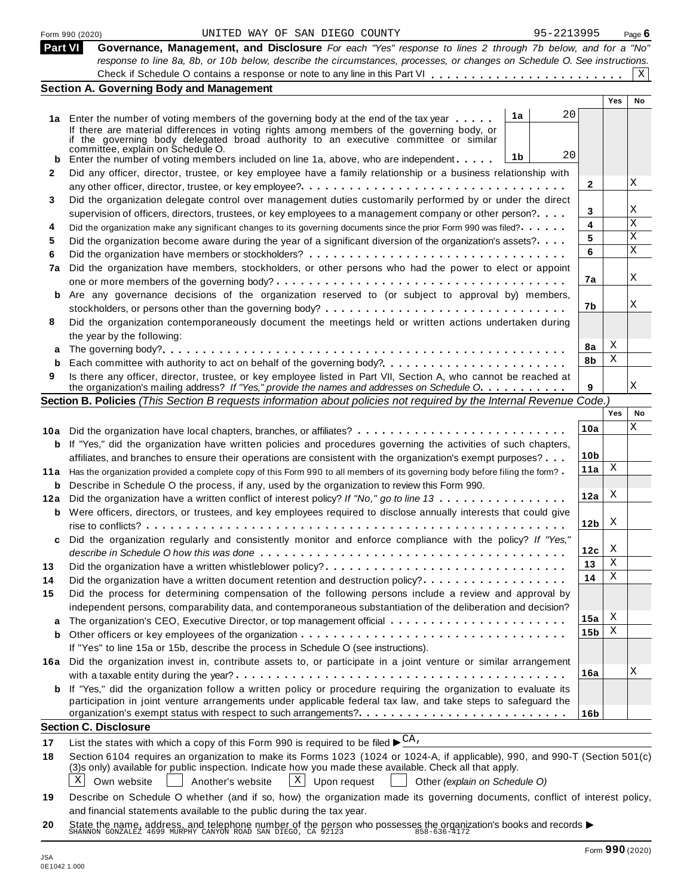|     | 95-2213995<br>UNITED WAY OF SAN DIEGO COUNTY<br>Form 990 (2020)                                                                                                                                                  |                 |            | Page $6$  |
|-----|------------------------------------------------------------------------------------------------------------------------------------------------------------------------------------------------------------------|-----------------|------------|-----------|
|     | Part VI<br>Governance, Management, and Disclosure For each "Yes" response to lines 2 through 7b below, and for a "No"                                                                                            |                 |            |           |
|     | response to line 8a, 8b, or 10b below, describe the circumstances, processes, or changes on Schedule O. See instructions.                                                                                        |                 |            |           |
|     |                                                                                                                                                                                                                  |                 |            | X         |
|     | <b>Section A. Governing Body and Management</b>                                                                                                                                                                  |                 |            |           |
|     |                                                                                                                                                                                                                  |                 | <b>Yes</b> | <b>No</b> |
|     | 20<br>1a<br>1a Enter the number of voting members of the governing body at the end of the tax year                                                                                                               |                 |            |           |
|     | If there are material differences in voting rights among members of the governing body, or                                                                                                                       |                 |            |           |
|     | if the governing body delegated broad authority to an executive committee or similar<br>committee, explain on Schedule O.                                                                                        |                 |            |           |
|     | 20<br>1b<br>Enter the number of voting members included on line 1a, above, who are independent                                                                                                                   |                 |            |           |
| 2   | Did any officer, director, trustee, or key employee have a family relationship or a business relationship with                                                                                                   |                 |            |           |
|     |                                                                                                                                                                                                                  | $\mathbf{2}$    |            | X         |
| 3   | Did the organization delegate control over management duties customarily performed by or under the direct                                                                                                        |                 |            |           |
|     | supervision of officers, directors, trustees, or key employees to a management company or other person?                                                                                                          | 3               |            | Χ         |
| 4   | Did the organization make any significant changes to its governing documents since the prior Form 990 was filed?                                                                                                 | 4               |            | Χ         |
| 5   | Did the organization become aware during the year of a significant diversion of the organization's assets?                                                                                                       | 5               |            | Χ         |
| 6   |                                                                                                                                                                                                                  | 6               |            | X         |
| 7a  | Did the organization have members, stockholders, or other persons who had the power to elect or appoint                                                                                                          |                 |            |           |
|     |                                                                                                                                                                                                                  | 7а              |            | Χ         |
|     | b Are any governance decisions of the organization reserved to (or subject to approval by) members,                                                                                                              |                 |            |           |
|     |                                                                                                                                                                                                                  | 7b              |            | Χ         |
| 8   | Did the organization contemporaneously document the meetings held or written actions undertaken during                                                                                                           |                 |            |           |
|     | the year by the following:                                                                                                                                                                                       |                 |            |           |
| a   |                                                                                                                                                                                                                  | 8a              | Χ          |           |
|     |                                                                                                                                                                                                                  | 8b              | Χ          |           |
| 9   | Is there any officer, director, trustee, or key employee listed in Part VII, Section A, who cannot be reached at                                                                                                 |                 |            |           |
|     | the organization's mailing address? If "Yes," provide the names and addresses on Schedule O.                                                                                                                     | 9               |            | Χ         |
|     | Section B. Policies (This Section B requests information about policies not required by the Internal Revenue Code.)                                                                                              |                 |            |           |
|     |                                                                                                                                                                                                                  |                 | Yes        | No        |
|     | 10a Did the organization have local chapters, branches, or affiliates?                                                                                                                                           | 10a             |            | Χ         |
|     | <b>b</b> If "Yes," did the organization have written policies and procedures governing the activities of such chapters,                                                                                          |                 |            |           |
|     | affiliates, and branches to ensure their operations are consistent with the organization's exempt purposes?                                                                                                      | 10 <sub>b</sub> |            |           |
|     | 11a Has the organization provided a complete copy of this Form 990 to all members of its governing body before filing the form?                                                                                  | 11a             | Χ          |           |
| b   | Describe in Schedule O the process, if any, used by the organization to review this Form 990.                                                                                                                    |                 |            |           |
| 12a | Did the organization have a written conflict of interest policy? If "No," go to line 13                                                                                                                          | 12a             | X          |           |
|     | <b>b</b> Were officers, directors, or trustees, and key employees required to disclose annually interests that could give                                                                                        |                 |            |           |
|     |                                                                                                                                                                                                                  | 12 <sub>b</sub> | X          |           |
|     | Did the organization regularly and consistently monitor and enforce compliance with the policy? If "Yes,"                                                                                                        |                 |            |           |
|     |                                                                                                                                                                                                                  | 12c             | X          |           |
| 13  | Did the organization have a written whistleblower policy?                                                                                                                                                        | 13              | Χ          |           |
| 14  | Did the organization have a written document retention and destruction policy?                                                                                                                                   | 14              | Χ          |           |
| 15  | Did the process for determining compensation of the following persons include a review and approval by                                                                                                           |                 |            |           |
|     | independent persons, comparability data, and contemporaneous substantiation of the deliberation and decision?                                                                                                    |                 |            |           |
| a   |                                                                                                                                                                                                                  | 15a             | Χ          |           |
| b   |                                                                                                                                                                                                                  | 15 <sub>b</sub> | Χ          |           |
|     | If "Yes" to line 15a or 15b, describe the process in Schedule O (see instructions).                                                                                                                              |                 |            |           |
|     | 16a Did the organization invest in, contribute assets to, or participate in a joint venture or similar arrangement                                                                                               |                 |            |           |
|     |                                                                                                                                                                                                                  | 16a             |            | X         |
|     |                                                                                                                                                                                                                  |                 |            |           |
|     |                                                                                                                                                                                                                  |                 |            |           |
|     | <b>b</b> If "Yes," did the organization follow a written policy or procedure requiring the organization to evaluate its                                                                                          |                 |            |           |
|     | participation in joint venture arrangements under applicable federal tax law, and take steps to safeguard the                                                                                                    | 16 <sub>b</sub> |            |           |
|     | <b>Section C. Disclosure</b>                                                                                                                                                                                     |                 |            |           |
|     |                                                                                                                                                                                                                  |                 |            |           |
| 17  | List the states with which a copy of this Form 990 is required to be filed $\blacktriangleright^{\text{CA}}$ .                                                                                                   |                 |            |           |
|     | Section 6104 requires an organization to make its Forms 1023 (1024 or 1024-A, if applicable), 990, and 990-T (Section 501(c)                                                                                     |                 |            |           |
| 18  | (3)s only) available for public inspection. Indicate how you made these available. Check all that apply.<br>$\mathbf{X}$<br>X                                                                                    |                 |            |           |
| 19  | Upon request<br>Own website<br>Another's website<br>Other (explain on Schedule O)<br>Describe on Schedule O whether (and if so, how) the organization made its governing documents, conflict of interest policy, |                 |            |           |

**20** and infancial statements available to the public during the tax year.<br>State the name, address, and telephone number of the person who possesses the organization's books and records <br>SHANNON GONZALEZ 4699 MURPHY CANYON ROAD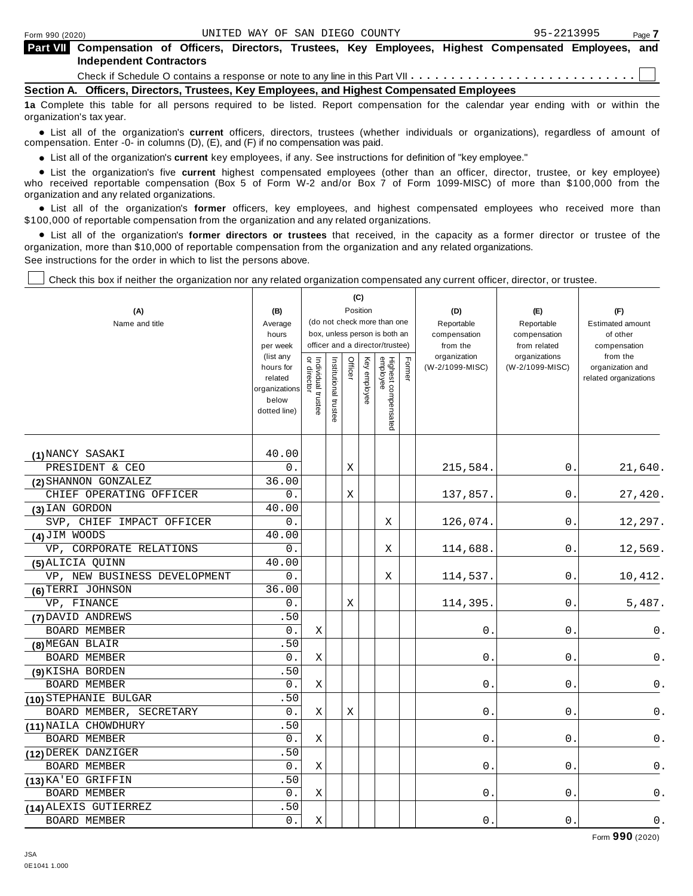| <b>Part VII</b> Compensation of Officers, Directors, Trustees, Key Employees, Highest Compensated Employees, and<br><b>Independent Contractors</b> |  |  |  |  |  |
|----------------------------------------------------------------------------------------------------------------------------------------------------|--|--|--|--|--|
| Check if Schedule O contains a response or note to any line in this Part VII $\ldots \ldots \ldots \ldots \ldots \ldots \ldots \ldots$             |  |  |  |  |  |

**Section A. Officers, Directors, Trustees, Key Employees, and Highest Compensated Employees**

**1a** Complete this table for all persons required to be listed. Report compensation for the calendar year ending with or within the organization's tax year.

anization's lax year.<br>● List all of the organization's **current** officers, directors, trustees (whether individuals or organizations), regardless of amount of<br>nnensation Enter -0- in columns (D) (E) and (E) if no compensa compensation. Enter -0- in columns (D), (E), and (F) if no compensation was paid.

• List all of the organization's current key employees, if any. See instructions for definition of "key employee."

■ List all of the organization's current key employees, if any. See instructions for definition of "key employee."<br>■ List the organization's five current highest compensated employees (other than an officer, director, tru who received reportable compensation (Box 5 of Form W-2 and/or Box 7 of Form 1099-MISC) of more than \$100,000 from the<br>organization and any related organizations.

organization and any related organizations.<br>• List all of the organization's **former** officers, key employees, and highest compensated employees who received more than<br>\$1.00.000 of reportable componention from the erganiza \$100,000 of reportable compensation from the organization and any related organizations.

% List all of the organization's **former directors or trustees** that received, in the capacity as a former director or trustee of the organization, more than \$10,000 of reportable compensation from the organization and any related organizations. See instructions for the order in which to list the persons above.

Check this box if neither the organization nor any related organization compensated any current officer, director, or trustee.

|                              |                                                                | (C)<br>Position<br>(B)                                                                          |                       |         |              |                                 |        |                          |                               |                                           |
|------------------------------|----------------------------------------------------------------|-------------------------------------------------------------------------------------------------|-----------------------|---------|--------------|---------------------------------|--------|--------------------------|-------------------------------|-------------------------------------------|
| (A)                          |                                                                |                                                                                                 |                       |         |              |                                 |        | (D)                      | (E)                           | (F)                                       |
| Name and title               | Average                                                        | (do not check more than one<br>box, unless person is both an<br>officer and a director/trustee) |                       |         |              |                                 |        | Reportable               | Reportable                    | <b>Estimated amount</b>                   |
|                              | hours                                                          |                                                                                                 |                       |         |              |                                 |        | compensation             | compensation                  | of other                                  |
|                              | per week<br>(list any                                          |                                                                                                 |                       |         |              |                                 |        | from the<br>organization | from related<br>organizations | compensation<br>from the                  |
|                              | hours for<br>related<br>organizations<br>below<br>dotted line) | Individual trustee<br>or director                                                               | Institutional trustee | Officer | Key employee | Highest compensated<br>employee | Former | (W-2/1099-MISC)          | (W-2/1099-MISC)               | organization and<br>related organizations |
|                              |                                                                |                                                                                                 |                       |         |              |                                 |        |                          |                               |                                           |
| (1) NANCY SASAKI             | 40.00                                                          |                                                                                                 |                       |         |              |                                 |        |                          |                               |                                           |
| PRESIDENT & CEO              | $0$ .                                                          |                                                                                                 |                       | Χ       |              |                                 |        | 215,584.                 | 0.                            | 21,640.                                   |
| (2) SHANNON GONZALEZ         | 36.00                                                          |                                                                                                 |                       |         |              |                                 |        |                          |                               |                                           |
| CHIEF OPERATING OFFICER      | 0.                                                             |                                                                                                 |                       | Χ       |              |                                 |        | 137,857.                 | $0\,$ .                       | 27,420.                                   |
| (3) IAN GORDON               | 40.00                                                          |                                                                                                 |                       |         |              |                                 |        |                          |                               |                                           |
| SVP, CHIEF IMPACT OFFICER    | 0.                                                             |                                                                                                 |                       |         |              | Χ                               |        | 126,074.                 | 0                             | 12,297.                                   |
| (4) JIM WOODS                | 40.00                                                          |                                                                                                 |                       |         |              |                                 |        |                          |                               |                                           |
| VP, CORPORATE RELATIONS      | $0$ .                                                          |                                                                                                 |                       |         |              | X                               |        | 114,688                  | 0.                            | 12,569.                                   |
| (5) ALICIA QUINN             | 40.00                                                          |                                                                                                 |                       |         |              |                                 |        |                          |                               |                                           |
| VP, NEW BUSINESS DEVELOPMENT | $0$ .                                                          |                                                                                                 |                       |         |              | Χ                               |        | 114,537.                 | 0.                            | 10,412.                                   |
| (6) TERRI JOHNSON            | 36.00                                                          |                                                                                                 |                       |         |              |                                 |        |                          |                               |                                           |
| VP, FINANCE                  | 0.                                                             |                                                                                                 |                       | Χ       |              |                                 |        | 114,395.                 | 0                             | 5,487.                                    |
| (7) DAVID ANDREWS            | .50                                                            |                                                                                                 |                       |         |              |                                 |        |                          |                               |                                           |
| <b>BOARD MEMBER</b>          | 0.                                                             | Χ                                                                                               |                       |         |              |                                 |        | 0                        | 0                             | 0.                                        |
| (8) MEGAN BLAIR              | .50                                                            |                                                                                                 |                       |         |              |                                 |        |                          |                               |                                           |
| <b>BOARD MEMBER</b>          | 0.                                                             | Χ                                                                                               |                       |         |              |                                 |        | 0                        | 0                             | 0.                                        |
| (9) KISHA BORDEN             | .50                                                            |                                                                                                 |                       |         |              |                                 |        |                          |                               |                                           |
| <b>BOARD MEMBER</b>          | 0.                                                             | $\mathbf X$                                                                                     |                       |         |              |                                 |        | 0                        | 0                             | 0.                                        |
| (10) STEPHANIE BULGAR        | .50                                                            |                                                                                                 |                       |         |              |                                 |        |                          |                               |                                           |
| BOARD MEMBER, SECRETARY      | 0.                                                             | Χ                                                                                               |                       | Χ       |              |                                 |        | $0$ .                    | $0$ .                         | 0.                                        |
| (11) NAILA CHOWDHURY         | .50                                                            |                                                                                                 |                       |         |              |                                 |        |                          |                               |                                           |
| <b>BOARD MEMBER</b>          | $0$ .                                                          | Χ                                                                                               |                       |         |              |                                 |        | 0                        | 0                             | 0.                                        |
| (12) DEREK DANZIGER          | .50                                                            |                                                                                                 |                       |         |              |                                 |        |                          |                               |                                           |
| BOARD MEMBER                 | 0.                                                             | Χ                                                                                               |                       |         |              |                                 |        | 0                        | 0                             | 0.                                        |
| (13) KA' EO GRIFFIN          | .50                                                            |                                                                                                 |                       |         |              |                                 |        |                          |                               |                                           |
| <b>BOARD MEMBER</b>          | 0.                                                             | Χ                                                                                               |                       |         |              |                                 |        | 0                        | 0                             | 0.                                        |
| (14) ALEXIS GUTIERREZ        | .50                                                            |                                                                                                 |                       |         |              |                                 |        |                          |                               |                                           |
| BOARD MEMBER                 | $0$ .                                                          | Χ                                                                                               |                       |         |              |                                 |        | $0$ .                    | 0                             | $0$ .                                     |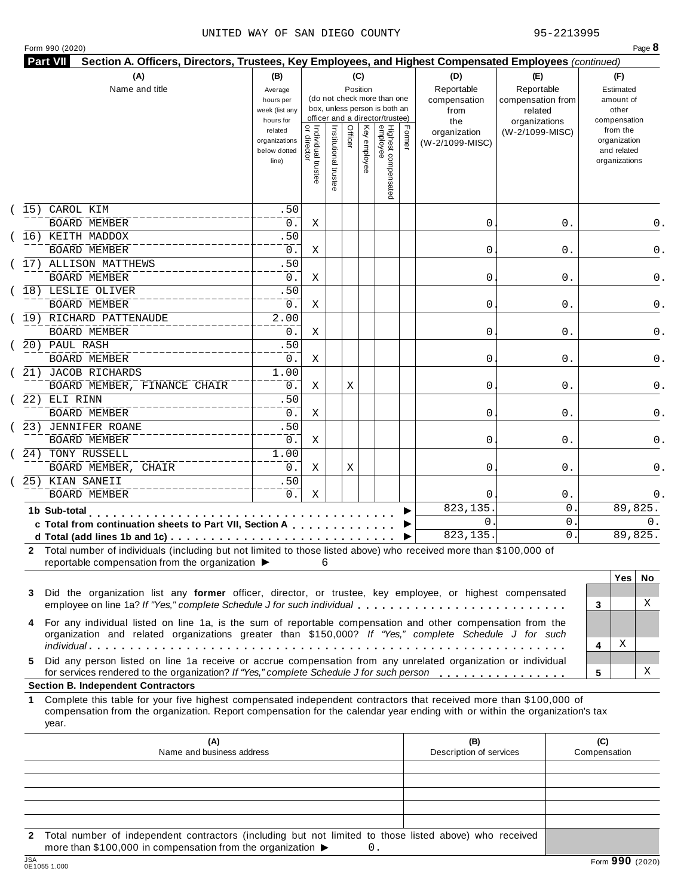#### UNITED WAY OF SAN DIEGO COUNTY 95-2213995

| Form 990 (2020) |  |
|-----------------|--|
|-----------------|--|

| (A)                                                                                                                                                                                        | (B)                                                 |                                           |                                                                                                 | (C)      |              |                                 |        | (D)                                       | (E)                                                         | (F)                                                      |
|--------------------------------------------------------------------------------------------------------------------------------------------------------------------------------------------|-----------------------------------------------------|-------------------------------------------|-------------------------------------------------------------------------------------------------|----------|--------------|---------------------------------|--------|-------------------------------------------|-------------------------------------------------------------|----------------------------------------------------------|
| Name and title                                                                                                                                                                             | Average<br>hours per<br>week (list any<br>hours for |                                           | (do not check more than one<br>box, unless person is both an<br>officer and a director/trustee) | Position |              |                                 |        | Reportable<br>compensation<br>from<br>the | Reportable<br>compensation from<br>related<br>organizations | Estimated<br>amount of<br>other<br>compensation          |
|                                                                                                                                                                                            | related<br>organizations<br>below dotted<br>line)   | <br>  Individual trustee<br>  or director | Institutional trustee                                                                           | Officer  | Key employee | Highest compensated<br>employee | Former | organization<br>(W-2/1099-MISC)           | (W-2/1099-MISC)                                             | from the<br>organization<br>and related<br>organizations |
| CAROL KIM<br>15)                                                                                                                                                                           | .50                                                 |                                           |                                                                                                 |          |              |                                 |        |                                           |                                                             |                                                          |
| <b>BOARD MEMBER</b>                                                                                                                                                                        | 0.                                                  | Χ                                         |                                                                                                 |          |              |                                 |        | 0                                         | 0.                                                          | 0.                                                       |
| 16) KEITH MADDOX                                                                                                                                                                           | .50                                                 |                                           |                                                                                                 |          |              |                                 |        |                                           |                                                             |                                                          |
| <b>BOARD MEMBER</b>                                                                                                                                                                        | 0.                                                  | Χ                                         |                                                                                                 |          |              |                                 |        | 0                                         | 0.                                                          | 0.                                                       |
| 17) ALLISON MATTHEWS                                                                                                                                                                       | .50                                                 |                                           |                                                                                                 |          |              |                                 |        |                                           |                                                             |                                                          |
| <b>BOARD MEMBER</b>                                                                                                                                                                        | 0.                                                  | X                                         |                                                                                                 |          |              |                                 |        | 0                                         | 0.                                                          | 0.                                                       |
| 18) LESLIE OLIVER                                                                                                                                                                          | .50                                                 |                                           |                                                                                                 |          |              |                                 |        |                                           |                                                             |                                                          |
| <b>BOARD MEMBER</b>                                                                                                                                                                        | 0.                                                  | Χ                                         |                                                                                                 |          |              |                                 |        | 0                                         | 0.                                                          | 0.                                                       |
| (19) RICHARD PATTENAUDE                                                                                                                                                                    | $\overline{2.00}$                                   |                                           |                                                                                                 |          |              |                                 |        |                                           |                                                             |                                                          |
| <b>BOARD MEMBER</b>                                                                                                                                                                        | 0.                                                  | Χ                                         |                                                                                                 |          |              |                                 |        | 0                                         | 0.                                                          | 0.                                                       |
| 20) PAUL RASH                                                                                                                                                                              | .50                                                 |                                           |                                                                                                 |          |              |                                 |        |                                           |                                                             |                                                          |
| <b>BOARD MEMBER</b>                                                                                                                                                                        | 0.                                                  | Χ                                         |                                                                                                 |          |              |                                 |        | 0                                         | 0.                                                          | 0.                                                       |
| 21) JACOB RICHARDS                                                                                                                                                                         | 1.00                                                |                                           |                                                                                                 |          |              |                                 |        |                                           |                                                             |                                                          |
| BOARD MEMBER, FINANCE CHAIR                                                                                                                                                                | 0.                                                  | Χ                                         |                                                                                                 | Χ        |              |                                 |        | 0                                         | 0.                                                          | 0.                                                       |
| 22) ELI RINN                                                                                                                                                                               | .50                                                 |                                           |                                                                                                 |          |              |                                 |        |                                           |                                                             |                                                          |
| <b>BOARD MEMBER</b>                                                                                                                                                                        | $0$ .                                               | Χ                                         |                                                                                                 |          |              |                                 |        | 0                                         | 0.                                                          | 0.                                                       |
| 23) JENNIFER ROANE                                                                                                                                                                         | .50                                                 |                                           |                                                                                                 |          |              |                                 |        |                                           |                                                             |                                                          |
| <b>BOARD MEMBER</b>                                                                                                                                                                        | $0$ .                                               | Χ                                         |                                                                                                 |          |              |                                 |        | 0                                         | 0.                                                          | 0.                                                       |
| 24) TONY RUSSELL                                                                                                                                                                           | 1.00                                                |                                           |                                                                                                 |          |              |                                 |        |                                           |                                                             |                                                          |
| BOARD MEMBER, CHAIR                                                                                                                                                                        | 0.                                                  | Χ                                         |                                                                                                 | Χ        |              |                                 |        | 0                                         | 0.                                                          | 0.                                                       |
| 25) KIAN SANEII                                                                                                                                                                            | .50                                                 |                                           |                                                                                                 |          |              |                                 |        |                                           |                                                             |                                                          |
| <b>BOARD MEMBER</b>                                                                                                                                                                        | $0$ .                                               | Χ                                         |                                                                                                 |          |              |                                 |        | 0                                         | $0$ .                                                       | 0.                                                       |
| 1b Sub-total<br>. <b>.</b> .                                                                                                                                                               |                                                     |                                           |                                                                                                 |          |              |                                 |        | 823, 135.                                 | 0                                                           | 89,825.                                                  |
| c Total from continuation sheets to Part VII, Section A                                                                                                                                    |                                                     |                                           |                                                                                                 |          |              |                                 |        | $\mathbf{0}$                              | 0                                                           | 0.                                                       |
|                                                                                                                                                                                            |                                                     |                                           |                                                                                                 |          |              |                                 |        | 823,135.                                  | 0                                                           | 89,825.                                                  |
| 2 Total number of individuals (including but not limited to those listed above) who received more than \$100,000 of<br>reportable compensation from the organization $\blacktriangleright$ |                                                     | 6                                         |                                                                                                 |          |              |                                 |        |                                           |                                                             |                                                          |
|                                                                                                                                                                                            |                                                     |                                           |                                                                                                 |          |              |                                 |        |                                           |                                                             | Yes<br>No.                                               |
| Did the organization list any former officer, director, or trustee, key employee, or highest compensated<br>3<br>employee on line 1a? If "Yes," complete Schedule J for such individual    |                                                     |                                           |                                                                                                 |          |              |                                 |        |                                           |                                                             | X<br>3                                                   |
|                                                                                                                                                                                            |                                                     |                                           |                                                                                                 |          |              |                                 |        |                                           |                                                             |                                                          |

**5** Did any person listed on line 1a receive or accrue compensation from any unrelated organization or individual for services rendered to the organization? *If"Yes," complete Schedule <sup>J</sup> for such person* mm m m m m m m m m m m m m m m **<sup>5</sup>**

#### **Section B. Independent Contractors**

**1** Complete this table for your five highest compensated independent contractors that received more than \$100,000 of compensation from the organization. Report compensation for the calendar year ending with or within the organization's tax year.

|              | (A)<br>Name and business address                                                                                                                                                               | (B)<br>Description of services | (C)<br>Compensation |
|--------------|------------------------------------------------------------------------------------------------------------------------------------------------------------------------------------------------|--------------------------------|---------------------|
|              |                                                                                                                                                                                                |                                |                     |
|              |                                                                                                                                                                                                |                                |                     |
|              |                                                                                                                                                                                                |                                |                     |
|              |                                                                                                                                                                                                |                                |                     |
|              |                                                                                                                                                                                                |                                |                     |
| $\mathbf{2}$ | Total number of independent contractors (including but not limited to those listed above) who received<br>more than \$100,000 in compensation from the organization $\blacktriangleright$<br>0 |                                |                     |
| 10A          |                                                                                                                                                                                                |                                | $\sim$ $\sim$       |

X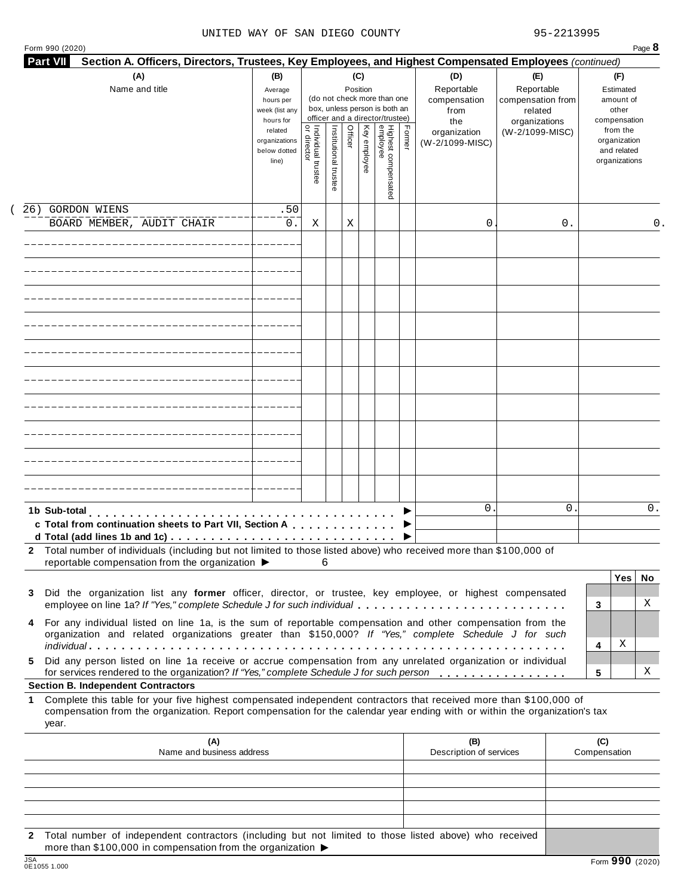#### UNITED WAY OF SAN DIEGO COUNTY 95-2213995

| (A)<br>Name and title                                                                                                                                                                                                                                                                                        | (B)<br>Average<br>hours per<br>week (list any<br>hours for |                                           |                       | (C)<br>Position |              | (do not check more than one<br>box, unless person is both an<br>officer and a director/trustee) |        | Section A. Officers, Directors, Trustees, Key Employees, and Highest Compensated Employees (continued)<br>(D)<br>Reportable<br>compensation<br>from<br>the | (E)<br>Reportable<br>compensation from<br>related<br>organizations |    | (F)<br>Estimated<br>amount of<br>other<br>compensation   |          |
|--------------------------------------------------------------------------------------------------------------------------------------------------------------------------------------------------------------------------------------------------------------------------------------------------------------|------------------------------------------------------------|-------------------------------------------|-----------------------|-----------------|--------------|-------------------------------------------------------------------------------------------------|--------|------------------------------------------------------------------------------------------------------------------------------------------------------------|--------------------------------------------------------------------|----|----------------------------------------------------------|----------|
|                                                                                                                                                                                                                                                                                                              | related<br>organizations<br>below dotted<br>line)          | <br>  Individual trustee<br>  or director | Institutional trustee | Officer         | Key employee | Highest compensated<br>employee                                                                 | Former | organization<br>(W-2/1099-MISC)                                                                                                                            | (W-2/1099-MISC)                                                    |    | from the<br>organization<br>and related<br>organizations |          |
| <b>GORDON WIENS</b><br>26)                                                                                                                                                                                                                                                                                   | .50                                                        |                                           |                       |                 |              |                                                                                                 |        |                                                                                                                                                            |                                                                    |    |                                                          |          |
| BOARD MEMBER, AUDIT CHAIR                                                                                                                                                                                                                                                                                    | 0.                                                         | Χ                                         |                       | Χ               |              |                                                                                                 |        | 0                                                                                                                                                          |                                                                    | 0. |                                                          | 0.       |
|                                                                                                                                                                                                                                                                                                              |                                                            |                                           |                       |                 |              |                                                                                                 |        |                                                                                                                                                            |                                                                    |    |                                                          |          |
|                                                                                                                                                                                                                                                                                                              |                                                            |                                           |                       |                 |              |                                                                                                 |        |                                                                                                                                                            |                                                                    |    |                                                          |          |
|                                                                                                                                                                                                                                                                                                              |                                                            |                                           |                       |                 |              |                                                                                                 |        |                                                                                                                                                            |                                                                    |    |                                                          |          |
|                                                                                                                                                                                                                                                                                                              |                                                            |                                           |                       |                 |              |                                                                                                 |        |                                                                                                                                                            |                                                                    |    |                                                          |          |
|                                                                                                                                                                                                                                                                                                              |                                                            |                                           |                       |                 |              |                                                                                                 |        |                                                                                                                                                            |                                                                    |    |                                                          |          |
|                                                                                                                                                                                                                                                                                                              |                                                            |                                           |                       |                 |              |                                                                                                 |        |                                                                                                                                                            |                                                                    |    |                                                          |          |
|                                                                                                                                                                                                                                                                                                              |                                                            |                                           |                       |                 |              |                                                                                                 |        |                                                                                                                                                            |                                                                    |    |                                                          |          |
| 1b Sub-total<br>c Total from continuation sheets to Part VII, Section A                                                                                                                                                                                                                                      |                                                            |                                           |                       |                 |              |                                                                                                 |        | $\mathbf{0}$                                                                                                                                               |                                                                    | 0  |                                                          | 0.       |
| 2 Total number of individuals (including but not limited to those listed above) who received more than \$100,000 of<br>reportable compensation from the organization ▶                                                                                                                                       |                                                            | 6                                         |                       |                 |              |                                                                                                 |        |                                                                                                                                                            |                                                                    |    |                                                          |          |
| Did the organization list any former officer, director, or trustee, key employee, or highest compensated<br>3<br>employee on line 1a? If "Yes," complete Schedule J for such individual                                                                                                                      |                                                            |                                           |                       |                 |              |                                                                                                 |        |                                                                                                                                                            |                                                                    |    | <b>Yes</b><br>3                                          | No.<br>X |
| For any individual listed on line 1a, is the sum of reportable compensation and other compensation from the<br>4<br>organization and related organizations greater than \$150,000? If "Yes," complete Schedule J for such                                                                                    |                                                            |                                           |                       |                 |              |                                                                                                 |        |                                                                                                                                                            |                                                                    |    | Χ<br>4                                                   |          |
| Did any person listed on line 1a receive or accrue compensation from any unrelated organization or individual<br>5.<br>for services rendered to the organization? If "Yes," complete Schedule J for such person                                                                                              |                                                            |                                           |                       |                 |              |                                                                                                 |        |                                                                                                                                                            |                                                                    |    | 5                                                        | X        |
| <b>Section B. Independent Contractors</b><br>Complete this table for your five highest compensated independent contractors that received more than \$100,000 of<br>1.<br>compensation from the organization. Report compensation for the calendar year ending with or within the organization's tax<br>year. |                                                            |                                           |                       |                 |              |                                                                                                 |        |                                                                                                                                                            |                                                                    |    |                                                          |          |
| (A)<br>Name and business address                                                                                                                                                                                                                                                                             |                                                            |                                           |                       |                 |              |                                                                                                 |        | (B)<br>Description of services                                                                                                                             |                                                                    |    | (C)<br>Compensation                                      |          |
|                                                                                                                                                                                                                                                                                                              |                                                            |                                           |                       |                 |              |                                                                                                 |        |                                                                                                                                                            |                                                                    |    |                                                          |          |

**2** Total number of independent contractors (including but not limited to those listed above) who received more than \$100,000 in compensation from the organization  $\blacktriangleright$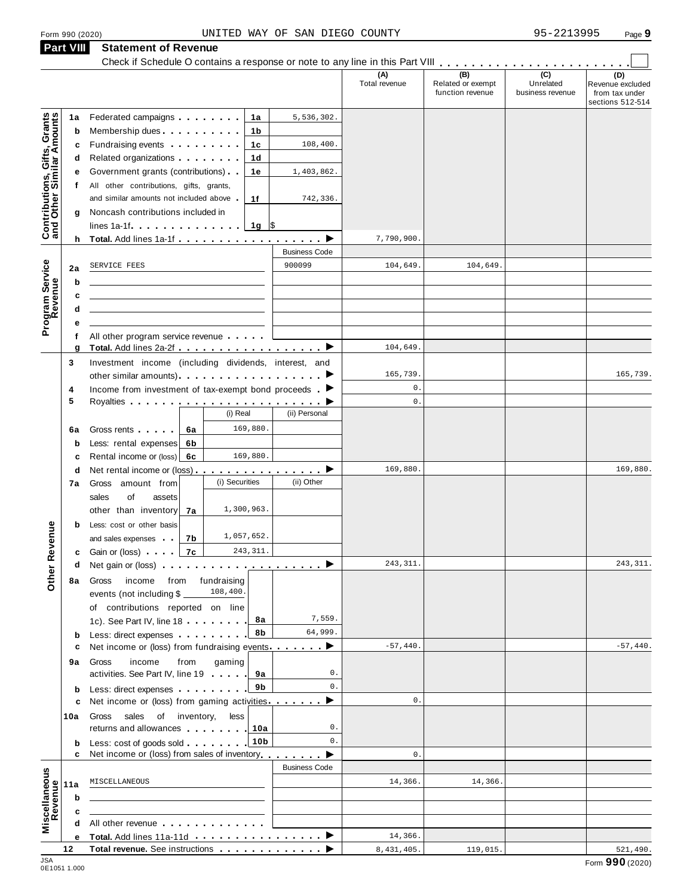## Form <sup>990</sup> (2020) Page **9** UNITED WAY OF SAN DIEGO COUNTY 95-2213995 **Part VIII Statement of Revenue**

|                                                           | <b>Part VIII</b> | Statement of Revenue<br>Check if Schedule O contains a response or note to any line in this Part VIII                                                                                                                                    |                      |                      |                                              |                                      |                                                               |
|-----------------------------------------------------------|------------------|------------------------------------------------------------------------------------------------------------------------------------------------------------------------------------------------------------------------------------------|----------------------|----------------------|----------------------------------------------|--------------------------------------|---------------------------------------------------------------|
|                                                           |                  |                                                                                                                                                                                                                                          |                      | (A)<br>Total revenue | (B)<br>Related or exempt<br>function revenue | (C)<br>Unrelated<br>business revenue | (D)<br>Revenue excluded<br>from tax under<br>sections 512-514 |
| Contributions, Gifts, Grants<br>and Other Similar Amounts | 1a               | Federated campaigns <b>Federated</b><br>1a                                                                                                                                                                                               | 5,536,302.           |                      |                                              |                                      |                                                               |
|                                                           | b                | Membership dues <b>All Accords</b> Membership dues<br>1b                                                                                                                                                                                 |                      |                      |                                              |                                      |                                                               |
|                                                           | c                | Fundraising events <b>Exercises</b><br>1c                                                                                                                                                                                                | 108,400.             |                      |                                              |                                      |                                                               |
|                                                           | d                | Related organizations <b>contains</b> a set of the set of the set of the set of the set of the set of the set of the set of the set of the set of the set of the set of the set of the set of the set of the set of the set of the<br>1d |                      |                      |                                              |                                      |                                                               |
|                                                           | е                | Government grants (contributions).<br>1е                                                                                                                                                                                                 | 1,403,862.           |                      |                                              |                                      |                                                               |
|                                                           | t.               | All other contributions, gifts, grants,                                                                                                                                                                                                  |                      |                      |                                              |                                      |                                                               |
|                                                           |                  | and similar amounts not included above<br>1f                                                                                                                                                                                             | 742,336.             |                      |                                              |                                      |                                                               |
|                                                           | g                | Noncash contributions included in                                                                                                                                                                                                        |                      |                      |                                              |                                      |                                                               |
|                                                           |                  | $1g$ \$                                                                                                                                                                                                                                  |                      |                      |                                              |                                      |                                                               |
|                                                           |                  | h Total. Add lines 1a-1f $\ldots$ , $\ldots$ , $\ldots$ , $\blacktriangleright$                                                                                                                                                          |                      | 7,790,900.           |                                              |                                      |                                                               |
|                                                           |                  |                                                                                                                                                                                                                                          | <b>Business Code</b> |                      |                                              |                                      |                                                               |
| Program Service<br>Revenue                                | 2a               | SERVICE FEES                                                                                                                                                                                                                             | 900099               | 104,649.             | 104,649                                      |                                      |                                                               |
|                                                           | b                |                                                                                                                                                                                                                                          |                      |                      |                                              |                                      |                                                               |
|                                                           | c                |                                                                                                                                                                                                                                          |                      |                      |                                              |                                      |                                                               |
|                                                           | d                |                                                                                                                                                                                                                                          |                      |                      |                                              |                                      |                                                               |
|                                                           | е                |                                                                                                                                                                                                                                          |                      |                      |                                              |                                      |                                                               |
|                                                           | f                | All other program service revenue                                                                                                                                                                                                        |                      |                      |                                              |                                      |                                                               |
|                                                           | g                | Total. Add lines 2a-2f ▶                                                                                                                                                                                                                 |                      | 104,649.             |                                              |                                      |                                                               |
|                                                           | 3                | Investment income (including dividends, interest, and                                                                                                                                                                                    |                      |                      |                                              |                                      |                                                               |
|                                                           |                  |                                                                                                                                                                                                                                          |                      | 165,739.             |                                              |                                      | 165,739.                                                      |
|                                                           | 4                | Income from investment of tax-exempt bond proceeds $\blacktriangleright$                                                                                                                                                                 |                      | $\mathbf 0$ .        |                                              |                                      |                                                               |
|                                                           | 5                | (i) Real                                                                                                                                                                                                                                 | (ii) Personal        | $0$ .                |                                              |                                      |                                                               |
|                                                           |                  |                                                                                                                                                                                                                                          |                      |                      |                                              |                                      |                                                               |
|                                                           | 6a               | 169,880.<br>Gross rents<br>6a                                                                                                                                                                                                            |                      |                      |                                              |                                      |                                                               |
|                                                           | b                | Less: rental expenses<br>6b                                                                                                                                                                                                              |                      |                      |                                              |                                      |                                                               |
|                                                           | c                | 169,880.<br>Rental income or (loss)<br>6с                                                                                                                                                                                                |                      |                      |                                              |                                      |                                                               |
|                                                           | d                |                                                                                                                                                                                                                                          |                      | 169,880.             |                                              |                                      | 169,880.                                                      |
|                                                           | 7а               | (i) Securities<br>Gross amount from                                                                                                                                                                                                      | (ii) Other           |                      |                                              |                                      |                                                               |
|                                                           |                  | sales<br>of<br>assets                                                                                                                                                                                                                    |                      |                      |                                              |                                      |                                                               |
|                                                           |                  | 1,300,963.<br>other than inventory<br>7a                                                                                                                                                                                                 |                      |                      |                                              |                                      |                                                               |
|                                                           | b                | Less: cost or other basis                                                                                                                                                                                                                |                      |                      |                                              |                                      |                                                               |
| evenue                                                    |                  | 1,057,652.<br>7b<br>and sales expenses                                                                                                                                                                                                   |                      |                      |                                              |                                      |                                                               |
|                                                           |                  | 7c<br>243, 311.<br><b>c</b> Gain or (loss) and a                                                                                                                                                                                         |                      |                      |                                              |                                      |                                                               |
| Other <sub>R</sub>                                        | d                | Net gain or (loss) experience in the set of the set of the set of the set of the set of the set of the set of the set of the set of the set of the set of the set of the set of the set of the set of the set of the set of th           | ▸                    | 243, 311.            |                                              |                                      | 243, 311.                                                     |
|                                                           | 8a               | fundraising<br>income<br>from<br>Gross                                                                                                                                                                                                   |                      |                      |                                              |                                      |                                                               |
|                                                           |                  | 108,400.<br>events (not including \$                                                                                                                                                                                                     |                      |                      |                                              |                                      |                                                               |
|                                                           |                  | of contributions reported on line                                                                                                                                                                                                        |                      |                      |                                              |                                      |                                                               |
|                                                           |                  | 8а<br>1c). See Part IV, line 18                                                                                                                                                                                                          | 7,559.               |                      |                                              |                                      |                                                               |
|                                                           | b                | 8b<br>Less: direct expenses                                                                                                                                                                                                              | 64,999.              |                      |                                              |                                      |                                                               |
|                                                           | c                | Net income or (loss) from fundraising events ▶                                                                                                                                                                                           |                      | $-57,440.$           |                                              |                                      | $-57,440.$                                                    |
|                                                           | 9а               | income<br>from<br>gaming<br>Gross                                                                                                                                                                                                        |                      |                      |                                              |                                      |                                                               |
|                                                           |                  | activities. See Part IV, line 19<br>9а                                                                                                                                                                                                   | 0.                   |                      |                                              |                                      |                                                               |
|                                                           | b                | 9b<br>Less: direct expenses                                                                                                                                                                                                              | 0.                   |                      |                                              |                                      |                                                               |
|                                                           | c                | Net income or (loss) from gaming activities.                                                                                                                                                                                             |                      | $0$ .                |                                              |                                      |                                                               |
|                                                           | 10a              | sales of inventory,<br>less<br>Gross                                                                                                                                                                                                     |                      |                      |                                              |                                      |                                                               |
|                                                           |                  | returns and allowances<br>10a                                                                                                                                                                                                            | 0.<br>0.             |                      |                                              |                                      |                                                               |
|                                                           | b<br>c           | 10b<br>Less: cost of goods sold<br>Net income or (loss) from sales of inventory                                                                                                                                                          |                      | $\mathbf{0}$ .       |                                              |                                      |                                                               |
|                                                           |                  |                                                                                                                                                                                                                                          | <b>Business Code</b> |                      |                                              |                                      |                                                               |
|                                                           |                  | MISCELLANEOUS                                                                                                                                                                                                                            |                      | 14,366.              | 14,366.                                      |                                      |                                                               |
|                                                           | 11a              |                                                                                                                                                                                                                                          |                      |                      |                                              |                                      |                                                               |
|                                                           | b                |                                                                                                                                                                                                                                          |                      |                      |                                              |                                      |                                                               |
| Miscellaneous<br>Revenue                                  | c                |                                                                                                                                                                                                                                          |                      |                      |                                              |                                      |                                                               |
|                                                           | d                | All other revenue example and the state of the state of the state of the state of the state of the state of the                                                                                                                          |                      |                      |                                              |                                      |                                                               |
|                                                           | е                | Total. Add lines 11a-11d<br>Total revenue. See instructions                                                                                                                                                                              |                      | 14,366.              |                                              |                                      |                                                               |
| 10A                                                       | 12               |                                                                                                                                                                                                                                          |                      | 8,431,405.           | 119,015.                                     |                                      | 521,490.                                                      |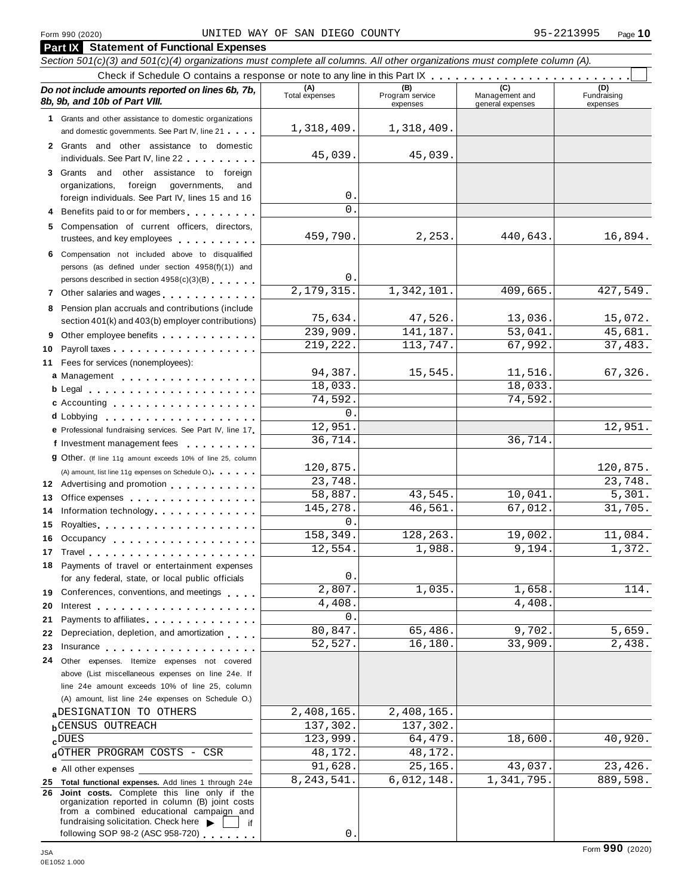**Part IX Statement of Functional Expenses**

#### Section 501(c)(3) and 501(c)(4) organizations must complete all columns. All other organizations must complete column (A). Check if Schedule <sup>O</sup> contains <sup>a</sup> response or note to any line in this Part IX m m m m m m m m m m m m m m m m m m m m m m m m m *Do no* **(A) (B) (C) (D)** *t include amounts reported on lines 6b, 7b,* **8b, 9b, and 10b of Part VIII.** The construction of *B***, 9b, and 10b of Part VIII.** expenses Management and general expenses Fundraising expenses **1** Grants and other assistance to domestic organizations and domestic governments. See Part IV, line 21 m m m **2** Grants and other assistance to domestic individuals. See Part IV, line 22 **3** Grants and other assistance to foreign organizations, foreign governments, and foreign individuals. See Part IV, lines 15 and 16 **4** Benefits paid to or for members **5** Compensation of current officers, directors, trustees, and key employees **6** Compensation not included above to disqualified persons (as defined under section 4958(f)(1)) and persons described in section 4958(c)(3)(B) <sup>m</sup> <sup>m</sup> <sup>m</sup> <sup>m</sup> <sup>m</sup> <sup>m</sup> **<sup>7</sup>** Other salaries and wages <sup>m</sup> <sup>m</sup> <sup>m</sup> <sup>m</sup> <sup>m</sup> <sup>m</sup> <sup>m</sup> <sup>m</sup> <sup>m</sup> <sup>m</sup> <sup>m</sup> <sup>m</sup> **8** Pension plan accruals and contributions (include section 401(k) and 403(b) employer contributions) **9** Section 401(k) and 403(b) employer contributions<br>9 Other employee benefits 9 Other employee benefits **10** Payroll taxes **10** Fees for services (nonemployees): **11** A) amount, list line 11g expenses on Schedule O.)<br>**12** Advertising and promotion **manual 13** Office expenses **13** Office expenses<br>**14** Information technology............. 14 Information technology<br>15 Royalties <sub>…</sub>……………………… **16** Occupancy m m m m m m m m m m m m m m m m m m **16** Occupancy ...................<br>17 Travel..................... **18** Payments of travel or entertainment expenses for any federal, state, or local public officials<br>**19** Conferences, conventions, and meetings **19** Conferences, conventions, and meetings **with meetings**<br>20 Interest **manual meetings 21** 21 Payments to affiliates<br>22 Depreciation, depletion, and amortization <sub>1</sub> . . . **22** Depreciation, depletion, and amortization **manufation**<br>23 Insurance 24 Other expenses. Itemize expenses not covered | Fees for services (nonemployees):<br>**a** Management ..................<br>**b** Legal ......................... **cd** Lobbying m m m m m m m m m m m m m m m m m m m **e** Professional fundraising services. See Part IV, line <sup>17</sup> m **P** Professional fundraising services. See Part IV, line 17<br>**f** Investment management fees **g** Other. (If line 11g amount exceeds 10% of line 25, column Legal m m m m m m m m m m m m m m m m m m m m m Accounting m m m m m m m m m m m m m m m m m m (A) amount, list line 11g expenses on Schedule O.) means m m m m m m m m m m m m m m m m for any federal, state, or local public officials Payments to affiliates m m m m m m m m m m m m m m above (List miscellaneous expenses on line 24e. If line 24e amount exceeds 10% of line 25, column (A) amount, list line 24e expenses on Schedule O.) **a**<u>b</u>CENSUS OUTREACH **137,302.**137,302.
137,302.
137,302. **c**DUES<br> **d**OTHER PROGRAM COSTS - CSR 48,172. 48,172. **e** All other expenses **25 Total functional expenses.** Add lines 1 through 24e **26 Joint costs.** Complete this line only if the organization reported in column (B) joint costs from a combined educational campaign and fundraising solicitation. Check here  $\blacktriangleright \begin{array}{|c} \hline \end{array}$  if 1,318,409. 1,318,409. 45,039. 45,039. 0.  $\cap$ 459,790. 2,253. 440,643. 16,894. 0. 2,179,315. 1,342,101. 409,665. 427,549. 75,634. 47,526. 13,036. 15,072. 239,909. 141,187. 53,041. 45,681. 219,222. 113,747. 67,992. 37,483. 94,387. 15,545. 11,516. 67,326. 18,033. 18,033. 74,592. 74,592.  $\overline{0}$ . 12,951. 12,951. 36,714. 36,714. 120,875. 120,875. 23,748. 23,748. 58,887. 43,545. 10,041. 5,301. 145,278. 46,561. 67,012. 31,705.  $\mathsf{O}$  . 158,349. 128,263. 19,002. 11,084. 12,554. 1,988. 9,194. 1,372. 0. 1,035. 1,658. 114. 4,408. 4,408. 0. 80,847. 65,486. 9,702. 5,659. 52,527. 16,180. 33,909. 2,438. aDESIGNATION TO OTHERS 2,408,165. 2,408,165. DUES 123,999. 64,479. 18,600. 40,920. 91,628. 25,165. 43,037. 23,426. 8,243,541. 6,012,148. 1,341,795. 889,598.

0.

following SOP 98-2 (ASC 958-720)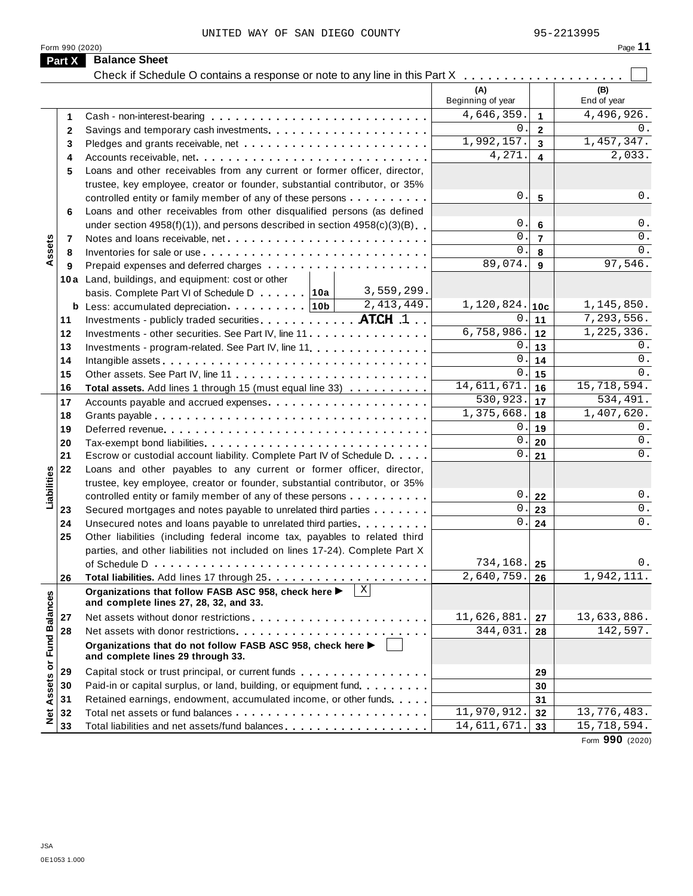Form 990 (2020)

| --<br>٠<br>٠ |  |  |
|--------------|--|--|
|--------------|--|--|

|                             | Part X   | <b>Balance Sheet</b>                                                                                                                               |                          |                  |                        |
|-----------------------------|----------|----------------------------------------------------------------------------------------------------------------------------------------------------|--------------------------|------------------|------------------------|
|                             |          | Check if Schedule O contains a response or note to any line in this Part X                                                                         | .                        |                  |                        |
|                             |          |                                                                                                                                                    | (A)<br>Beginning of year |                  | (B)<br>End of year     |
|                             | 1        |                                                                                                                                                    | 4,646,359.               | $\mathbf{1}$     | 4,496,926.             |
|                             | 2        |                                                                                                                                                    | 0.                       | $\overline{2}$   | 0.                     |
|                             | 3        |                                                                                                                                                    | 1,992,157.               | $\overline{3}$   | 1,457,347.             |
|                             | 4        | Accounts receivable, net                                                                                                                           | 4,271.                   | $\blacktriangle$ | 2,033.                 |
|                             | 5        | Loans and other receivables from any current or former officer, director,                                                                          |                          |                  |                        |
|                             |          | trustee, key employee, creator or founder, substantial contributor, or 35%                                                                         |                          |                  |                        |
|                             |          | controlled entity or family member of any of these persons                                                                                         | 0.                       | 5                | 0.                     |
|                             | 6        | Loans and other receivables from other disqualified persons (as defined                                                                            |                          |                  |                        |
|                             |          | under section $4958(f)(1)$ , and persons described in section $4958(c)(3)(B)$                                                                      | 0.                       | 6                | $0$ .                  |
|                             | 7        |                                                                                                                                                    | $0$ .                    | $\overline{7}$   | $0$ .                  |
| Assets                      | 8        |                                                                                                                                                    | $0$ .                    | 8                | 0.                     |
|                             | 9        |                                                                                                                                                    | 89,074.                  | 9                | 97,546.                |
|                             |          | 10a Land, buildings, and equipment: cost or other                                                                                                  |                          |                  |                        |
|                             |          | 3,559,299.<br>basis. Complete Part VI of Schedule D 10a                                                                                            |                          |                  |                        |
|                             |          | 2, 413, 449.<br><b>b</b> Less: accumulated depreciation $\cdots$ 10b                                                                               | $1,120,824.$  10c        |                  | 1,145,850.             |
|                             | 11       | Investments - publicly traded securities. ATCH 1                                                                                                   | $0$ .                    | 11               | 7,293,556.             |
|                             | 12       | Investments - other securities. See Part IV, line 11                                                                                               | 6,758,986.               | 12               | 1,225,336.             |
|                             | 13       | Investments - program-related. See Part IV, line 11.                                                                                               | 0.                       | 13               | 0.                     |
|                             | 14       |                                                                                                                                                    | 0.                       | 14               | 0.                     |
|                             | 15       | Other assets. See Part IV, line 11                                                                                                                 | 0.                       | 15               | $0$ .                  |
|                             | 16       | Total assets. Add lines 1 through 15 (must equal line 33)                                                                                          | 14,611,671.              | 16               | 15,718,594.            |
|                             | 17       | Accounts payable and accrued expenses                                                                                                              | 530,923.<br>1,375,668.   | 17               | 534,491.<br>1,407,620. |
|                             | 18       |                                                                                                                                                    | 0.                       | 18               | 0.                     |
|                             | 19       |                                                                                                                                                    | 0.                       | 19               | 0.                     |
|                             | 20<br>21 | Tax-exempt bond liabilities                                                                                                                        | 0.                       | 20<br>21         | 0.                     |
|                             |          | Escrow or custodial account liability. Complete Part IV of Schedule D.                                                                             |                          |                  |                        |
| Liabilities                 | 22       | Loans and other payables to any current or former officer, director,<br>trustee, key employee, creator or founder, substantial contributor, or 35% |                          |                  |                        |
|                             |          | controlled entity or family member of any of these persons                                                                                         | $0$ .                    | 22               | $0$ .                  |
|                             | 23       | Secured mortgages and notes payable to unrelated third parties                                                                                     | 0.                       | 23               | 0.                     |
|                             | 24       | Unsecured notes and loans payable to unrelated third parties                                                                                       | 0.                       | 24               | $0$ .                  |
|                             | 25       | Other liabilities (including federal income tax, payables to related third                                                                         |                          |                  |                        |
|                             |          | parties, and other liabilities not included on lines 17-24). Complete Part X                                                                       |                          |                  |                        |
|                             |          |                                                                                                                                                    | 734,168.                 | -25              | $0$ .                  |
|                             | 26       |                                                                                                                                                    | 2,640,759.               | 26               | 1,942,111.             |
|                             |          | $\overline{X}$<br>Organizations that follow FASB ASC 958, check here ><br>and complete lines 27, 28, 32, and 33.                                   |                          |                  |                        |
|                             | 27       |                                                                                                                                                    | 11,626,881.              | 27               | 13,633,886.            |
|                             | 28       |                                                                                                                                                    | 344,031.                 | 28               | 142,597.               |
| Net Assets or Fund Balances |          | Organizations that do not follow FASB ASC 958, check here ▶<br>and complete lines 29 through 33.                                                   |                          |                  |                        |
|                             | 29       | Capital stock or trust principal, or current funds                                                                                                 |                          | 29               |                        |
|                             | 30       | Paid-in or capital surplus, or land, building, or equipment fund.                                                                                  |                          | 30               |                        |
|                             | 31       | Retained earnings, endowment, accumulated income, or other funds                                                                                   |                          | 31               |                        |
|                             | 32       |                                                                                                                                                    | 11,970,912.              | 32               | 13,776,483.            |
|                             | 33       | Total liabilities and net assets/fund balances                                                                                                     | 14,611,671.              | 33               | 15,718,594.            |

Form **990** (2020)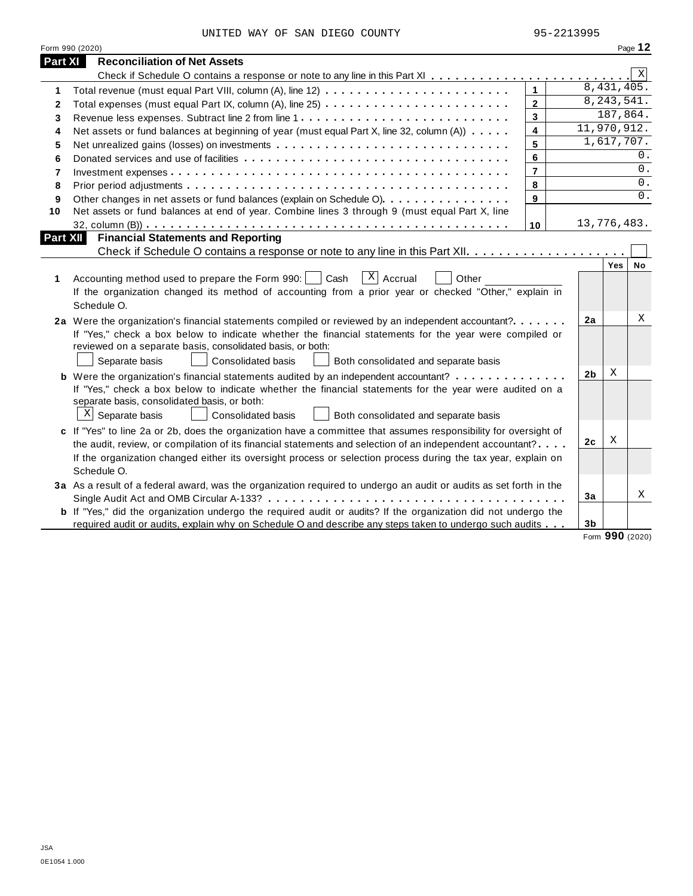|  |  |  | UNITED WAY OF SAN DIEGO COUNTY | 95-2213995 |
|--|--|--|--------------------------------|------------|

|                 | Form 990 (2020)                                                                                                                                                                                      |                |                |               | Page 12     |
|-----------------|------------------------------------------------------------------------------------------------------------------------------------------------------------------------------------------------------|----------------|----------------|---------------|-------------|
| Part XI         | <b>Reconciliation of Net Assets</b>                                                                                                                                                                  |                |                |               |             |
|                 |                                                                                                                                                                                                      |                |                |               | $\mathbf X$ |
| 1               |                                                                                                                                                                                                      | $\mathbf{1}$   |                | 8,431,405.    |             |
| $\mathbf{2}$    |                                                                                                                                                                                                      | $\overline{2}$ |                | 8, 243, 541.  |             |
| 3               |                                                                                                                                                                                                      | $\mathbf{3}$   |                | 187,864.      |             |
| 4               | Net assets or fund balances at beginning of year (must equal Part X, line 32, column (A))                                                                                                            | 4              | 11,970,912.    |               |             |
| 5               | Net unrealized gains (losses) on investments                                                                                                                                                         | 5              |                | 1,617,707.    |             |
| 6               |                                                                                                                                                                                                      | 6              |                |               | 0.          |
| $\overline{7}$  |                                                                                                                                                                                                      | $\overline{7}$ |                |               | 0.          |
| 8               |                                                                                                                                                                                                      | 8              |                |               | 0.          |
| 9               | Other changes in net assets or fund balances (explain on Schedule O)                                                                                                                                 | 9              |                |               | 0.          |
| 10              | Net assets or fund balances at end of year. Combine lines 3 through 9 (must equal Part X, line                                                                                                       |                |                |               |             |
|                 |                                                                                                                                                                                                      | 10             | 13,776,483.    |               |             |
| <b>Part XII</b> | <b>Financial Statements and Reporting</b>                                                                                                                                                            |                |                |               |             |
|                 |                                                                                                                                                                                                      |                |                |               |             |
| 1               | $\overline{X}$ Accrual<br>Accounting method used to prepare the Form 990:     Cash<br>Other<br>If the organization changed its method of accounting from a prior year or checked "Other," explain in |                |                | Yes           | No          |
|                 | Schedule O.                                                                                                                                                                                          |                |                |               |             |
|                 | 2a Were the organization's financial statements compiled or reviewed by an independent accountant?                                                                                                   |                | 2a             |               | Χ           |
|                 | If "Yes," check a box below to indicate whether the financial statements for the year were compiled or<br>reviewed on a separate basis, consolidated basis, or both:                                 |                |                |               |             |
|                 | Separate basis<br><b>Consolidated basis</b><br>Both consolidated and separate basis                                                                                                                  |                |                |               |             |
|                 | <b>b</b> Were the organization's financial statements audited by an independent accountant?                                                                                                          |                | 2 <sub>b</sub> | Χ             |             |
|                 | If "Yes," check a box below to indicate whether the financial statements for the year were audited on a                                                                                              |                |                |               |             |
|                 | separate basis, consolidated basis, or both:                                                                                                                                                         |                |                |               |             |
|                 | $X$ Separate basis<br>Consolidated basis<br>Both consolidated and separate basis                                                                                                                     |                |                |               |             |
|                 | c If "Yes" to line 2a or 2b, does the organization have a committee that assumes responsibility for oversight of                                                                                     |                |                |               |             |
|                 | the audit, review, or compilation of its financial statements and selection of an independent accountant?                                                                                            |                | 2c             | Χ             |             |
|                 | If the organization changed either its oversight process or selection process during the tax year, explain on                                                                                        |                |                |               |             |
|                 | Schedule O.                                                                                                                                                                                          |                |                |               |             |
|                 | 3a As a result of a federal award, was the organization required to undergo an audit or audits as set forth in the                                                                                   |                |                |               |             |
|                 |                                                                                                                                                                                                      |                | 3a             |               | Χ           |
|                 | <b>b</b> If "Yes," did the organization undergo the required audit or audits? If the organization did not undergo the                                                                                |                |                |               |             |
|                 | required audit or audits, explain why on Schedule O and describe any steps taken to undergo such audits                                                                                              |                | 3 <sub>b</sub> | $\sim$ $\sim$ |             |

Form **990** (2020)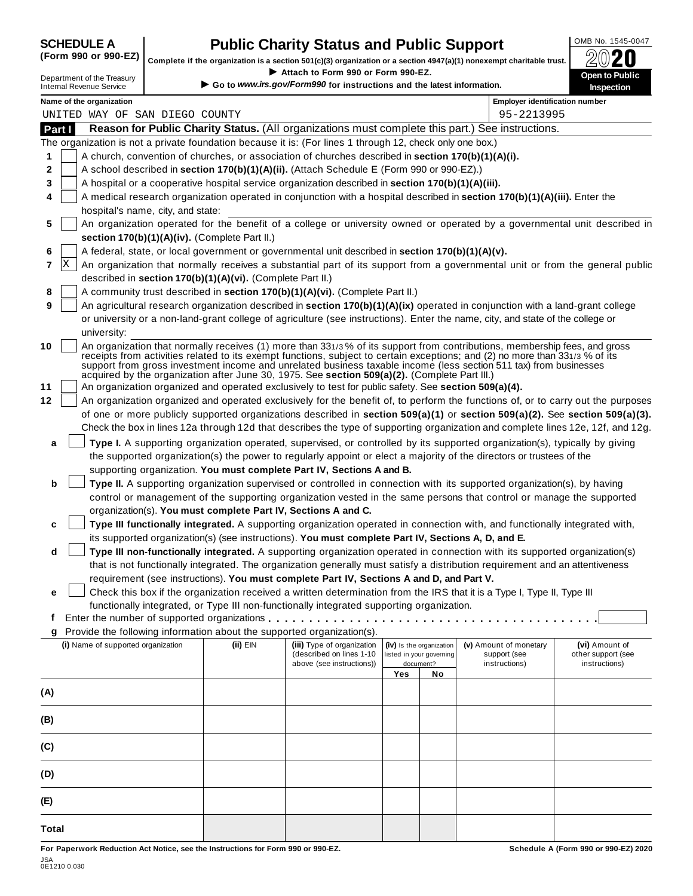# **CHEDULE A Public Charity Status and Public Support**  $\frac{100\text{dB No. }1545-0047}{000\text{dB No.}}$

(Form 990 or 990-EZ) complete if the organization is a section 501(c)(3) organization or a section 4947(a)(1) nonexempt charitable trust.  $2020$ 

|        |                                                            |                                                            |                                                                                                                                                                                                       |                          |                          | Complete if the organization is a section 501(c)(3) organization or a section 4947(a)(1) nonexempt charitable trust.                                                                                                                                      | ZWŁU                                                                                                                             |
|--------|------------------------------------------------------------|------------------------------------------------------------|-------------------------------------------------------------------------------------------------------------------------------------------------------------------------------------------------------|--------------------------|--------------------------|-----------------------------------------------------------------------------------------------------------------------------------------------------------------------------------------------------------------------------------------------------------|----------------------------------------------------------------------------------------------------------------------------------|
|        | Department of the Treasury                                 |                                                            | Attach to Form 990 or Form 990-EZ.<br>Go to www.irs.gov/Form990 for instructions and the latest information.                                                                                          |                          |                          |                                                                                                                                                                                                                                                           | <b>Open to Public</b>                                                                                                            |
|        | <b>Internal Revenue Service</b>                            |                                                            |                                                                                                                                                                                                       |                          |                          |                                                                                                                                                                                                                                                           | <b>Inspection</b>                                                                                                                |
|        | Name of the organization<br>UNITED WAY OF SAN DIEGO COUNTY |                                                            |                                                                                                                                                                                                       |                          |                          | <b>Employer identification number</b><br>95-2213995                                                                                                                                                                                                       |                                                                                                                                  |
| Part I |                                                            |                                                            |                                                                                                                                                                                                       |                          |                          | Reason for Public Charity Status. (All organizations must complete this part.) See instructions.                                                                                                                                                          |                                                                                                                                  |
|        |                                                            |                                                            | The organization is not a private foundation because it is: (For lines 1 through 12, check only one box.)                                                                                             |                          |                          |                                                                                                                                                                                                                                                           |                                                                                                                                  |
| 1      |                                                            |                                                            | A church, convention of churches, or association of churches described in section 170(b)(1)(A)(i).                                                                                                    |                          |                          |                                                                                                                                                                                                                                                           |                                                                                                                                  |
| 2      |                                                            |                                                            | A school described in section 170(b)(1)(A)(ii). (Attach Schedule E (Form 990 or 990-EZ).)                                                                                                             |                          |                          |                                                                                                                                                                                                                                                           |                                                                                                                                  |
| 3      |                                                            |                                                            | A hospital or a cooperative hospital service organization described in section 170(b)(1)(A)(iii).                                                                                                     |                          |                          |                                                                                                                                                                                                                                                           |                                                                                                                                  |
| 4      |                                                            |                                                            |                                                                                                                                                                                                       |                          |                          | A medical research organization operated in conjunction with a hospital described in section 170(b)(1)(A)(iii). Enter the                                                                                                                                 |                                                                                                                                  |
|        | hospital's name, city, and state:                          |                                                            |                                                                                                                                                                                                       |                          |                          |                                                                                                                                                                                                                                                           |                                                                                                                                  |
| 5      |                                                            |                                                            |                                                                                                                                                                                                       |                          |                          |                                                                                                                                                                                                                                                           | An organization operated for the benefit of a college or university owned or operated by a governmental unit described in        |
|        |                                                            | section 170(b)(1)(A)(iv). (Complete Part II.)              |                                                                                                                                                                                                       |                          |                          |                                                                                                                                                                                                                                                           |                                                                                                                                  |
| 6      |                                                            |                                                            | A federal, state, or local government or governmental unit described in section 170(b)(1)(A)(v).                                                                                                      |                          |                          |                                                                                                                                                                                                                                                           |                                                                                                                                  |
| 7      | X                                                          |                                                            |                                                                                                                                                                                                       |                          |                          |                                                                                                                                                                                                                                                           | An organization that normally receives a substantial part of its support from a governmental unit or from the general public     |
|        |                                                            | described in section 170(b)(1)(A)(vi). (Complete Part II.) |                                                                                                                                                                                                       |                          |                          |                                                                                                                                                                                                                                                           |                                                                                                                                  |
| 8      |                                                            |                                                            | A community trust described in section 170(b)(1)(A)(vi). (Complete Part II.)                                                                                                                          |                          |                          |                                                                                                                                                                                                                                                           |                                                                                                                                  |
| 9      |                                                            |                                                            |                                                                                                                                                                                                       |                          |                          | An agricultural research organization described in section 170(b)(1)(A)(ix) operated in conjunction with a land-grant college                                                                                                                             |                                                                                                                                  |
|        |                                                            |                                                            |                                                                                                                                                                                                       |                          |                          | or university or a non-land-grant college of agriculture (see instructions). Enter the name, city, and state of the college or                                                                                                                            |                                                                                                                                  |
|        | university:                                                |                                                            |                                                                                                                                                                                                       |                          |                          |                                                                                                                                                                                                                                                           |                                                                                                                                  |
| 10     |                                                            |                                                            |                                                                                                                                                                                                       |                          |                          | An organization that normally receives (1) more than 331/3% of its support from contributions, membership fees, and gross<br>receipts from activities related to its exempt functions, subject to certain exceptions; and (2) no more than 331/3 % of its |                                                                                                                                  |
|        |                                                            |                                                            |                                                                                                                                                                                                       |                          |                          | support from gross investment income and unrelated business taxable income (less section 511 tax) from businesses                                                                                                                                         |                                                                                                                                  |
| 11     |                                                            |                                                            | acquired by the organization after June 30, 1975. See section 509(a)(2). (Complete Part III.)<br>An organization organized and operated exclusively to test for public safety. See section 509(a)(4). |                          |                          |                                                                                                                                                                                                                                                           |                                                                                                                                  |
| 12     |                                                            |                                                            |                                                                                                                                                                                                       |                          |                          |                                                                                                                                                                                                                                                           | An organization organized and operated exclusively for the benefit of, to perform the functions of, or to carry out the purposes |
|        |                                                            |                                                            |                                                                                                                                                                                                       |                          |                          |                                                                                                                                                                                                                                                           | of one or more publicly supported organizations described in section 509(a)(1) or section 509(a)(2). See section 509(a)(3).      |
|        |                                                            |                                                            |                                                                                                                                                                                                       |                          |                          | Check the box in lines 12a through 12d that describes the type of supporting organization and complete lines 12e, 12f, and 12g.                                                                                                                           |                                                                                                                                  |
| a      |                                                            |                                                            |                                                                                                                                                                                                       |                          |                          | Type I. A supporting organization operated, supervised, or controlled by its supported organization(s), typically by giving                                                                                                                               |                                                                                                                                  |
|        |                                                            |                                                            |                                                                                                                                                                                                       |                          |                          | the supported organization(s) the power to regularly appoint or elect a majority of the directors or trustees of the                                                                                                                                      |                                                                                                                                  |
|        |                                                            |                                                            | supporting organization. You must complete Part IV, Sections A and B.                                                                                                                                 |                          |                          |                                                                                                                                                                                                                                                           |                                                                                                                                  |
| b      |                                                            |                                                            |                                                                                                                                                                                                       |                          |                          | Type II. A supporting organization supervised or controlled in connection with its supported organization(s), by having                                                                                                                                   |                                                                                                                                  |
|        |                                                            |                                                            |                                                                                                                                                                                                       |                          |                          | control or management of the supporting organization vested in the same persons that control or manage the supported                                                                                                                                      |                                                                                                                                  |
|        |                                                            |                                                            | organization(s). You must complete Part IV, Sections A and C.                                                                                                                                         |                          |                          |                                                                                                                                                                                                                                                           |                                                                                                                                  |
| c      |                                                            |                                                            |                                                                                                                                                                                                       |                          |                          | Type III functionally integrated. A supporting organization operated in connection with, and functionally integrated with,                                                                                                                                |                                                                                                                                  |
|        |                                                            |                                                            | its supported organization(s) (see instructions). You must complete Part IV, Sections A, D, and E.                                                                                                    |                          |                          |                                                                                                                                                                                                                                                           |                                                                                                                                  |
| d      |                                                            |                                                            |                                                                                                                                                                                                       |                          |                          | Type III non-functionally integrated. A supporting organization operated in connection with its supported organization(s)                                                                                                                                 |                                                                                                                                  |
|        |                                                            |                                                            |                                                                                                                                                                                                       |                          |                          | that is not functionally integrated. The organization generally must satisfy a distribution requirement and an attentiveness                                                                                                                              |                                                                                                                                  |
|        |                                                            |                                                            | requirement (see instructions). You must complete Part IV, Sections A and D, and Part V.                                                                                                              |                          |                          |                                                                                                                                                                                                                                                           |                                                                                                                                  |
| е      |                                                            |                                                            |                                                                                                                                                                                                       |                          |                          | Check this box if the organization received a written determination from the IRS that it is a Type I, Type II, Type III                                                                                                                                   |                                                                                                                                  |
| f      |                                                            |                                                            | functionally integrated, or Type III non-functionally integrated supporting organization.                                                                                                             |                          |                          |                                                                                                                                                                                                                                                           |                                                                                                                                  |
| g      |                                                            |                                                            | Provide the following information about the supported organization(s).                                                                                                                                |                          |                          |                                                                                                                                                                                                                                                           |                                                                                                                                  |
|        | (i) Name of supported organization                         | (ii) EIN                                                   | (iii) Type of organization                                                                                                                                                                            |                          | (iv) Is the organization | (v) Amount of monetary                                                                                                                                                                                                                                    | (vi) Amount of                                                                                                                   |
|        |                                                            |                                                            | (described on lines 1-10                                                                                                                                                                              | listed in your governing |                          | support (see                                                                                                                                                                                                                                              | other support (see                                                                                                               |
|        |                                                            |                                                            | above (see instructions))                                                                                                                                                                             | Yes                      | document?<br>No          | instructions)                                                                                                                                                                                                                                             | instructions)                                                                                                                    |
|        |                                                            |                                                            |                                                                                                                                                                                                       |                          |                          |                                                                                                                                                                                                                                                           |                                                                                                                                  |
| (A)    |                                                            |                                                            |                                                                                                                                                                                                       |                          |                          |                                                                                                                                                                                                                                                           |                                                                                                                                  |
|        |                                                            |                                                            |                                                                                                                                                                                                       |                          |                          |                                                                                                                                                                                                                                                           |                                                                                                                                  |
| (B)    |                                                            |                                                            |                                                                                                                                                                                                       |                          |                          |                                                                                                                                                                                                                                                           |                                                                                                                                  |
| (C)    |                                                            |                                                            |                                                                                                                                                                                                       |                          |                          |                                                                                                                                                                                                                                                           |                                                                                                                                  |
|        |                                                            |                                                            |                                                                                                                                                                                                       |                          |                          |                                                                                                                                                                                                                                                           |                                                                                                                                  |
| (D)    |                                                            |                                                            |                                                                                                                                                                                                       |                          |                          |                                                                                                                                                                                                                                                           |                                                                                                                                  |
|        |                                                            |                                                            |                                                                                                                                                                                                       |                          |                          |                                                                                                                                                                                                                                                           |                                                                                                                                  |
| (E)    |                                                            |                                                            |                                                                                                                                                                                                       |                          |                          |                                                                                                                                                                                                                                                           |                                                                                                                                  |
|        |                                                            |                                                            |                                                                                                                                                                                                       |                          |                          |                                                                                                                                                                                                                                                           |                                                                                                                                  |

For Paperwork Reduction Act Notice, see the Instructions for Form 990 or 990-EZ. Schedule A (Form 990 or 990-EZ) 2020

**Total**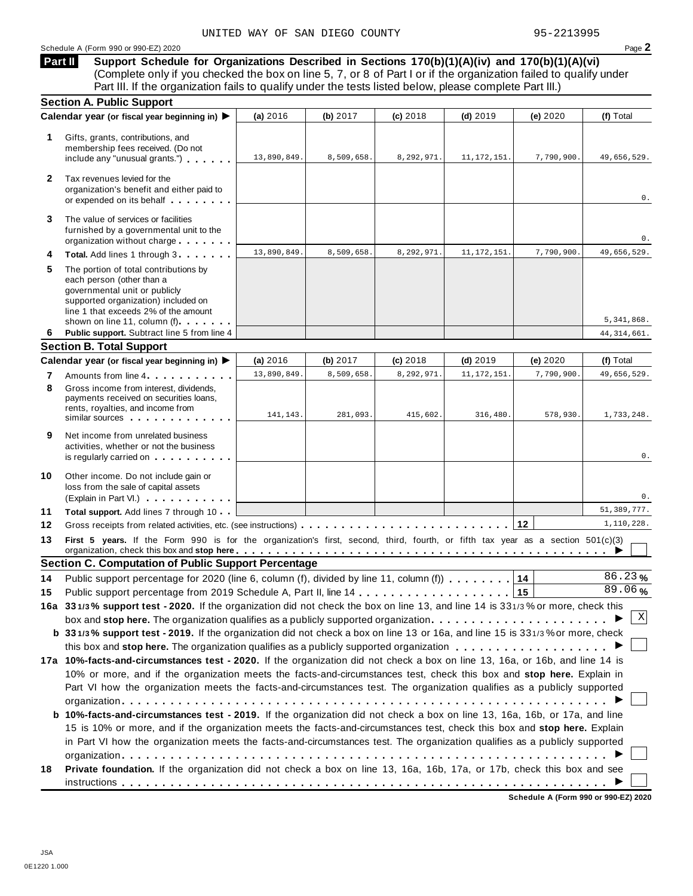#### Schedule <sup>A</sup> (Form <sup>990</sup> or 990-EZ) <sup>2020</sup> Page **2**

**Support Schedule for Organizations Described in Sections 170(b)(1)(A)(iv) and 170(b)(1)(A)(vi)** (Complete only if you checked the box on line 5, 7, or 8 of Part I or if the organization failed to qualify under Part III. If the organization fails to qualify under the tests listed below, please complete Part III.) **Part II**

| Calendar year (or fiscal year beginning in) ▶<br>1<br>Gifts, grants, contributions, and                                                                                                 |                                                                                                                                                                                                                                                                                                                                                                                     |             |            |            |               |            |               |
|-----------------------------------------------------------------------------------------------------------------------------------------------------------------------------------------|-------------------------------------------------------------------------------------------------------------------------------------------------------------------------------------------------------------------------------------------------------------------------------------------------------------------------------------------------------------------------------------|-------------|------------|------------|---------------|------------|---------------|
|                                                                                                                                                                                         |                                                                                                                                                                                                                                                                                                                                                                                     | (a) 2016    | (b) 2017   | (c) 2018   | $(d)$ 2019    | (e) 2020   | (f) Total     |
| membership fees received. (Do not                                                                                                                                                       | include any "unusual grants.")                                                                                                                                                                                                                                                                                                                                                      | 13,890,849. | 8,509,658. | 8,292,971. | 11, 172, 151. | 7,790,900. | 49,656,529.   |
| Tax revenues levied for the<br>$\mathbf{2}$                                                                                                                                             | organization's benefit and either paid to<br>or expended on its behalf                                                                                                                                                                                                                                                                                                              |             |            |            |               |            | 0.            |
| The value of services or facilities<br>3<br>furnished by a governmental unit to the                                                                                                     | organization without charge                                                                                                                                                                                                                                                                                                                                                         |             |            |            |               |            | 0.            |
| 4                                                                                                                                                                                       | Total. Add lines 1 through 3                                                                                                                                                                                                                                                                                                                                                        | 13,890,849  | 8,509,658. | 8,292,971. | 11, 172, 151. | 7,790,900. | 49,656,529.   |
| 5<br>The portion of total contributions by<br>each person (other than a<br>governmental unit or publicly<br>supported organization) included on<br>line 1 that exceeds 2% of the amount | shown on line 11, column (f)                                                                                                                                                                                                                                                                                                                                                        |             |            |            |               |            | 5,341,868.    |
| 6                                                                                                                                                                                       | Public support. Subtract line 5 from line 4                                                                                                                                                                                                                                                                                                                                         |             |            |            |               |            | 44, 314, 661. |
| <b>Section B. Total Support</b>                                                                                                                                                         |                                                                                                                                                                                                                                                                                                                                                                                     |             |            |            |               |            |               |
| Calendar year (or fiscal year beginning in) ▶                                                                                                                                           |                                                                                                                                                                                                                                                                                                                                                                                     | (a) 2016    | (b) 2017   | (c) 2018   | $(d)$ 2019    | (e) 2020   | (f) Total     |
| 7                                                                                                                                                                                       | Amounts from line 4                                                                                                                                                                                                                                                                                                                                                                 | 13,890,849  | 8,509,658. | 8,292,971  | 11, 172, 151  | 7,790,900. | 49,656,529.   |
| 8<br>Gross income from interest, dividends.<br>payments received on securities loans,<br>rents, royalties, and income from                                                              | similar sources experiences                                                                                                                                                                                                                                                                                                                                                         | 141,143.    | 281,093.   | 415,602.   | 316,480.      | 578,930.   | 1,733,248.    |
| 9<br>Net income from unrelated business<br>activities, whether or not the business                                                                                                      | is regularly carried on the control of the set of the set of the set of the set of the set of the set of the s                                                                                                                                                                                                                                                                      |             |            |            |               |            | 0.            |
| 10<br>Other income. Do not include gain or<br>loss from the sale of capital assets                                                                                                      | (Explain in Part VI.)                                                                                                                                                                                                                                                                                                                                                               |             |            |            |               |            | 0.            |
| 11                                                                                                                                                                                      | Total support. Add lines 7 through 10                                                                                                                                                                                                                                                                                                                                               |             |            |            |               |            | 51, 389, 777. |
| 12                                                                                                                                                                                      |                                                                                                                                                                                                                                                                                                                                                                                     |             |            |            |               |            | 1,110,228.    |
| 13                                                                                                                                                                                      | First 5 years. If the Form 990 is for the organization's first, second, third, fourth, or fifth tax year as a section 501(c)(3)                                                                                                                                                                                                                                                     |             |            |            |               |            |               |
| <b>Section C. Computation of Public Support Percentage</b>                                                                                                                              |                                                                                                                                                                                                                                                                                                                                                                                     |             |            |            |               |            | 86.23%        |
| 14                                                                                                                                                                                      | Public support percentage for 2020 (line 6, column (f), divided by line 11, column (f)) 14                                                                                                                                                                                                                                                                                          |             |            |            |               |            | 89.06%        |
| 15                                                                                                                                                                                      |                                                                                                                                                                                                                                                                                                                                                                                     |             |            |            |               |            |               |
|                                                                                                                                                                                         | 16a 331/3% support test - 2020. If the organization did not check the box on line 13, and line 14 is 331/3% or more, check this                                                                                                                                                                                                                                                     |             |            |            |               |            | Χ             |
|                                                                                                                                                                                         |                                                                                                                                                                                                                                                                                                                                                                                     |             |            |            |               |            |               |
| box and stop here. The organization qualifies as a publicly supported organization $\ldots \ldots \ldots \ldots \ldots \ldots \ldots$                                                   |                                                                                                                                                                                                                                                                                                                                                                                     |             |            |            |               |            |               |
| b 331/3% support test - 2019. If the organization did not check a box on line 13 or 16a, and line 15 is 331/3% or more, check                                                           |                                                                                                                                                                                                                                                                                                                                                                                     |             |            |            |               |            |               |
|                                                                                                                                                                                         |                                                                                                                                                                                                                                                                                                                                                                                     |             |            |            |               |            |               |
|                                                                                                                                                                                         | 10% or more, and if the organization meets the facts-and-circumstances test, check this box and stop here. Explain in<br>Part VI how the organization meets the facts-and-circumstances test. The organization qualifies as a publicly supported                                                                                                                                    |             |            |            |               |            |               |
|                                                                                                                                                                                         | b 10%-facts-and-circumstances test - 2019. If the organization did not check a box on line 13, 16a, 16b, or 17a, and line<br>15 is 10% or more, and if the organization meets the facts-and-circumstances test, check this box and stop here. Explain<br>in Part VI how the organization meets the facts-and-circumstances test. The organization qualifies as a publicly supported |             |            |            |               |            |               |
| 17a 10%-facts-and-circumstances test - 2020. If the organization did not check a box on line 13, 16a, or 16b, and line 14 is<br>18                                                      | Private foundation. If the organization did not check a box on line 13, 16a, 16b, 17a, or 17b, check this box and see                                                                                                                                                                                                                                                               |             |            |            |               |            |               |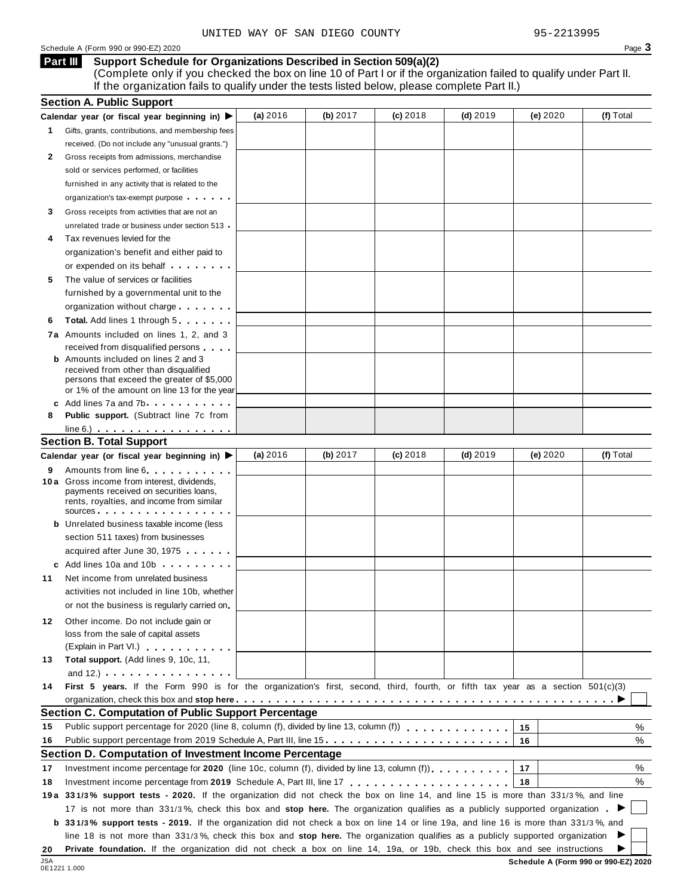#### Schedule <sup>A</sup> (Form <sup>990</sup> or 990-EZ) <sup>2020</sup> Page **3**

#### **Support Schedule for Organizations Described in Section 509(a)(2) Part III**

(Complete only if you checked the box on line 10 of Part I or if the organization failed to qualify under Part II. If the organization fails to qualify under the tests listed below, please complete Part II.)

|     | <b>Section A. Public Support</b>                                                                                                              |          |          |            |            |          |           |
|-----|-----------------------------------------------------------------------------------------------------------------------------------------------|----------|----------|------------|------------|----------|-----------|
|     | Calendar year (or fiscal year beginning in) $\blacktriangleright$                                                                             | (a) 2016 | (b) 2017 | $(c)$ 2018 | $(d)$ 2019 | (e) 2020 | (f) Total |
| 1.  | Gifts, grants, contributions, and membership fees                                                                                             |          |          |            |            |          |           |
|     | received. (Do not include any "unusual grants.")                                                                                              |          |          |            |            |          |           |
| 2   | Gross receipts from admissions, merchandise                                                                                                   |          |          |            |            |          |           |
|     | sold or services performed, or facilities                                                                                                     |          |          |            |            |          |           |
|     | furnished in any activity that is related to the                                                                                              |          |          |            |            |          |           |
|     | organization's tax-exempt purpose                                                                                                             |          |          |            |            |          |           |
| 3   | Gross receipts from activities that are not an                                                                                                |          |          |            |            |          |           |
|     | unrelated trade or business under section 513                                                                                                 |          |          |            |            |          |           |
| 4   | Tax revenues levied for the                                                                                                                   |          |          |            |            |          |           |
|     | organization's benefit and either paid to                                                                                                     |          |          |            |            |          |           |
|     | or expended on its behalf <b>contained</b> on $\theta$                                                                                        |          |          |            |            |          |           |
| 5   | The value of services or facilities                                                                                                           |          |          |            |            |          |           |
|     | furnished by a governmental unit to the                                                                                                       |          |          |            |            |          |           |
|     | organization without charge                                                                                                                   |          |          |            |            |          |           |
| 6   | <b>Total.</b> Add lines 1 through 5                                                                                                           |          |          |            |            |          |           |
|     | 7a Amounts included on lines 1, 2, and 3                                                                                                      |          |          |            |            |          |           |
|     | received from disqualified persons                                                                                                            |          |          |            |            |          |           |
|     | <b>b</b> Amounts included on lines 2 and 3                                                                                                    |          |          |            |            |          |           |
|     | received from other than disqualified                                                                                                         |          |          |            |            |          |           |
|     | persons that exceed the greater of \$5,000<br>or 1% of the amount on line 13 for the year                                                     |          |          |            |            |          |           |
|     | c Add lines 7a and 7b                                                                                                                         |          |          |            |            |          |           |
| 8   | <b>Public support.</b> (Subtract line 7c from                                                                                                 |          |          |            |            |          |           |
|     | $line 6.)$                                                                                                                                    |          |          |            |            |          |           |
|     | <b>Section B. Total Support</b>                                                                                                               |          |          |            |            |          |           |
|     | Calendar year (or fiscal year beginning in) ▶                                                                                                 | (a) 2016 | (b) 2017 | $(c)$ 2018 | $(d)$ 2019 | (e) 2020 | (f) Total |
| 9   | Amounts from line 6                                                                                                                           |          |          |            |            |          |           |
|     | 10 a Gross income from interest, dividends,<br>payments received on securities loans,<br>rents, royalties, and income from similar<br>SOUICES |          |          |            |            |          |           |
|     | <b>b</b> Unrelated business taxable income (less                                                                                              |          |          |            |            |          |           |
|     | section 511 taxes) from businesses                                                                                                            |          |          |            |            |          |           |
|     | acquired after June 30, 1975                                                                                                                  |          |          |            |            |          |           |
|     | c Add lines 10a and 10b                                                                                                                       |          |          |            |            |          |           |
| 11  | Net income from unrelated business                                                                                                            |          |          |            |            |          |           |
|     | activities not included in line 10b, whether                                                                                                  |          |          |            |            |          |           |
|     | or not the business is regularly carried on                                                                                                   |          |          |            |            |          |           |
| 12. | Other income. Do not include gain or                                                                                                          |          |          |            |            |          |           |
|     | loss from the sale of capital assets                                                                                                          |          |          |            |            |          |           |
|     | (Explain in Part VI.)                                                                                                                         |          |          |            |            |          |           |
| 13  | Total support. (Add lines 9, 10c, 11,                                                                                                         |          |          |            |            |          |           |
|     | and $12.$ ) $\cdots$ $\cdots$ $\cdots$ $\cdots$ $\cdots$                                                                                      |          |          |            |            |          |           |
| 14  | First 5 years. If the Form 990 is for the organization's first, second, third, fourth, or fifth tax year as a section 501(c)(3)               |          |          |            |            |          |           |
|     |                                                                                                                                               |          |          |            |            |          |           |
|     | <b>Section C. Computation of Public Support Percentage</b>                                                                                    |          |          |            |            |          |           |
| 15  |                                                                                                                                               |          |          |            |            | 15       | ℅         |
| 16  | Public support percentage from 2019 Schedule A, Part III, line 15                                                                             |          |          |            |            | 16       | %         |
|     | Section D. Computation of Investment Income Percentage                                                                                        |          |          |            |            |          |           |
| 17  | Investment income percentage for 2020 (line 10c, column (f), divided by line 13, column (f)).                                                 |          |          |            |            | 17       | %         |
| 18  |                                                                                                                                               |          |          |            |            | 18       | %         |
|     | 19a 331/3% support tests - 2020. If the organization did not check the box on line 14, and line 15 is more than 331/3%, and line              |          |          |            |            |          |           |
|     | 17 is not more than 331/3%, check this box and stop here. The organization qualifies as a publicly supported organization.                    |          |          |            |            |          |           |
|     | b 331/3% support tests - 2019. If the organization did not check a box on line 14 or line 19a, and line 16 is more than 331/3%, and           |          |          |            |            |          |           |
|     | line 18 is not more than 331/3%, check this box and stop here. The organization qualifies as a publicly supported organization                |          |          |            |            |          |           |
|     |                                                                                                                                               |          |          |            |            |          |           |
| 20  | Private foundation. If the organization did not check a box on line 14, 19a, or 19b, check this box and see instructions                      |          |          |            |            |          |           |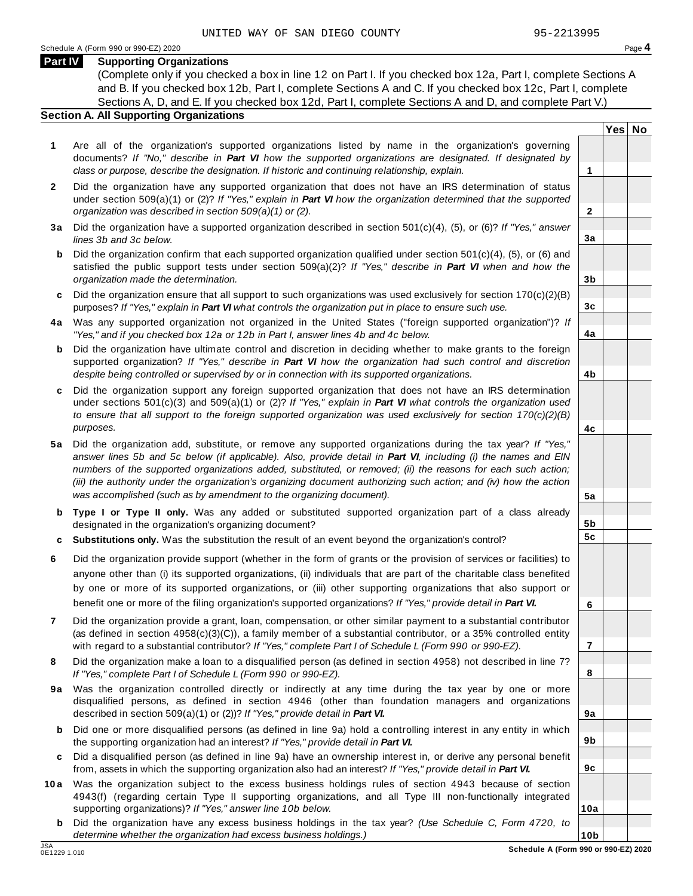**Yes No**

**2**

**3a**

**3b**

**3c**

**4a**

**4b**

**4c**

**5a**

**5b 5c**

**6**

**7**

**8**

**9a**

**9b**

**9c**

**10a**

#### **Part IV Supporting Organizations**

(Complete only if you checked a box in line 12 on Part I. If you checked box 12a, Part I, complete Sections A and B. If you checked box 12b, Part I, complete Sections A and C. If you checked box 12c, Part I, complete Sections A, D, and E. If you checked box 12d, Part I, complete Sections A and D, and complete Part V.)

#### **Section A. All Supporting Organizations**

- **1** Are all of the organization's supported organizations listed by name in the organization's governing documents? *If "No," describe in Part VI how the supported organizations are designated. If designated by class or purpose, describe the designation. If historic and continuing relationship, explain.* **1**
- **2** Did the organization have any supported organization that does not have an IRS determination of status under section 509(a)(1) or (2)? *If"Yes," explain in Part VI how the organization determined that the supported organization was described in section 509(a)(1) or (2).*
- **3 a** Did the organization have a supported organization described in section 501(c)(4), (5), or (6)? *If "Yes," answer lines 3b and 3c below.*
- **b** Did the organization confirm that each supported organization qualified under section 501(c)(4), (5), or (6) and | satisfied the public support tests under section 509(a)(2)? *If "Yes," describe in Part VI when and how the organization made the determination.*
- **c** Did the organization ensure that all support to such organizations was used exclusively for section 170(c)(2)(B) purposes? *If"Yes," explain in Part VI what controls the organization put in place to ensure such use.*
- **4 a** Was any supported organization not organized in the United States ("foreign supported organization")? *If "Yes," and if you checked box 12a or 12b in Part I, answer lines 4b and 4c below.*
- **b** Did the organization have ultimate control and discretion in deciding whether to make grants to the foreign | supported organization? *If "Yes," describe in Part VI how the organization had such control and discretion despite being controlled or supervised by or in connection with its supported organizations.*
- **c** Did the organization support any foreign supported organization that does not have an IRS determination | under sections 501(c)(3) and 509(a)(1) or (2)? *If "Yes," explain in Part VI what controls the organization used to ensure that all support to the foreign supported organization was used exclusively for section 170(c)(2)(B) purposes.*
- **5 a** Did the organization add, substitute, or remove any supported organizations during the tax year? *If "Yes,"* answer lines 5b and 5c below (if applicable). Also, provide detail in Part VI, including (i) the names and EIN *numbers of the supported organizations added, substituted, or removed; (ii) the reasons for each such action;* (iii) the authority under the organization's organizing document authorizing such action; and (iv) how the action *was accomplished (such as by amendment to the organizing document).*
- **b Type I or Type II only.** Was any added or substituted supported organization part of a class already designated in the organization's organizing document?
- **c Substitutions only.** Was the substitution the result of an event beyond the organization's control?
- **6** Did the organization provide support (whether in the form of grants or the provision of services or facilities) to anyone other than (i) its supported organizations, (ii) individuals that are part of the charitable class benefited by one or more of its supported organizations, or (iii) other supporting organizations that also support or benefit one or more of the filing organization's supported organizations? *If"Yes," provide detail in Part VI.*
- **7** Did the organization provide a grant, loan, compensation, or other similar payment to a substantial contributor (as defined in section 4958(c)(3)(C)), a family member of a substantial contributor, or a 35% controlled entity with regard to a substantial contributor? *If"Yes," complete Part I of Schedule L (Form 990 or 990-EZ).*
- **8** Did the organization make a loan to a disqualified person (as defined in section 4958) not described in line 7? *If "Yes," complete Part I of Schedule L (Form 990 or 990-EZ).*
- **9a** Was the organization controlled directly or indirectly at any time during the tax year by one or more | disqualified persons, as defined in section 4946 (other than foundation managers and organizations described in section 509(a)(1) or (2))? *If"Yes," provide detail in Part VI.*
- **b** Did one or more disqualified persons (as defined in line 9a) hold a controlling interest in any entity in which | the supporting organization had an interest? *If"Yes," provide detail in Part VI.*
- **c** Did a disqualified person (as defined in line 9a) have an ownership interest in, or derive any personal benefit from, assets in which the supporting organization also had an interest? *If"Yes," provide detail in Part VI.*
- **10a** Was the organization subject to the excess business holdings rules of section 4943 because of section | 4943(f) (regarding certain Type II supporting organizations, and all Type III non-functionally integrated supporting organizations)? *If"Yes," answer line 10b below.*
	- **b** Did the organization have any excess business holdings in the tax year? *(Use Schedule C, Form 4720, to determine whether the organization had excess business holdings.)*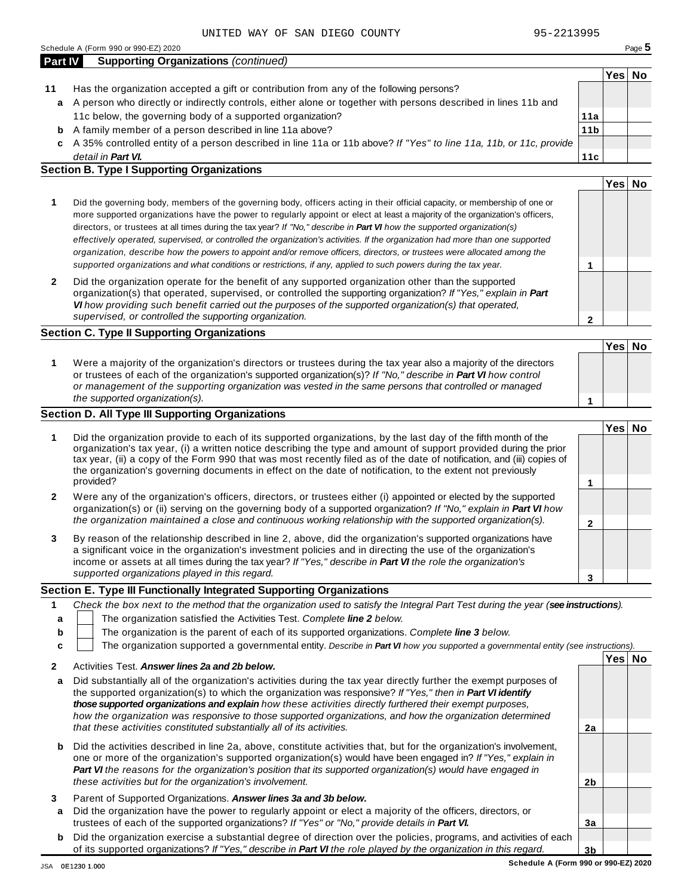| <b>Part IV</b> | <b>Supporting Organizations (continued)</b>                                             |                      |  |
|----------------|-----------------------------------------------------------------------------------------|----------------------|--|
|                |                                                                                         | <sup>⊦</sup> Yes∣ No |  |
| 11             | Has the organization accepted a gift or contribution from any of the following persons? |                      |  |

- A person who directly or indirectly controls, either alone or together with persons described in lines 11b and **a** 11c below, the governing body of a supported organization?
- A family member of a person described in line 11a above? **b**
- A 35% controlled entity of a person described in line 11a or 11b above? *If"Yes" to line 11a, 11b, or 11c, provide* **c** *detail in Part VI.*

#### **Section B. Type I Supporting Organizations**

|                                                                                                                                                                                                                                                                                                                                                                                                                                                                                                                                                                                                                                                                                                                                                                                 |   | Yes |  |
|---------------------------------------------------------------------------------------------------------------------------------------------------------------------------------------------------------------------------------------------------------------------------------------------------------------------------------------------------------------------------------------------------------------------------------------------------------------------------------------------------------------------------------------------------------------------------------------------------------------------------------------------------------------------------------------------------------------------------------------------------------------------------------|---|-----|--|
| Did the governing body, members of the governing body, officers acting in their official capacity, or membership of one or<br>more supported organizations have the power to regularly appoint or elect at least a majority of the organization's officers,<br>directors, or trustees at all times during the tax year? If "No," describe in <b>Part VI</b> how the supported organization(s)<br>effectively operated, supervised, or controlled the organization's activities. If the organization had more than one supported<br>organization, describe how the powers to appoint and/or remove officers, directors, or trustees were allocated among the<br>supported organizations and what conditions or restrictions, if any, applied to such powers during the tax year. |   |     |  |
| Did the organization operate for the benefit of any supported organization other than the supported<br>organization(s) that operated, supervised, or controlled the supporting organization? If "Yes," explain in Part<br>VI how providing such benefit carried out the purposes of the supported organization(s) that operated,<br>supervised, or controlled the supporting organization.                                                                                                                                                                                                                                                                                                                                                                                      | ົ |     |  |

#### **Section C. Type II Supporting Organizations**

**1 Yes No 1** Were a majority of the organization's directors or trustees during the tax year also a majority of the directors or trustees of each of the organization's supported organization(s)? *If"No," describe in Part VI how control or management of the supporting organization was vested in the same persons that controlled or managed the supported organization(s).*

#### **Section D. All Type III Supporting Organizations**

|              |                                                                                                                                                                                                                                                                                                                                                                                                                                                                                          | Yes⊺ |  |
|--------------|------------------------------------------------------------------------------------------------------------------------------------------------------------------------------------------------------------------------------------------------------------------------------------------------------------------------------------------------------------------------------------------------------------------------------------------------------------------------------------------|------|--|
|              | Did the organization provide to each of its supported organizations, by the last day of the fifth month of the<br>organization's tax year, (i) a written notice describing the type and amount of support provided during the prior<br>tax year, (ii) a copy of the Form 990 that was most recently filed as of the date of notification, and (iii) copies of<br>the organization's governing documents in effect on the date of notification, to the extent not previously<br>provided? |      |  |
| $\mathbf{2}$ | Were any of the organization's officers, directors, or trustees either (i) appointed or elected by the supported<br>organization(s) or (ii) serving on the governing body of a supported organization? If "No," explain in Part VI how                                                                                                                                                                                                                                                   |      |  |
|              | the organization maintained a close and continuous working relationship with the supported organization(s).                                                                                                                                                                                                                                                                                                                                                                              |      |  |
| 3            | By reason of the relationship described in line 2, above, did the organization's supported organizations have<br>a significant voice in the organization's investment policies and in directing the use of the organization's<br>income or assets at all times during the tax year? If "Yes," describe in Part VI the role the organization's                                                                                                                                            |      |  |
|              | supported organizations played in this regard.                                                                                                                                                                                                                                                                                                                                                                                                                                           |      |  |

#### **Section E. Type III Functionally Integrated Supporting Organizations**

|    | Check the box next to the method that the organization used to satisfy the Integral Part Test during the year (see instructions). |      |    |
|----|-----------------------------------------------------------------------------------------------------------------------------------|------|----|
|    | The organization satisfied the Activities Test. Complete line 2 below.                                                            |      |    |
| b. | The organization is the parent of each of its supported organizations. Complete line 3 below.                                     |      |    |
|    | The organization supported a governmental entity. Describe in Part VI how you supported a governmental entity (see instructions). |      |    |
|    |                                                                                                                                   | Yes∣ | No |

|        | ACUVIUS TESL. <i>Answer lines za and zb below.</i>                                                                                                                                                                                                                                                                                                                                                                                                               |    |  |
|--------|------------------------------------------------------------------------------------------------------------------------------------------------------------------------------------------------------------------------------------------------------------------------------------------------------------------------------------------------------------------------------------------------------------------------------------------------------------------|----|--|
| a      | Did substantially all of the organization's activities during the tax year directly further the exempt purposes of<br>the supported organization(s) to which the organization was responsive? If "Yes," then in <b>Part VI identify</b><br>those supported organizations and explain how these activities directly furthered their exempt purposes.<br>how the organization was responsive to those supported organizations, and how the organization determined |    |  |
|        | that these activities constituted substantially all of its activities.                                                                                                                                                                                                                                                                                                                                                                                           | 2a |  |
| b      | Did the activities described in line 2a, above, constitute activities that, but for the organization's involvement,<br>one or more of the organization's supported organization(s) would have been engaged in? If "Yes," explain in<br><b>Part VI</b> the reasons for the organization's position that its supported organization(s) would have engaged in<br>these activities but for the organization's involvement.                                           | 2b |  |
| 3<br>a | Parent of Supported Organizations. Answer lines 3a and 3b below.<br>Did the organization have the power to regularly appoint or elect a majority of the officers, directors, or<br>trustees of each of the supported organizations? If "Yes" or "No," provide details in Part VI.                                                                                                                                                                                | Зa |  |
| b      | Did the organization exercise a substantial degree of direction over the policies, programs, and activities of each                                                                                                                                                                                                                                                                                                                                              |    |  |
|        | of its supported organizations? If "Yes," describe in Part VI the role played by the organization in this regard.                                                                                                                                                                                                                                                                                                                                                | 3b |  |

**11a 11b**

**11c**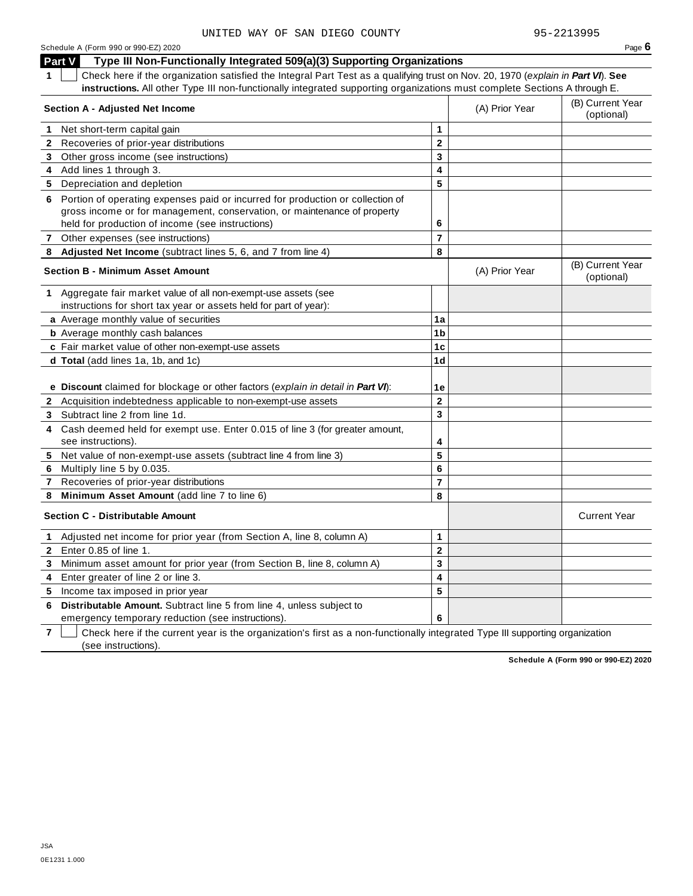Schedule <sup>A</sup> (Form <sup>990</sup> or 990-EZ) <sup>2020</sup> Page **6 Part V Type III Non-Functionally Integrated 509(a)(3) Supporting Organizations 1** Check here if the organization satisfied the Integral Part Test as a qualifying trust on Nov. 20, 1970 (*explain in Part VI*). **See instructions.** All other Type III non-functionally integrated supporting organizations must complete Sections A through E. (B) Current Year **Section <sup>A</sup> - Adjusted Net Income** (A) Prior Year (optional) **1** Net short-term capital gain **1 1 2 3 4 5 2** Recoveries of prior-year distributions **3** Other gross income (see instructions) **4** Add lines 1 through 3. **5** Depreciation and depletion **6** Portion of operating expenses paid or incurred for production or collection of gross income or for management, conservation, or maintenance of property held for production of income (see instructions) **6 7** Other expenses (see instructions) **7 8 Adjusted Net Income** (subtract lines 5, 6, and 7 from line 4) **8** (B) Current Year **Section <sup>B</sup> - Minimum Asset Amount** (A) Prior Year (optional) **1** Aggregate fair market value of all non-exempt-use assets (see instructions for short tax year or assets held for part of year): **a** Average monthly value of securities **1a 1b 1c 1d 1e b** Average monthly cash balances **c** Fair market value of other non-exempt-use assets **d Total** (add lines 1a, 1b, and 1c) **e Discount** claimed for blockage or other factors (*explain in detail in Part VI*): **2** Acquisition indebtedness applicable to non-exempt-use assets **2 3 4 5 6 7 8 3** Subtract line 2 from line 1d. **4** Cash deemed held for exempt use. Enter 0.015 of line 3 (for greater amount, see instructions). **5** Net value of non-exempt-use assets (subtract line 4 from line 3) **6** Multiply line 5 by 0.035. **7** Recoveries of prior-year distributions **8 Minimum Asset Amount** (add line 7 to line 6) **Section C - Distributable Amount** Current Year **Current Year Amount** Current Year Amount **1** Adjusted net income for prior year (from Section A, line 8, column A) **1 2 3 4 5 2** Enter 0.85 of line 1. **3** Minimum asset amount for prior year (from Section B, line 8, column A) **4** Enter greater of line 2 or line 3. **5** Income tax imposed in prior year UNITED WAY OF SAN DIEGO COUNTY 95-2213995

**6 Distributable Amount.** Subtract line 5 from line 4, unless subject to emergency temporary reduction (see instructions).

**7** Check here if the current year is the organization's first as a non-functionally integrated Type III supporting organization (see instructions).

**6**

**Schedule A (Form 990 or 990-EZ) 2020**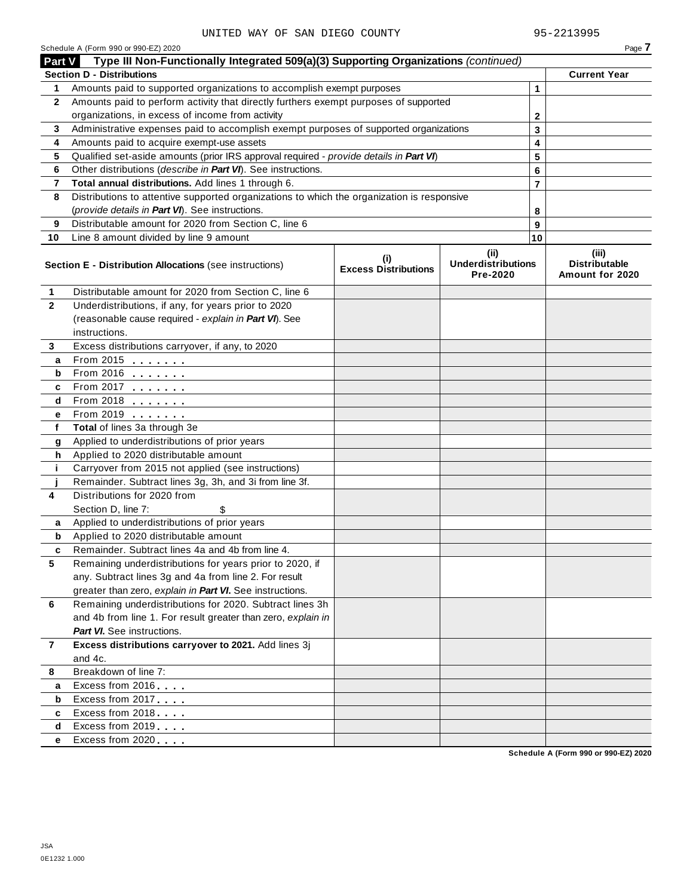|                | Schedule A (Form 990 or 990-EZ) 2020<br>Type III Non-Functionally Integrated 509(a)(3) Supporting Organizations (continued)              |                                    |                                               |        | Page 7                                           |
|----------------|------------------------------------------------------------------------------------------------------------------------------------------|------------------------------------|-----------------------------------------------|--------|--------------------------------------------------|
| <b>Part V</b>  |                                                                                                                                          |                                    |                                               |        |                                                  |
|                | <b>Section D - Distributions</b>                                                                                                         |                                    |                                               |        | <b>Current Year</b>                              |
| 1              | Amounts paid to supported organizations to accomplish exempt purposes                                                                    |                                    |                                               | 1      |                                                  |
| $\mathbf{2}$   | Amounts paid to perform activity that directly furthers exempt purposes of supported<br>organizations, in excess of income from activity |                                    |                                               |        |                                                  |
|                | Administrative expenses paid to accomplish exempt purposes of supported organizations                                                    |                                    |                                               | 2      |                                                  |
| 3<br>4         |                                                                                                                                          |                                    |                                               | 3      |                                                  |
| 5              | Amounts paid to acquire exempt-use assets<br>Qualified set-aside amounts (prior IRS approval required - provide details in Part VI)      |                                    |                                               | 4      |                                                  |
| 6              | Other distributions (describe in Part VI). See instructions.                                                                             |                                    |                                               | 5      |                                                  |
| 7              | Total annual distributions. Add lines 1 through 6.                                                                                       |                                    |                                               | 6<br>7 |                                                  |
| 8              | Distributions to attentive supported organizations to which the organization is responsive                                               |                                    |                                               |        |                                                  |
|                | (provide details in Part VI). See instructions.                                                                                          |                                    |                                               | 8      |                                                  |
| 9              | Distributable amount for 2020 from Section C, line 6                                                                                     |                                    |                                               | 9      |                                                  |
| 10             | Line 8 amount divided by line 9 amount                                                                                                   |                                    |                                               | 10     |                                                  |
|                |                                                                                                                                          |                                    |                                               |        |                                                  |
|                | Section E - Distribution Allocations (see instructions)                                                                                  | (i)<br><b>Excess Distributions</b> | (ii)<br><b>Underdistributions</b><br>Pre-2020 |        | (iii)<br><b>Distributable</b><br>Amount for 2020 |
| 1              | Distributable amount for 2020 from Section C, line 6                                                                                     |                                    |                                               |        |                                                  |
| $\mathbf{2}$   | Underdistributions, if any, for years prior to 2020                                                                                      |                                    |                                               |        |                                                  |
|                | (reasonable cause required - explain in Part VI). See                                                                                    |                                    |                                               |        |                                                  |
|                | instructions.                                                                                                                            |                                    |                                               |        |                                                  |
| 3              | Excess distributions carryover, if any, to 2020                                                                                          |                                    |                                               |        |                                                  |
| а              | From 2015 $\frac{1}{2}$                                                                                                                  |                                    |                                               |        |                                                  |
| b              | From 2016 $\frac{2016}{200}$                                                                                                             |                                    |                                               |        |                                                  |
| c              | From 2017 $\frac{1}{2}$                                                                                                                  |                                    |                                               |        |                                                  |
| d              | From 2018 $\frac{2018}{200}$                                                                                                             |                                    |                                               |        |                                                  |
| е              | From 2019 <b>Figure 1.1</b>                                                                                                              |                                    |                                               |        |                                                  |
| f              | Total of lines 3a through 3e                                                                                                             |                                    |                                               |        |                                                  |
| g              | Applied to underdistributions of prior years                                                                                             |                                    |                                               |        |                                                  |
| h              | Applied to 2020 distributable amount                                                                                                     |                                    |                                               |        |                                                  |
| j.             | Carryover from 2015 not applied (see instructions)                                                                                       |                                    |                                               |        |                                                  |
|                | Remainder. Subtract lines 3g, 3h, and 3i from line 3f.                                                                                   |                                    |                                               |        |                                                  |
| 4              | Distributions for 2020 from                                                                                                              |                                    |                                               |        |                                                  |
|                | Section D, line 7:<br>\$<br>Applied to underdistributions of prior years                                                                 |                                    |                                               |        |                                                  |
| a<br>b         | Applied to 2020 distributable amount                                                                                                     |                                    |                                               |        |                                                  |
| c              | Remainder. Subtract lines 4a and 4b from line 4.                                                                                         |                                    |                                               |        |                                                  |
| 5              | Remaining underdistributions for years prior to 2020, if                                                                                 |                                    |                                               |        |                                                  |
|                | any. Subtract lines 3g and 4a from line 2. For result                                                                                    |                                    |                                               |        |                                                  |
|                | greater than zero, explain in Part VI. See instructions.                                                                                 |                                    |                                               |        |                                                  |
| 6              | Remaining underdistributions for 2020. Subtract lines 3h                                                                                 |                                    |                                               |        |                                                  |
|                | and 4b from line 1. For result greater than zero, explain in                                                                             |                                    |                                               |        |                                                  |
|                | <b>Part VI.</b> See instructions.                                                                                                        |                                    |                                               |        |                                                  |
| $\overline{7}$ | Excess distributions carryover to 2021. Add lines 3j                                                                                     |                                    |                                               |        |                                                  |
|                | and 4c.                                                                                                                                  |                                    |                                               |        |                                                  |
| 8              | Breakdown of line 7:                                                                                                                     |                                    |                                               |        |                                                  |
| а              | Excess from 2016                                                                                                                         |                                    |                                               |        |                                                  |
| b              | Excess from 2017                                                                                                                         |                                    |                                               |        |                                                  |
| c              | Excess from 2018                                                                                                                         |                                    |                                               |        |                                                  |
| d              | Excess from 2019                                                                                                                         |                                    |                                               |        |                                                  |
| е              | Excess from 2020                                                                                                                         |                                    |                                               |        |                                                  |
|                |                                                                                                                                          |                                    |                                               |        |                                                  |

**Schedule A (Form 990 or 990-EZ) 2020**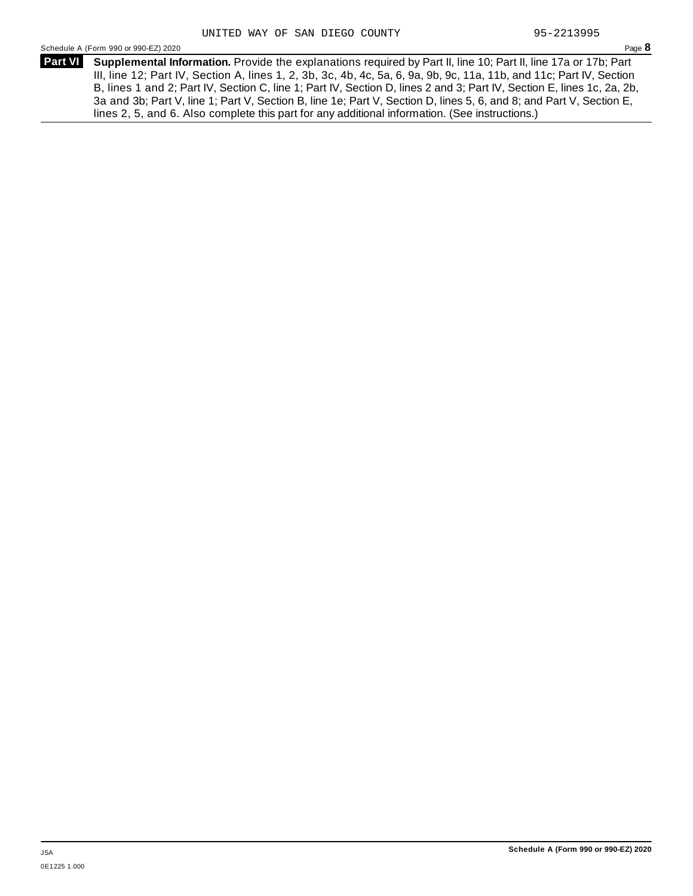Schedule <sup>A</sup> (Form <sup>990</sup> or 990-EZ) <sup>2020</sup> Page **8**

**Supplemental Information.** Provide the explanations required by Part II, line 10; Part II, line 17a or 17b; Part **Part VI** III, line 12; Part IV, Section A, lines 1, 2, 3b, 3c, 4b, 4c, 5a, 6, 9a, 9b, 9c, 11a, 11b, and 11c; Part IV, Section B, lines 1 and 2; Part IV, Section C, line 1; Part IV, Section D, lines 2 and 3; Part IV, Section E, lines 1c, 2a, 2b, 3a and 3b; Part V, line 1; Part V, Section B, line 1e; Part V, Section D, lines 5, 6, and 8; and Part V, Section E, lines 2, 5, and 6. Also complete this part for any additional information. (See instructions.)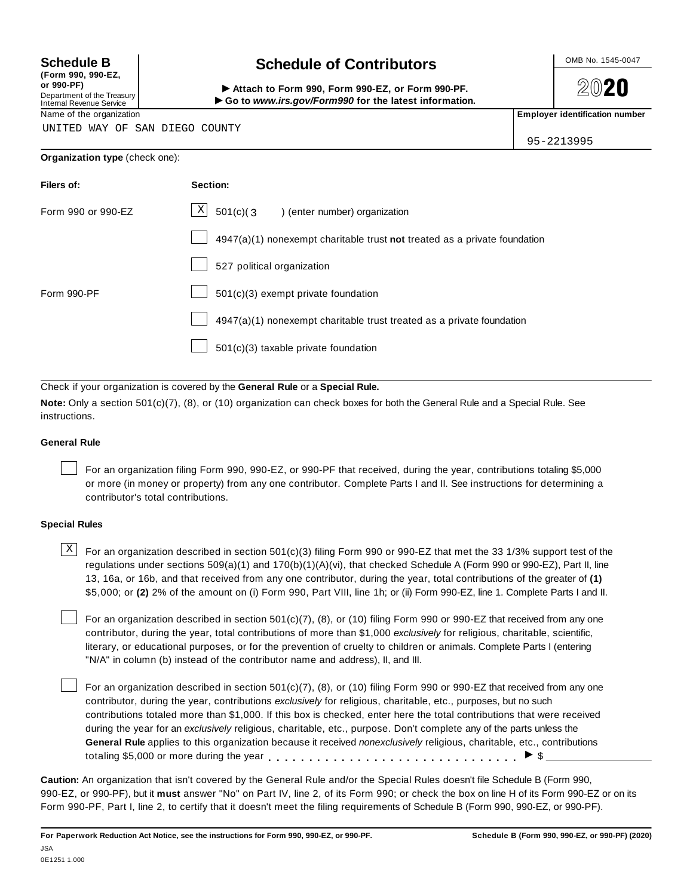**(Form 990, 990-EZ, or 990-PF)** Department of the Treasury<br>Internal Revenue Service

# **Schedule B chedule of Contributors**

(Form 990, 990-EZ,<br>
or 990-PF,<br>
Department of the Treasury **COLOCY**<br>
Internal Revenue Service **COLOCY**<br>
Name of the organization<br>
Name of the organization

**2020** 

UNITED WAY OF SAN DIEGO COUNTY

95-2213995

|  | Organization type (check one): |
|--|--------------------------------|
|--|--------------------------------|

| Filers of:         | Section:                                                                    |
|--------------------|-----------------------------------------------------------------------------|
| Form 990 or 990-EZ | $\lfloor x \rfloor$ 501(c)(3) (enter number) organization                   |
|                    | $4947(a)(1)$ nonexempt charitable trust not treated as a private foundation |
|                    | 527 political organization                                                  |
| Form 990-PF        | $501(c)(3)$ exempt private foundation                                       |
|                    | 4947(a)(1) nonexempt charitable trust treated as a private foundation       |
|                    | 501(c)(3) taxable private foundation                                        |

Check if your organization is covered by the **General Rule** or a **Special Rule.**

**Note:** Only a section 501(c)(7), (8), or (10) organization can check boxes for both the General Rule and a Special Rule. See instructions.

#### **General Rule**

For an organization filing Form 990, 990-EZ, or 990-PF that received, during the year, contributions totaling \$5,000 or more (in money or property) from any one contributor. Complete Parts I and II. See instructions for determining a contributor's total contributions.

#### **Special Rules**

 $\text{X}$  For an organization described in section 501(c)(3) filing Form 990 or 990-EZ that met the 33 1/3% support test of the regulations under sections 509(a)(1) and 170(b)(1)(A)(vi), that checked Schedule A (Form 990 or 990-EZ), Part II, line 13, 16a, or 16b, and that received from any one contributor, during the year, total contributions of the greater of **(1)** \$5,000; or **(2)** 2% of the amount on (i) Form 990, Part VIII, line 1h; or (ii) Form 990-EZ, line 1. Complete Parts I and II.

For an organization described in section 501(c)(7), (8), or (10) filing Form 990 or 990-EZ that received from any one contributor, during the year, total contributions of more than \$1,000 *exclusively* for religious, charitable, scientific, literary, or educational purposes, or for the prevention of cruelty to children or animals. Complete Parts I (entering "N/A" in column (b) instead of the contributor name and address), II, and III.

For an organization described in section 501(c)(7), (8), or (10) filing Form 990 or 990-EZ that received from any one contributor, during the year, contributions *exclusively* for religious, charitable, etc., purposes, but no such contributions totaled more than \$1,000. If this box is checked, enter here the total contributions that were received during the year for an *exclusively* religious, charitable, etc., purpose. Don't complete any of the parts unless the **General Rule** applies to this organization because it received *nonexclusively* religious, charitable, etc., contributions totaling \$5,000 or more during the year  $\ldots \ldots \ldots \ldots \ldots \ldots \ldots \ldots \ldots \vdots$ 

**Caution:** An organization that isn't covered by the General Rule and/or the Special Rules doesn't file Schedule B (Form 990, 990-EZ, or 990-PF), but it **must** answer "No" on Part IV, line 2, of its Form 990; or check the box on line H of its Form 990-EZ or on its Form 990-PF, Part I, line 2, to certify that it doesn't meet the filing requirements of Schedule B (Form 990, 990-EZ, or 990-PF).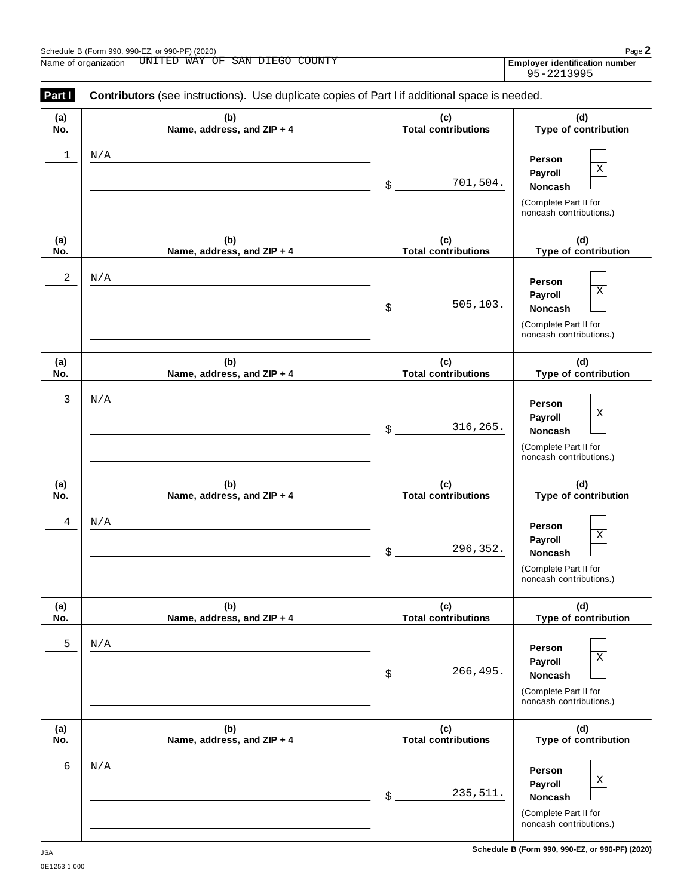| ,,,,, |  |  |  |
|-------|--|--|--|
|       |  |  |  |
|       |  |  |  |

| Part I     | <b>Contributors</b> (see instructions). Use duplicate copies of Part I if additional space is needed. |                                   |                                                                                              |
|------------|-------------------------------------------------------------------------------------------------------|-----------------------------------|----------------------------------------------------------------------------------------------|
| (a)<br>No. | (b)<br>Name, address, and ZIP + 4                                                                     | (c)<br><b>Total contributions</b> | (d)<br>Type of contribution                                                                  |
| 1          | N/A                                                                                                   | 701,504.<br>\$                    | Person<br>Χ<br>Payroll<br><b>Noncash</b><br>(Complete Part II for<br>noncash contributions.) |
| (a)<br>No. | (b)<br>Name, address, and ZIP + 4                                                                     | (c)<br><b>Total contributions</b> | (d)<br>Type of contribution                                                                  |
| 2          | N/A                                                                                                   | 505, 103.<br>\$                   | Person<br>Χ<br>Payroll<br><b>Noncash</b><br>(Complete Part II for<br>noncash contributions.) |
| (a)<br>No. | (b)<br>Name, address, and ZIP + 4                                                                     | (c)<br><b>Total contributions</b> | (d)<br>Type of contribution                                                                  |
| 3          | N/A                                                                                                   | 316,265.<br>\$                    | Person<br>Χ<br>Payroll<br>Noncash<br>(Complete Part II for<br>noncash contributions.)        |
| (a)<br>No. | (b)<br>Name, address, and ZIP + 4                                                                     | (c)<br><b>Total contributions</b> | (d)<br>Type of contribution                                                                  |
| 4          | N/A                                                                                                   | 296,352.<br>\$                    | Person<br>Χ<br>Payroll<br><b>Noncash</b><br>(Complete Part II for<br>noncash contributions.) |
| (a)<br>No. | (b)<br>Name, address, and ZIP + 4                                                                     | (c)<br><b>Total contributions</b> | (d)<br>Type of contribution                                                                  |
| 5          | N/A                                                                                                   | 266,495.<br>\$                    | Person<br>Χ<br>Payroll<br>Noncash<br>(Complete Part II for<br>noncash contributions.)        |
| (a)<br>No. | (b)<br>Name, address, and ZIP + 4                                                                     | (c)<br><b>Total contributions</b> | (d)<br>Type of contribution                                                                  |
| 6          | N/A                                                                                                   | 235,511.<br>\$                    | Person<br>Χ<br>Payroll<br>Noncash<br>(Complete Part II for<br>noncash contributions.)        |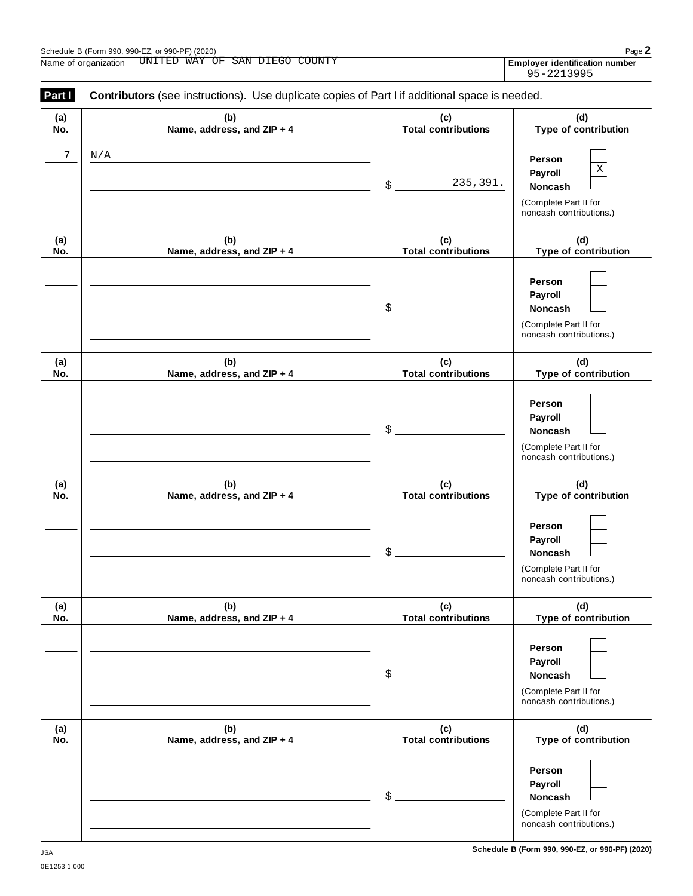**(b) Name, address, and ZIP + 4**

**(a) No.**

**Part <b>I** Contributors (see instructions). Use duplicate copies of Part I if additional space is needed.

**(c) Total contributions**

|                                   | 235,391.<br>\$                    | Person<br>$\mathbf X$<br>Payroll<br>Noncash<br>(Complete Part II for<br>noncash contributions.) |
|-----------------------------------|-----------------------------------|-------------------------------------------------------------------------------------------------|
| (b)<br>Name, address, and ZIP + 4 | (c)<br><b>Total contributions</b> | (d)<br>Type of contribution                                                                     |
|                                   | \$                                | Person<br>Payroll<br>Noncash<br>(Complete Part II for<br>noncash contributions.)                |
| (b)<br>Name, address, and ZIP + 4 | (c)<br><b>Total contributions</b> | (d)<br>Type of contribution                                                                     |
|                                   | \$                                | Person<br>Payroll<br>Noncash<br>(Complete Part II for<br>noncash contributions.)                |
| (b)<br>Name, address, and ZIP + 4 | (c)<br><b>Total contributions</b> | (d)<br>Type of contribution                                                                     |
|                                   | \$                                | Person<br>Payroll<br>Noncash<br>(Complete Part II for<br>noncash contributions.)                |
| (b)<br>Name, address, and ZIP + 4 | (c)<br><b>Total contributions</b> | (d)<br>Type of contribution                                                                     |
|                                   | \$                                | Person<br>Payroll<br>Noncash<br>(Complete Part II for<br>noncash contributions.)                |
| (b)<br>Name, address, and ZIP + 4 | (c)<br><b>Total contributions</b> | (d)<br>Type of contribution                                                                     |
|                                   | \$                                | Person<br>Payroll<br>Noncash<br>(Complete Part II for<br>noncash contributions.)                |
|                                   |                                   |                                                                                                 |

**(d) Type of contribution**

95-2213995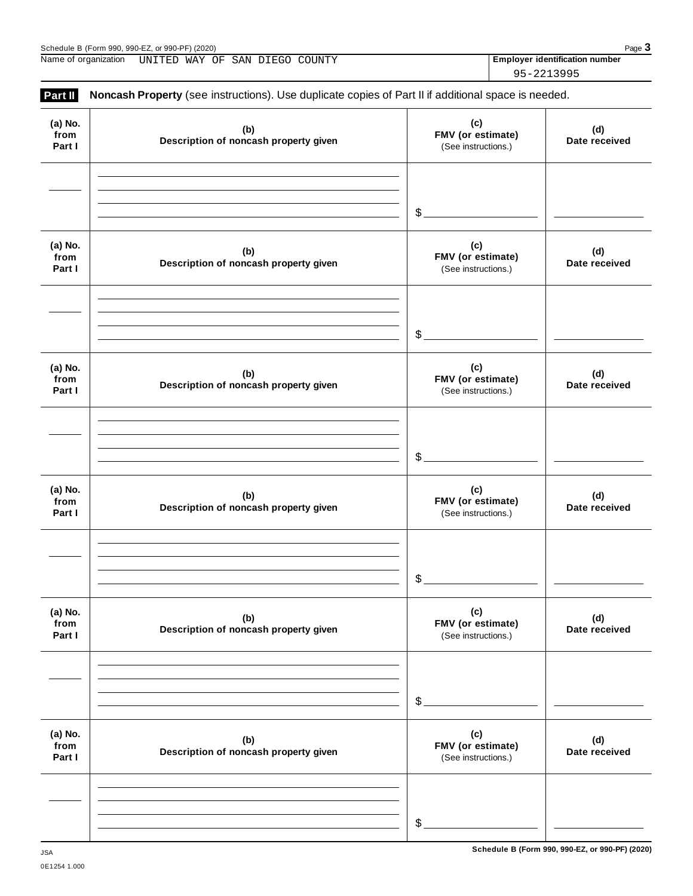|                           |                                                                                                     |                                                 | 95-2213995 |    |
|---------------------------|-----------------------------------------------------------------------------------------------------|-------------------------------------------------|------------|----|
| Part II                   | Noncash Property (see instructions). Use duplicate copies of Part II if additional space is needed. |                                                 |            |    |
| (a) No.<br>from<br>Part I | (b)<br>Description of noncash property given                                                        | (c)<br>FMV (or estimate)<br>(See instructions.) |            | Da |
|                           |                                                                                                     | $\frac{1}{2}$                                   |            |    |
| (a) No.<br>from<br>Part I | (b)<br>Description of noncash property given                                                        | (c)<br>FMV (or estimate)<br>(See instructions.) |            | Da |
|                           |                                                                                                     | $$^{\circ}$                                     |            |    |
| (a) No.<br>from<br>Part I | (b)<br>Description of noncash property given                                                        | (c)<br>FMV (or estimate)<br>(See instructions.) |            | Da |
|                           |                                                                                                     | $\frac{1}{2}$                                   |            |    |
| (a) No.<br>from<br>Part I | (b)<br>Description of noncash property given                                                        | (c)<br>FMV (or estimate)<br>(See instructions.) |            | Da |
|                           |                                                                                                     | $\frac{1}{2}$                                   |            |    |
| (a) No.<br>from<br>Part I | (b)<br>Description of noncash property given                                                        | (c)<br>FMV (or estimate)<br>(See instructions.) |            | Da |
|                           |                                                                                                     |                                                 |            |    |

| <b>Trom</b><br>Part I     | Description of noncash property given        | <b>FIVIV</b> (Or estimate)<br>(See instructions.) | Date received        |
|---------------------------|----------------------------------------------|---------------------------------------------------|----------------------|
|                           |                                              | \$                                                |                      |
| (a) No.<br>from<br>Part I | (b)<br>Description of noncash property given | (c)<br>FMV (or estimate)<br>(See instructions.)   | (d)<br>Date received |
|                           |                                              | \$                                                |                      |

Schedule B (Form 990, 990-EZ, or 990-PF) (2020)<br>Name of organization UNITED WAY OF SAN DIEGO COUNTY **Proper and COUNTY Page 3** Name of organization **UNITED WAY OF SAN DIEGO COUNTY Employer identification number** 

**(d) Date received**

**(d) Date received**

**(d) Date received**

**(d) Date received**

**(d)**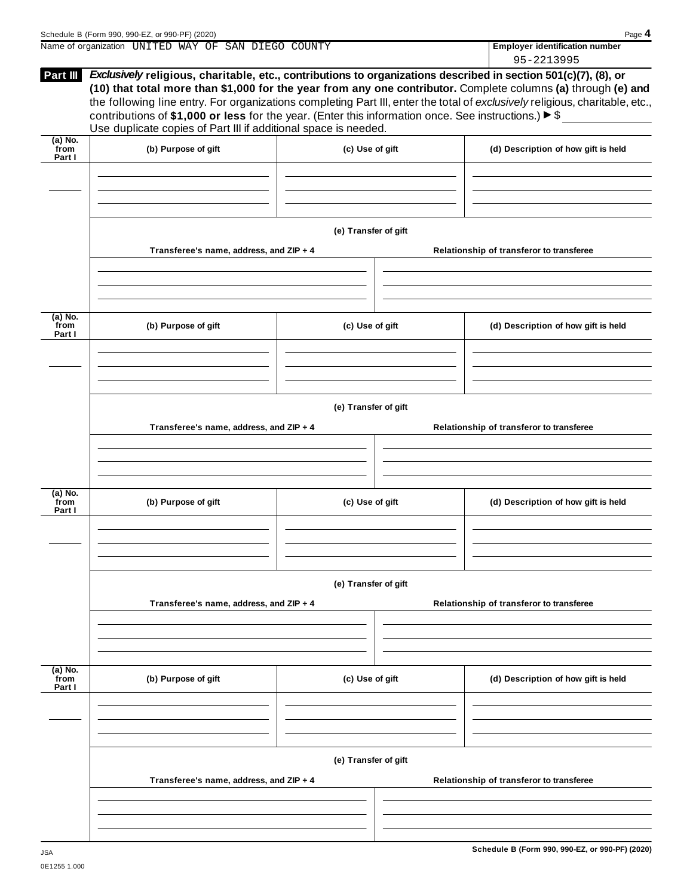|                             | Name of organization UNITED WAY OF SAN DIEGO COUNTY                                                                                                                                                                                                                                                                                                                       |                      |                                          | <b>Employer identification number</b>    |  |  |  |  |
|-----------------------------|---------------------------------------------------------------------------------------------------------------------------------------------------------------------------------------------------------------------------------------------------------------------------------------------------------------------------------------------------------------------------|----------------------|------------------------------------------|------------------------------------------|--|--|--|--|
|                             | Part III Exclusively religious, charitable, etc., contributions to organizations described in section 501(c)(7), (8), or<br>(10) that total more than \$1,000 for the year from any one contributor. Complete columns (a) through (e) and<br>the following line entry. For organizations completing Part III, enter the total of exclusively religious, charitable, etc., |                      |                                          | 95-2213995                               |  |  |  |  |
|                             | contributions of \$1,000 or less for the year. (Enter this information once. See instructions.) $\triangleright$ \$<br>Use duplicate copies of Part III if additional space is needed.                                                                                                                                                                                    |                      |                                          |                                          |  |  |  |  |
| $(a)$ No.<br>from<br>Part I | (b) Purpose of gift                                                                                                                                                                                                                                                                                                                                                       | (c) Use of gift      |                                          | (d) Description of how gift is held      |  |  |  |  |
|                             |                                                                                                                                                                                                                                                                                                                                                                           |                      |                                          |                                          |  |  |  |  |
|                             |                                                                                                                                                                                                                                                                                                                                                                           | (e) Transfer of gift |                                          |                                          |  |  |  |  |
|                             | Transferee's name, address, and ZIP + 4                                                                                                                                                                                                                                                                                                                                   |                      |                                          | Relationship of transferor to transferee |  |  |  |  |
| (a) No.<br>from             | (b) Purpose of gift                                                                                                                                                                                                                                                                                                                                                       | (c) Use of gift      |                                          | (d) Description of how gift is held      |  |  |  |  |
| Part I                      |                                                                                                                                                                                                                                                                                                                                                                           |                      |                                          |                                          |  |  |  |  |
|                             |                                                                                                                                                                                                                                                                                                                                                                           | (e) Transfer of gift |                                          |                                          |  |  |  |  |
|                             | Transferee's name, address, and ZIP + 4                                                                                                                                                                                                                                                                                                                                   |                      | Relationship of transferor to transferee |                                          |  |  |  |  |
| (a) No.                     |                                                                                                                                                                                                                                                                                                                                                                           |                      |                                          |                                          |  |  |  |  |
| from<br>Part I              | (b) Purpose of gift                                                                                                                                                                                                                                                                                                                                                       | (c) Use of gift      |                                          | (d) Description of how gift is held      |  |  |  |  |
|                             |                                                                                                                                                                                                                                                                                                                                                                           |                      |                                          |                                          |  |  |  |  |
|                             | (e) Transfer of gift                                                                                                                                                                                                                                                                                                                                                      |                      |                                          |                                          |  |  |  |  |
|                             | Transferee's name, address, and ZIP + 4                                                                                                                                                                                                                                                                                                                                   |                      |                                          | Relationship of transferor to transferee |  |  |  |  |
|                             |                                                                                                                                                                                                                                                                                                                                                                           |                      |                                          |                                          |  |  |  |  |
| $(a)$ No.<br>from<br>Part I | (b) Purpose of gift                                                                                                                                                                                                                                                                                                                                                       | (c) Use of gift      |                                          | (d) Description of how gift is held      |  |  |  |  |
|                             |                                                                                                                                                                                                                                                                                                                                                                           |                      |                                          |                                          |  |  |  |  |
|                             | Transferee's name, address, and ZIP + 4                                                                                                                                                                                                                                                                                                                                   | (e) Transfer of gift | Relationship of transferor to transferee |                                          |  |  |  |  |
|                             |                                                                                                                                                                                                                                                                                                                                                                           |                      |                                          |                                          |  |  |  |  |
|                             |                                                                                                                                                                                                                                                                                                                                                                           |                      |                                          |                                          |  |  |  |  |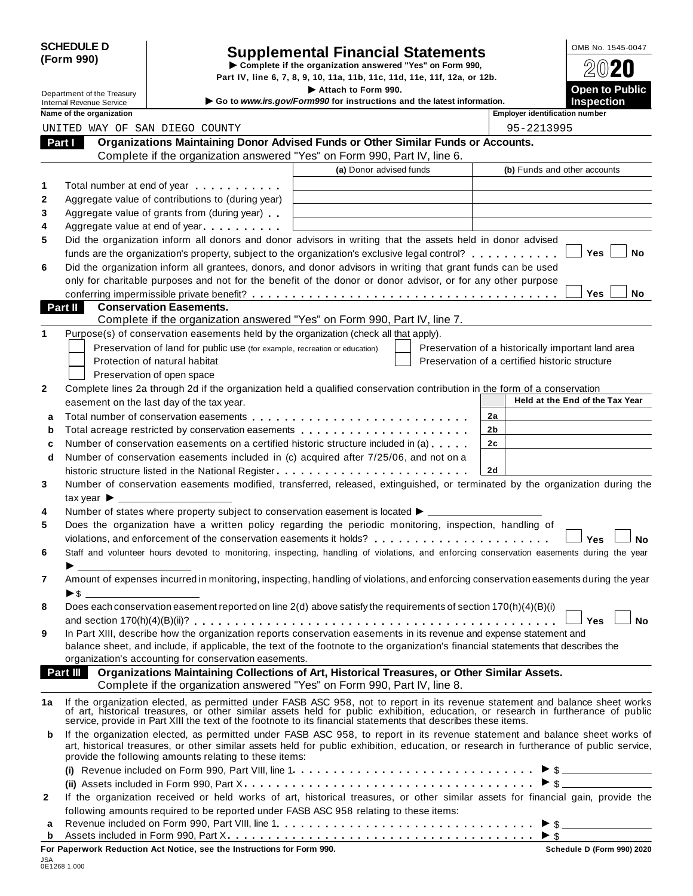|            | <b>SCHEDULE D</b> |
|------------|-------------------|
| (Form 990) |                   |

# SCHEDULE D<br>
Supplemental Financial Statements<br>
Form 990)<br>
Part IV, line 6, 7, 8, 9, 10, 11a, 11b, 11c, 11d, 11e, 11f, 12a, or 12b.<br>
Part IV, line 6, 7, 8, 9, 10, 11a, 11b, 11c, 11d, 11e, 11f, 12a, or 12b.

|                                 |                            |                                                                                                                                                                                                                                                                                                                                                  | Part IV, line 6, 7, 8, 9, 10, 11a, 11b, 11c, 11d, 11e, 11f, 12a, or 12b.                      |                |                                                    |           |
|---------------------------------|----------------------------|--------------------------------------------------------------------------------------------------------------------------------------------------------------------------------------------------------------------------------------------------------------------------------------------------------------------------------------------------|-----------------------------------------------------------------------------------------------|----------------|----------------------------------------------------|-----------|
| <b>Internal Revenue Service</b> | Department of the Treasury |                                                                                                                                                                                                                                                                                                                                                  | Attach to Form 990.<br>Go to www.irs.gov/Form990 for instructions and the latest information. |                | <b>Open to Public</b><br><b>Inspection</b>         |           |
|                                 | Name of the organization   |                                                                                                                                                                                                                                                                                                                                                  |                                                                                               |                | <b>Employer identification number</b>              |           |
|                                 |                            | UNITED WAY OF SAN DIEGO COUNTY                                                                                                                                                                                                                                                                                                                   |                                                                                               |                | 95-2213995                                         |           |
| Part I                          |                            | Organizations Maintaining Donor Advised Funds or Other Similar Funds or Accounts.                                                                                                                                                                                                                                                                |                                                                                               |                |                                                    |           |
|                                 |                            | Complete if the organization answered "Yes" on Form 990, Part IV, line 6.                                                                                                                                                                                                                                                                        | (a) Donor advised funds                                                                       |                | (b) Funds and other accounts                       |           |
| 1                               |                            |                                                                                                                                                                                                                                                                                                                                                  |                                                                                               |                |                                                    |           |
|                                 |                            | Total number at end of year entitled as a set of the set of the set of the set of the set of the set of the set of the set of the set of the set of the set of the set of the set of the set of the set of the set of the set                                                                                                                    |                                                                                               |                |                                                    |           |
|                                 |                            | Aggregate value of contributions to (during year)                                                                                                                                                                                                                                                                                                |                                                                                               |                |                                                    |           |
|                                 |                            | Aggregate value of grants from (during year)                                                                                                                                                                                                                                                                                                     |                                                                                               |                |                                                    |           |
|                                 |                            | Aggregate value at end of year<br>Did the organization inform all donors and donor advisors in writing that the assets held in donor advised                                                                                                                                                                                                     |                                                                                               |                |                                                    |           |
|                                 |                            | funds are the organization's property, subject to the organization's exclusive legal control?                                                                                                                                                                                                                                                    |                                                                                               |                | Yes                                                | No        |
|                                 |                            | Did the organization inform all grantees, donors, and donor advisors in writing that grant funds can be used                                                                                                                                                                                                                                     |                                                                                               |                |                                                    |           |
|                                 |                            | only for charitable purposes and not for the benefit of the donor or donor advisor, or for any other purpose                                                                                                                                                                                                                                     |                                                                                               |                |                                                    |           |
|                                 |                            |                                                                                                                                                                                                                                                                                                                                                  |                                                                                               |                | <b>Yes</b>                                         | No        |
| Part II                         |                            | <b>Conservation Easements.</b>                                                                                                                                                                                                                                                                                                                   |                                                                                               |                |                                                    |           |
|                                 |                            | Complete if the organization answered "Yes" on Form 990, Part IV, line 7.                                                                                                                                                                                                                                                                        |                                                                                               |                |                                                    |           |
|                                 |                            | Purpose(s) of conservation easements held by the organization (check all that apply).                                                                                                                                                                                                                                                            |                                                                                               |                |                                                    |           |
|                                 |                            | Preservation of land for public use (for example, recreation or education)                                                                                                                                                                                                                                                                       |                                                                                               |                | Preservation of a historically important land area |           |
|                                 |                            | Protection of natural habitat                                                                                                                                                                                                                                                                                                                    |                                                                                               |                | Preservation of a certified historic structure     |           |
|                                 |                            | Preservation of open space                                                                                                                                                                                                                                                                                                                       |                                                                                               |                |                                                    |           |
|                                 |                            | Complete lines 2a through 2d if the organization held a qualified conservation contribution in the form of a conservation                                                                                                                                                                                                                        |                                                                                               |                |                                                    |           |
|                                 |                            | easement on the last day of the tax year.                                                                                                                                                                                                                                                                                                        |                                                                                               |                | Held at the End of the Tax Year                    |           |
| a                               |                            |                                                                                                                                                                                                                                                                                                                                                  |                                                                                               | 2a             |                                                    |           |
| b                               |                            | Total acreage restricted by conservation easements                                                                                                                                                                                                                                                                                               |                                                                                               | 2b             |                                                    |           |
| c                               |                            | Number of conservation easements on a certified historic structure included in (a)                                                                                                                                                                                                                                                               |                                                                                               | 2 <sub>c</sub> |                                                    |           |
| d                               |                            | Number of conservation easements included in (c) acquired after 7/25/06, and not on a                                                                                                                                                                                                                                                            |                                                                                               |                |                                                    |           |
|                                 |                            |                                                                                                                                                                                                                                                                                                                                                  |                                                                                               | 2d             |                                                    |           |
|                                 |                            | Number of conservation easements modified, transferred, released, extinguished, or terminated by the organization during the                                                                                                                                                                                                                     |                                                                                               |                |                                                    |           |
| tax year                        |                            |                                                                                                                                                                                                                                                                                                                                                  |                                                                                               |                |                                                    |           |
|                                 |                            | Number of states where property subject to conservation easement is located ▶ __________                                                                                                                                                                                                                                                         |                                                                                               |                |                                                    |           |
|                                 |                            | Does the organization have a written policy regarding the periodic monitoring, inspection, handling of<br>violations, and enforcement of the conservation easements it holds?                                                                                                                                                                    |                                                                                               |                | <b>Yes</b>                                         | <b>No</b> |
|                                 |                            | Staff and volunteer hours devoted to monitoring, inspecting, handling of violations, and enforcing conservation easements during the year                                                                                                                                                                                                        |                                                                                               |                |                                                    |           |
|                                 |                            |                                                                                                                                                                                                                                                                                                                                                  |                                                                                               |                |                                                    |           |
|                                 |                            | Amount of expenses incurred in monitoring, inspecting, handling of violations, and enforcing conservation easements during the year                                                                                                                                                                                                              |                                                                                               |                |                                                    |           |
| $\blacktriangleright$ s $\perp$ |                            |                                                                                                                                                                                                                                                                                                                                                  |                                                                                               |                |                                                    |           |
|                                 |                            | Does each conservation easement reported on line 2(d) above satisfy the requirements of section 170(h)(4)(B)(i)                                                                                                                                                                                                                                  |                                                                                               |                |                                                    |           |
|                                 |                            |                                                                                                                                                                                                                                                                                                                                                  |                                                                                               |                | <b>Yes</b>                                         | <b>No</b> |
|                                 |                            | In Part XIII, describe how the organization reports conservation easements in its revenue and expense statement and                                                                                                                                                                                                                              |                                                                                               |                |                                                    |           |
|                                 |                            | balance sheet, and include, if applicable, the text of the footnote to the organization's financial statements that describes the                                                                                                                                                                                                                |                                                                                               |                |                                                    |           |
|                                 |                            | organization's accounting for conservation easements.                                                                                                                                                                                                                                                                                            |                                                                                               |                |                                                    |           |
| <b>Part III</b>                 |                            | Organizations Maintaining Collections of Art, Historical Treasures, or Other Similar Assets.                                                                                                                                                                                                                                                     |                                                                                               |                |                                                    |           |
|                                 |                            | Complete if the organization answered "Yes" on Form 990, Part IV, line 8.                                                                                                                                                                                                                                                                        |                                                                                               |                |                                                    |           |
| 1a                              |                            | If the organization elected, as permitted under FASB ASC 958, not to report in its revenue statement and balance sheet works of art, historical treasures, or other similar assets held for public exhibition, education, or r<br>service, provide in Part XIII the text of the footnote to its financial statements that describes these items. |                                                                                               |                |                                                    |           |
| b                               |                            | If the organization elected, as permitted under FASB ASC 958, to report in its revenue statement and balance sheet works of<br>art, historical treasures, or other similar assets held for public exhibition, education, or research in furtherance of public service,<br>provide the following amounts relating to these items:                 |                                                                                               |                |                                                    |           |
|                                 |                            |                                                                                                                                                                                                                                                                                                                                                  |                                                                                               |                |                                                    |           |
|                                 |                            |                                                                                                                                                                                                                                                                                                                                                  |                                                                                               |                |                                                    |           |
| $\mathbf{2}$                    |                            | If the organization received or held works of art, historical treasures, or other similar assets for financial gain, provide the                                                                                                                                                                                                                 |                                                                                               |                |                                                    |           |
|                                 |                            | following amounts required to be reported under FASB ASC 958 relating to these items:                                                                                                                                                                                                                                                            |                                                                                               |                |                                                    |           |
| а                               |                            |                                                                                                                                                                                                                                                                                                                                                  |                                                                                               |                |                                                    |           |
| b                               |                            |                                                                                                                                                                                                                                                                                                                                                  |                                                                                               |                | $\blacktriangleright$ \$                           |           |

| <b>b</b> Assets included in Form 990, Part X |  |
|----------------------------------------------|--|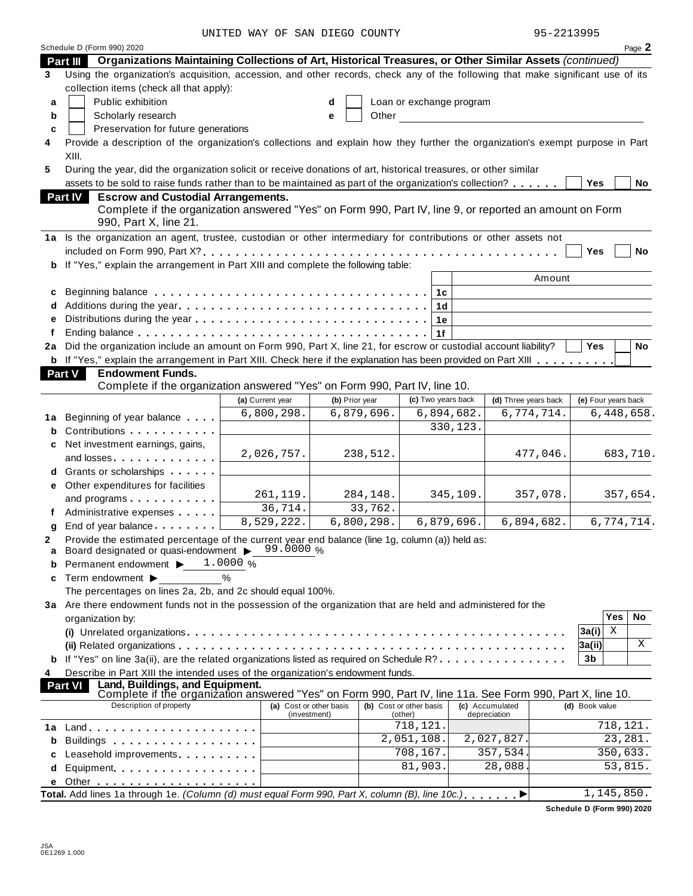UNITED WAY OF SAN DIEGO COUNTY 95-2213995

|    | Schedule D (Form 990) 2020                                                                                                                                      |                         |              |                |                         |                          |                      |                |                     | Page 2    |
|----|-----------------------------------------------------------------------------------------------------------------------------------------------------------------|-------------------------|--------------|----------------|-------------------------|--------------------------|----------------------|----------------|---------------------|-----------|
|    | Part III Organizations Maintaining Collections of Art, Historical Treasures, or Other Similar Assets (continued)                                                |                         |              |                |                         |                          |                      |                |                     |           |
| 3  | Using the organization's acquisition, accession, and other records, check any of the following that make significant use of its                                 |                         |              |                |                         |                          |                      |                |                     |           |
|    | collection items (check all that apply):                                                                                                                        |                         |              |                |                         |                          |                      |                |                     |           |
| a  | Public exhibition                                                                                                                                               |                         | d            |                |                         | Loan or exchange program |                      |                |                     |           |
| b  | Scholarly research                                                                                                                                              |                         | е            | Other          |                         |                          |                      |                |                     |           |
| C  | Preservation for future generations                                                                                                                             |                         |              |                |                         |                          |                      |                |                     |           |
| 4  | Provide a description of the organization's collections and explain how they further the organization's exempt purpose in Part                                  |                         |              |                |                         |                          |                      |                |                     |           |
|    | XIII.                                                                                                                                                           |                         |              |                |                         |                          |                      |                |                     |           |
| 5  | During the year, did the organization solicit or receive donations of art, historical treasures, or other similar                                               |                         |              |                |                         |                          |                      |                |                     |           |
|    | assets to be sold to raise funds rather than to be maintained as part of the organization's collection?                                                         |                         |              |                |                         |                          |                      |                | Yes                 | No        |
|    | <b>Escrow and Custodial Arrangements.</b><br><b>Part IV</b>                                                                                                     |                         |              |                |                         |                          |                      |                |                     |           |
|    | Complete if the organization answered "Yes" on Form 990, Part IV, line 9, or reported an amount on Form                                                         |                         |              |                |                         |                          |                      |                |                     |           |
|    | 990, Part X, line 21.                                                                                                                                           |                         |              |                |                         |                          |                      |                |                     |           |
|    | 1a Is the organization an agent, trustee, custodian or other intermediary for contributions or other assets not                                                 |                         |              |                |                         |                          |                      |                |                     |           |
|    |                                                                                                                                                                 |                         |              |                |                         |                          |                      | Yes            |                     | <b>No</b> |
|    | If "Yes," explain the arrangement in Part XIII and complete the following table:                                                                                |                         |              |                |                         |                          |                      |                |                     |           |
|    |                                                                                                                                                                 |                         |              |                |                         |                          |                      | Amount         |                     |           |
|    |                                                                                                                                                                 |                         |              |                |                         |                          |                      |                |                     |           |
| c  | Beginning balance enterpreteration of the contract of the contract of the contract of the contract of the contr                                                 |                         |              |                |                         | 1c                       |                      |                |                     |           |
| d  |                                                                                                                                                                 |                         |              |                |                         | 1 <sub>d</sub>           |                      |                |                     |           |
| e  |                                                                                                                                                                 |                         |              |                |                         | 1е                       |                      |                |                     |           |
| f  | Did the organization include an amount on Form 990, Part X, line 21, for escrow or custodial account liability?                                                 |                         |              |                |                         | 1f                       |                      | Yes            |                     | <b>No</b> |
| 2a | <b>b</b> If "Yes," explain the arrangement in Part XIII. Check here if the explanation has been provided on Part XIII                                           |                         |              |                |                         |                          |                      |                |                     |           |
|    |                                                                                                                                                                 |                         |              |                |                         |                          |                      |                |                     |           |
|    | Part V<br><b>Endowment Funds.</b><br>Complete if the organization answered "Yes" on Form 990, Part IV, line 10.                                                 |                         |              |                |                         |                          |                      |                |                     |           |
|    |                                                                                                                                                                 | (a) Current year        |              | (b) Prior year |                         | (c) Two years back       | (d) Three years back |                | (e) Four years back |           |
|    |                                                                                                                                                                 | 6,800,298.              |              | 6,879,696.     |                         | 6,894,682.               | 6,774,714.           |                | 6,448,658.          |           |
| 1a | Beginning of year balance                                                                                                                                       |                         |              |                |                         | 330,123.                 |                      |                |                     |           |
| b  | Contributions                                                                                                                                                   |                         |              |                |                         |                          |                      |                |                     |           |
| c  | Net investment earnings, gains,                                                                                                                                 |                         |              |                |                         |                          |                      |                |                     |           |
|    | and losses                                                                                                                                                      | 2,026,757.              |              | 238,512.       |                         |                          | 477,046.             |                |                     | 683,710.  |
|    | Grants or scholarships                                                                                                                                          |                         |              |                |                         |                          |                      |                |                     |           |
| е  | Other expenditures for facilities                                                                                                                               |                         |              |                |                         |                          |                      |                |                     |           |
|    | and programs expansion and programs                                                                                                                             | 261,119.                |              | 284,148.       |                         | 345,109.                 | 357,078.             |                |                     | 357,654.  |
|    | Administrative expenses                                                                                                                                         | 36,714.                 |              | 33,762.        |                         |                          |                      |                |                     |           |
| g  | End of year balance expansion of year balance                                                                                                                   | 8,529,222.              |              | 6,800,298.     |                         | 6,879,696.               | 6,894,682.           |                | 6,774,714.          |           |
| 2  | Provide the estimated percentage of the current year end balance (line 1g, column (a)) held as:                                                                 |                         |              |                |                         |                          |                      |                |                     |           |
| a  | Board designated or quasi-endowment > 99.0000 %                                                                                                                 |                         |              |                |                         |                          |                      |                |                     |           |
| b  | Permanent endowment ▶                                                                                                                                           | 1.0000%                 |              |                |                         |                          |                      |                |                     |           |
| c  | Term endowment ▶                                                                                                                                                | $\%$                    |              |                |                         |                          |                      |                |                     |           |
|    | The percentages on lines 2a, 2b, and 2c should equal 100%.                                                                                                      |                         |              |                |                         |                          |                      |                |                     |           |
|    | 3a Are there endowment funds not in the possession of the organization that are held and administered for the                                                   |                         |              |                |                         |                          |                      |                |                     |           |
|    | organization by:                                                                                                                                                |                         |              |                |                         |                          |                      |                | Yes                 | No        |
|    |                                                                                                                                                                 |                         |              |                |                         |                          |                      | 3a(i)          | Χ                   |           |
|    |                                                                                                                                                                 |                         |              |                |                         |                          |                      | 3a(ii)         |                     | X         |
|    | If "Yes" on line 3a(ii), are the related organizations listed as required on Schedule R?                                                                        |                         |              |                |                         |                          |                      | 3b             |                     |           |
| 4  | Describe in Part XIII the intended uses of the organization's endowment funds.                                                                                  |                         |              |                |                         |                          |                      |                |                     |           |
|    | Land, Buildings, and Equipment.<br><b>Part VI</b><br>Complete if the organization answered "Yes" on Form 990, Part IV, line 11a. See Form 990, Part X, line 10. |                         |              |                |                         |                          |                      |                |                     |           |
|    | Description of property                                                                                                                                         | (a) Cost or other basis |              |                | (b) Cost or other basis |                          | (c) Accumulated      | (d) Book value |                     |           |
|    |                                                                                                                                                                 |                         | (investment) |                | (other)                 |                          | depreciation         |                |                     |           |
| 1a |                                                                                                                                                                 |                         |              |                | 718,121.                |                          |                      |                | 718,121.            |           |
| b  | Buildings                                                                                                                                                       |                         |              |                | 2,051,108.              |                          | 2,027,827.           |                |                     | 23,281.   |
| c  | Leasehold improvements                                                                                                                                          |                         |              |                | 708,167.                |                          | 357,534              |                | 350,633.            |           |
| d  | Equipment                                                                                                                                                       |                         |              |                | 81,903.                 |                          | 28,088               |                |                     | 53,815.   |
| е  |                                                                                                                                                                 |                         |              |                |                         |                          |                      |                |                     |           |
|    | Total. Add lines 1a through 1e. (Column (d) must equal Form 990, Part X, column (B), line 10c.)                                                                 |                         |              |                |                         |                          |                      |                | 1, 145, 850.        |           |

**Schedule D (Form 990) 2020**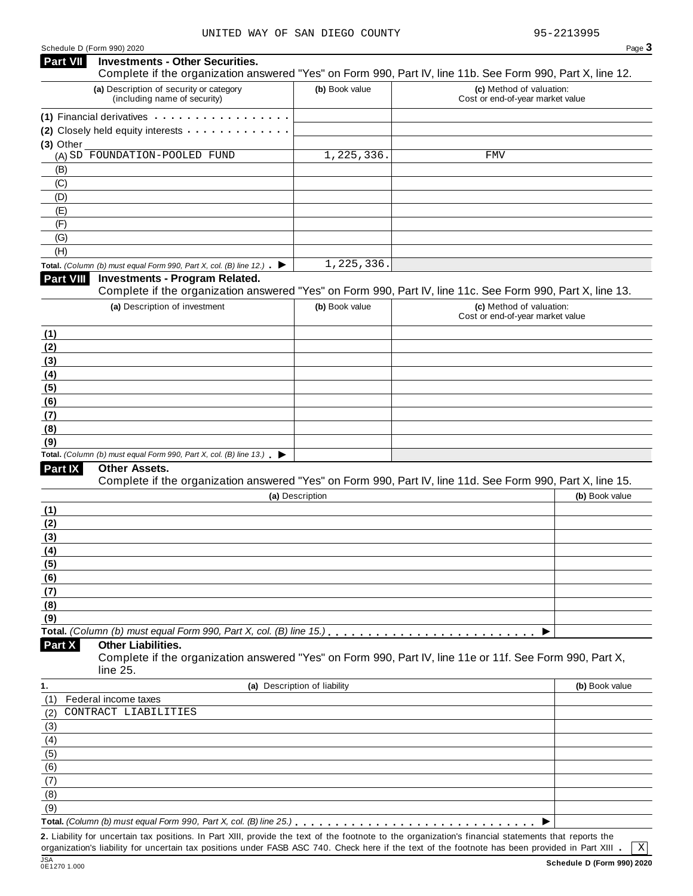| Schedule D (Form 990) 2020 |  |  |  |
|----------------------------|--|--|--|
|----------------------------|--|--|--|

| Schedule D (Form 990) 2020 |                                                                                                                                                      |                              |                                                              | Page 3         |
|----------------------------|------------------------------------------------------------------------------------------------------------------------------------------------------|------------------------------|--------------------------------------------------------------|----------------|
| Part VII                   | <b>Investments - Other Securities.</b><br>Complete if the organization answered "Yes" on Form 990, Part IV, line 11b. See Form 990, Part X, line 12. |                              |                                                              |                |
|                            | (a) Description of security or category<br>(including name of security)                                                                              | (b) Book value               | (c) Method of valuation:<br>Cost or end-of-year market value |                |
|                            | (1) Financial derivatives                                                                                                                            |                              |                                                              |                |
| (3) Other                  | (2) Closely held equity interests                                                                                                                    |                              |                                                              |                |
|                            | (A) SD FOUNDATION-POOLED FUND                                                                                                                        | 1,225,336.                   | FMV                                                          |                |
| (B)                        |                                                                                                                                                      |                              |                                                              |                |
| (C)                        |                                                                                                                                                      |                              |                                                              |                |
| (D)                        |                                                                                                                                                      |                              |                                                              |                |
| (E)                        |                                                                                                                                                      |                              |                                                              |                |
| (F)                        |                                                                                                                                                      |                              |                                                              |                |
| (G)                        |                                                                                                                                                      |                              |                                                              |                |
| (H)                        |                                                                                                                                                      |                              |                                                              |                |
|                            | Total. (Column (b) must equal Form 990, Part X, col. (B) line 12.) $\blacktriangleright$                                                             | 1,225,336.                   |                                                              |                |
| <b>Part VIII</b>           | <b>Investments - Program Related.</b>                                                                                                                |                              |                                                              |                |
|                            | Complete if the organization answered "Yes" on Form 990, Part IV, line 11c. See Form 990, Part X, line 13.                                           |                              |                                                              |                |
|                            | (a) Description of investment                                                                                                                        | (b) Book value               | (c) Method of valuation:                                     |                |
|                            |                                                                                                                                                      |                              | Cost or end-of-year market value                             |                |
| (1)                        |                                                                                                                                                      |                              |                                                              |                |
| (2)                        |                                                                                                                                                      |                              |                                                              |                |
| (3)                        |                                                                                                                                                      |                              |                                                              |                |
| (4)                        |                                                                                                                                                      |                              |                                                              |                |
| (5)                        |                                                                                                                                                      |                              |                                                              |                |
| (6)                        |                                                                                                                                                      |                              |                                                              |                |
| (7)                        |                                                                                                                                                      |                              |                                                              |                |
| (8)                        |                                                                                                                                                      |                              |                                                              |                |
| (9)                        |                                                                                                                                                      |                              |                                                              |                |
|                            | Total. (Column (b) must equal Form 990, Part X, col. (B) line $13$ .)                                                                                |                              |                                                              |                |
| Part IX                    | Other Assets.                                                                                                                                        |                              |                                                              |                |
|                            | Complete if the organization answered "Yes" on Form 990, Part IV, line 11d. See Form 990, Part X, line 15.                                           |                              |                                                              |                |
|                            |                                                                                                                                                      | (a) Description              |                                                              | (b) Book value |
| (1)                        |                                                                                                                                                      |                              |                                                              |                |
| (2)                        |                                                                                                                                                      |                              |                                                              |                |
| (3)                        |                                                                                                                                                      |                              |                                                              |                |
| (4)                        |                                                                                                                                                      |                              |                                                              |                |
| (5)                        |                                                                                                                                                      |                              |                                                              |                |
| (6)                        |                                                                                                                                                      |                              |                                                              |                |
| (7)                        |                                                                                                                                                      |                              |                                                              |                |
| (8)                        |                                                                                                                                                      |                              |                                                              |                |
| (9)                        |                                                                                                                                                      |                              |                                                              |                |
|                            |                                                                                                                                                      |                              |                                                              |                |
| Part X                     | <b>Other Liabilities.</b><br>Complete if the organization answered "Yes" on Form 990, Part IV, line 11e or 11f. See Form 990, Part X,<br>line 25.    |                              |                                                              |                |
| 1.                         |                                                                                                                                                      | (a) Description of liability |                                                              | (b) Book value |
| (1)                        | Federal income taxes                                                                                                                                 |                              |                                                              |                |
| (2)                        | CONTRACT LIABILITIES                                                                                                                                 |                              |                                                              |                |
| (3)                        |                                                                                                                                                      |                              |                                                              |                |
| (4)                        |                                                                                                                                                      |                              |                                                              |                |
| (5)                        |                                                                                                                                                      |                              |                                                              |                |
| (6)                        |                                                                                                                                                      |                              |                                                              |                |
| (7)                        |                                                                                                                                                      |                              |                                                              |                |
| (8)                        |                                                                                                                                                      |                              |                                                              |                |
| (9)                        |                                                                                                                                                      |                              |                                                              |                |
|                            | Total. (Column (b) must equal Form 990, Part X, col. (B) line 25.)                                                                                   |                              |                                                              |                |
|                            |                                                                                                                                                      |                              |                                                              |                |

**2.** Liability for uncertain tax positions. In Part XIII, provide the text of the footnote to the organization's financial statements that reports the organization's liability for uncertain tax positions under FASB ASC 740. Check here if the text of the footnote has been provided in Part XIII .

JSA<br>0E1270 1.000

 $\boxed{\text{X}}$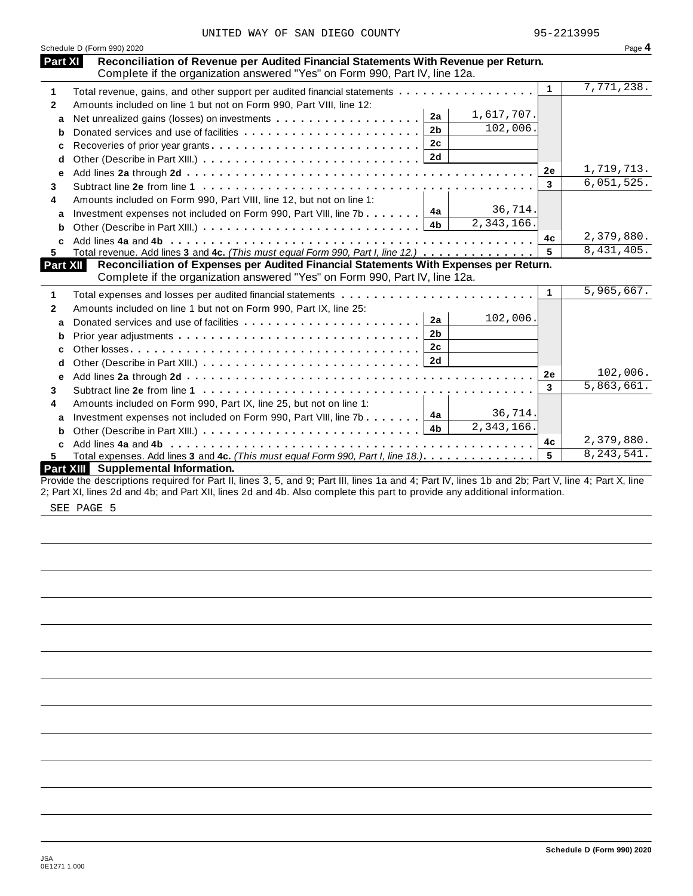| UNITED WAY OF SAN DIEGO COUNTY |  |  |  |  |  |  |
|--------------------------------|--|--|--|--|--|--|
|--------------------------------|--|--|--|--|--|--|

|                | Schedule D (Form 990) 2020                                                                                                                                         |              | Page 4       |
|----------------|--------------------------------------------------------------------------------------------------------------------------------------------------------------------|--------------|--------------|
| <b>Part XI</b> | Reconciliation of Revenue per Audited Financial Statements With Revenue per Return.<br>Complete if the organization answered "Yes" on Form 990, Part IV, line 12a. |              |              |
| 1              | Total revenue, gains, and other support per audited financial statements                                                                                           | $\mathbf{1}$ | 7,771,238.   |
| $\mathbf{2}$   | Amounts included on line 1 but not on Form 990, Part VIII, line 12:                                                                                                |              |              |
| a              | 1,617,707.<br>2a                                                                                                                                                   |              |              |
| b              | 102,006.<br>2 <sub>b</sub><br>Donated services and use of facilities                                                                                               |              |              |
| c              | 2c<br>Recoveries of prior year grants                                                                                                                              |              |              |
| d              | 2d                                                                                                                                                                 |              |              |
|                |                                                                                                                                                                    | 2e           | 1,719,713.   |
| e              |                                                                                                                                                                    | 3            | 6,051,525.   |
| 3              |                                                                                                                                                                    |              |              |
| 4              | Amounts included on Form 990, Part VIII, line 12, but not on line 1:<br>36,714.<br>4a                                                                              |              |              |
| a              | Investment expenses not included on Form 990, Part VIII, line 7b<br>2,343,166.<br>4b                                                                               |              |              |
|                |                                                                                                                                                                    | 4c           | 2,379,880.   |
| C.<br>5.       | Total revenue. Add lines 3 and 4c. (This must equal Form 990, Part I, line 12.)                                                                                    | 5            | 8,431,405.   |
| Part XII       | Reconciliation of Expenses per Audited Financial Statements With Expenses per Return.                                                                              |              |              |
|                | Complete if the organization answered "Yes" on Form 990, Part IV, line 12a.                                                                                        |              |              |
| 1              | Total expenses and losses per audited financial statements                                                                                                         | 1            | 5,965,667.   |
| $\mathbf{2}$   | Amounts included on line 1 but not on Form 990, Part IX, line 25:                                                                                                  |              |              |
| a              | 102,006.<br>2a<br>Donated services and use of facilities                                                                                                           |              |              |
|                | 2 <sub>b</sub>                                                                                                                                                     |              |              |
| b              | 2 <sub>c</sub>                                                                                                                                                     |              |              |
| C              |                                                                                                                                                                    |              |              |
| d              |                                                                                                                                                                    | 2e           | 102,006.     |
| е              |                                                                                                                                                                    | 3            | 5,863,661.   |
| 3              |                                                                                                                                                                    |              |              |
| 4              | Amounts included on Form 990, Part IX, line 25, but not on line 1:<br>36,714.                                                                                      |              |              |
| a              | 4a<br>Investment expenses not included on Form 990, Part VIII, line 7b $\ldots$ .<br>$\overline{2,343,166}$ .                                                      |              |              |
| b              |                                                                                                                                                                    |              |              |
|                |                                                                                                                                                                    | 4c           | 2,379,880.   |
| 5.             | Total expenses. Add lines 3 and 4c. (This must equal Form 990, Part I, line 18.).                                                                                  | 5            | 8, 243, 541. |
|                | Part XIII Supplemental Information.                                                                                                                                |              |              |
|                | Provide the descriptions required for Part II, lines 3, 5, and 9; Part III, lines 1a and 4; Part IV, lines 1b and 2b; Part V, line 4; Part X, line                 |              |              |

2; Part XI, lines 2d and 4b; and Part XII, lines 2d and 4b. Also complete this part to provide any additional information.

SEE PAGE 5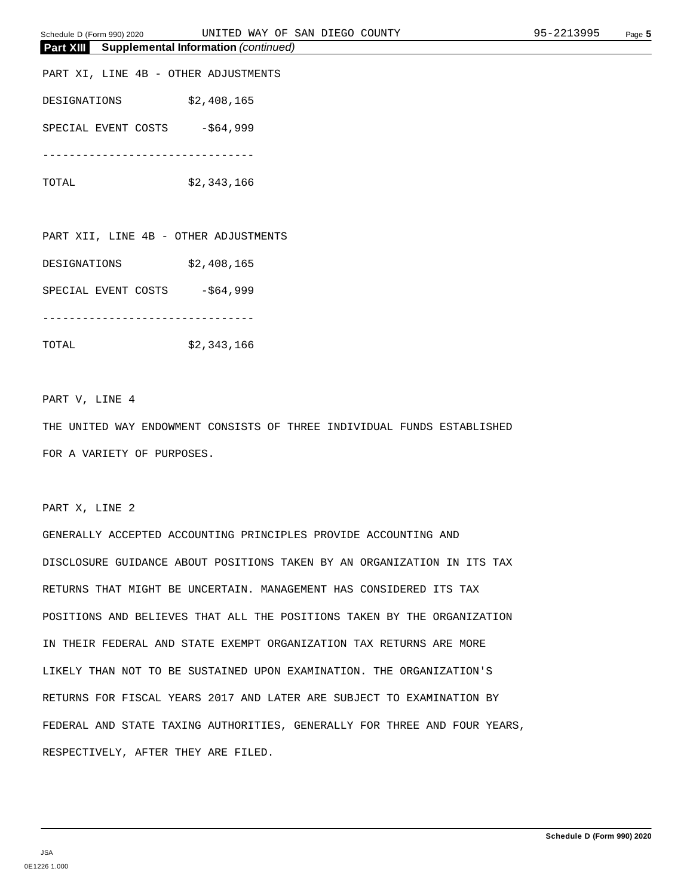| Schedule D (l | UNITEI<br>∟ ו'∏ידי<br>(Form 990) 2020 | ΟF<br>WAY   | . EGC<br>SAN<br>$\rightarrow$ | COUNTY | <u>um — </u> | Page $\sim$ |
|---------------|---------------------------------------|-------------|-------------------------------|--------|--------------|-------------|
| Part<br>XIII  | <b>Supplemental Information</b>       | (continued) |                               |        |              |             |

PART XI, LINE 4B - OTHER ADJUSTMENTS DESIGNATIONS \$2,408,165 SPECIAL EVENT COSTS -\$64,999 --------------------------------

TOTAL \$2,343,166

PART XII, LINE 4B - OTHER ADJUSTMENTS

DESIGNATIONS \$2,408,165

SPECIAL EVENT COSTS -\$64,999

-------------------------------- TOTAL \$2,343,166

PART V, LINE 4

THE UNITED WAY ENDOWMENT CONSISTS OF THREE INDIVIDUAL FUNDS ESTABLISHED FOR A VARIETY OF PURPOSES.

PART X, LINE 2

GENERALLY ACCEPTED ACCOUNTING PRINCIPLES PROVIDE ACCOUNTING AND DISCLOSURE GUIDANCE ABOUT POSITIONS TAKEN BY AN ORGANIZATION IN ITS TAX RETURNS THAT MIGHT BE UNCERTAIN. MANAGEMENT HAS CONSIDERED ITS TAX POSITIONS AND BELIEVES THAT ALL THE POSITIONS TAKEN BY THE ORGANIZATION IN THEIR FEDERAL AND STATE EXEMPT ORGANIZATION TAX RETURNS ARE MORE LIKELY THAN NOT TO BE SUSTAINED UPON EXAMINATION. THE ORGANIZATION'S RETURNS FOR FISCAL YEARS 2017 AND LATER ARE SUBJECT TO EXAMINATION BY FEDERAL AND STATE TAXING AUTHORITIES, GENERALLY FOR THREE AND FOUR YEARS, RESPECTIVELY, AFTER THEY ARE FILED.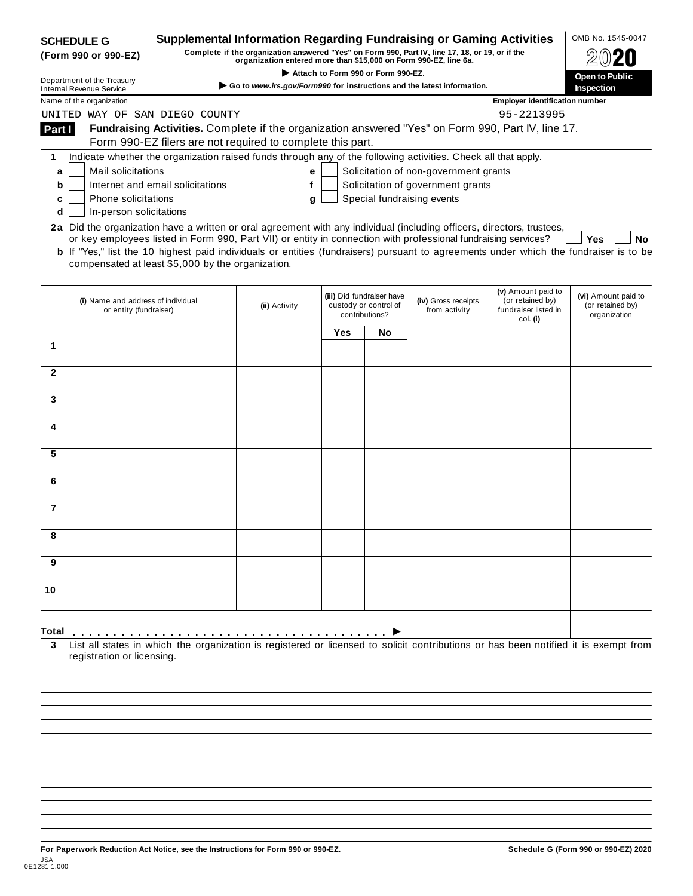|                                                                                                                                                                                                                                                                                                                                                                                                                                                                                                                                                                                                                                                                                                                                                                                                                                                                                                                                                                                                                                                                                                                                                                                                                                                                                                                                                                                                                                                                                                                                                                                                                                                                                                                                                                                                                                                                                                                                                      |  |  |            | OMB No. 1545-0047                                       |
|------------------------------------------------------------------------------------------------------------------------------------------------------------------------------------------------------------------------------------------------------------------------------------------------------------------------------------------------------------------------------------------------------------------------------------------------------------------------------------------------------------------------------------------------------------------------------------------------------------------------------------------------------------------------------------------------------------------------------------------------------------------------------------------------------------------------------------------------------------------------------------------------------------------------------------------------------------------------------------------------------------------------------------------------------------------------------------------------------------------------------------------------------------------------------------------------------------------------------------------------------------------------------------------------------------------------------------------------------------------------------------------------------------------------------------------------------------------------------------------------------------------------------------------------------------------------------------------------------------------------------------------------------------------------------------------------------------------------------------------------------------------------------------------------------------------------------------------------------------------------------------------------------------------------------------------------------|--|--|------------|---------------------------------------------------------|
|                                                                                                                                                                                                                                                                                                                                                                                                                                                                                                                                                                                                                                                                                                                                                                                                                                                                                                                                                                                                                                                                                                                                                                                                                                                                                                                                                                                                                                                                                                                                                                                                                                                                                                                                                                                                                                                                                                                                                      |  |  |            | Open to Public                                          |
|                                                                                                                                                                                                                                                                                                                                                                                                                                                                                                                                                                                                                                                                                                                                                                                                                                                                                                                                                                                                                                                                                                                                                                                                                                                                                                                                                                                                                                                                                                                                                                                                                                                                                                                                                                                                                                                                                                                                                      |  |  |            | <b>Inspection</b>                                       |
|                                                                                                                                                                                                                                                                                                                                                                                                                                                                                                                                                                                                                                                                                                                                                                                                                                                                                                                                                                                                                                                                                                                                                                                                                                                                                                                                                                                                                                                                                                                                                                                                                                                                                                                                                                                                                                                                                                                                                      |  |  |            |                                                         |
|                                                                                                                                                                                                                                                                                                                                                                                                                                                                                                                                                                                                                                                                                                                                                                                                                                                                                                                                                                                                                                                                                                                                                                                                                                                                                                                                                                                                                                                                                                                                                                                                                                                                                                                                                                                                                                                                                                                                                      |  |  | 95-2213995 |                                                         |
|                                                                                                                                                                                                                                                                                                                                                                                                                                                                                                                                                                                                                                                                                                                                                                                                                                                                                                                                                                                                                                                                                                                                                                                                                                                                                                                                                                                                                                                                                                                                                                                                                                                                                                                                                                                                                                                                                                                                                      |  |  |            |                                                         |
|                                                                                                                                                                                                                                                                                                                                                                                                                                                                                                                                                                                                                                                                                                                                                                                                                                                                                                                                                                                                                                                                                                                                                                                                                                                                                                                                                                                                                                                                                                                                                                                                                                                                                                                                                                                                                                                                                                                                                      |  |  |            |                                                         |
|                                                                                                                                                                                                                                                                                                                                                                                                                                                                                                                                                                                                                                                                                                                                                                                                                                                                                                                                                                                                                                                                                                                                                                                                                                                                                                                                                                                                                                                                                                                                                                                                                                                                                                                                                                                                                                                                                                                                                      |  |  |            |                                                         |
|                                                                                                                                                                                                                                                                                                                                                                                                                                                                                                                                                                                                                                                                                                                                                                                                                                                                                                                                                                                                                                                                                                                                                                                                                                                                                                                                                                                                                                                                                                                                                                                                                                                                                                                                                                                                                                                                                                                                                      |  |  |            |                                                         |
| Supplemental Information Regarding Fundraising or Gaming Activities<br><b>SCHEDULE G</b><br>Complete if the organization answered "Yes" on Form 990, Part IV, line 17, 18, or 19, or if the<br>(Form 990 or 990-EZ)<br>organization entered more than \$15,000 on Form 990-EZ, line 6a.<br>Attach to Form 990 or Form 990-EZ.<br>Department of the Treasury<br>Go to www.irs.gov/Form990 for instructions and the latest information.<br><b>Internal Revenue Service</b><br>Name of the organization<br><b>Employer identification number</b><br>UNITED WAY OF SAN DIEGO COUNTY<br>Fundraising Activities. Complete if the organization answered "Yes" on Form 990, Part IV, line 17.<br>Part I<br>Form 990-EZ filers are not required to complete this part.<br>Indicate whether the organization raised funds through any of the following activities. Check all that apply.<br>1<br>Solicitation of non-government grants<br>Mail solicitations<br>e<br>а<br>Solicitation of government grants<br>Internet and email solicitations<br>f<br>b<br>Special fundraising events<br>Phone solicitations<br>c<br>g<br>In-person solicitations<br>d<br>2a Did the organization have a written or oral agreement with any individual (including officers, directors, trustees,<br>or key employees listed in Form 990, Part VII) or entity in connection with professional fundraising services?<br><b>b</b> If "Yes," list the 10 highest paid individuals or entities (fundraisers) pursuant to agreements under which the fundraiser is to be<br>compensated at least \$5,000 by the organization.<br>(v) Amount paid to<br>(iii) Did fundraiser have<br>(i) Name and address of individual<br>(iv) Gross receipts<br>(or retained by)<br>custody or control of<br>(ii) Activity<br>or entity (fundraiser)<br>from activity<br>fundraiser listed in<br>contributions?<br>col. (i)<br>Yes<br>No<br>1<br>$\mathbf{2}$<br>3<br>4<br>5<br>6<br>7<br>9<br>10 |  |  |            |                                                         |
|                                                                                                                                                                                                                                                                                                                                                                                                                                                                                                                                                                                                                                                                                                                                                                                                                                                                                                                                                                                                                                                                                                                                                                                                                                                                                                                                                                                                                                                                                                                                                                                                                                                                                                                                                                                                                                                                                                                                                      |  |  |            |                                                         |
|                                                                                                                                                                                                                                                                                                                                                                                                                                                                                                                                                                                                                                                                                                                                                                                                                                                                                                                                                                                                                                                                                                                                                                                                                                                                                                                                                                                                                                                                                                                                                                                                                                                                                                                                                                                                                                                                                                                                                      |  |  |            | Yes<br>No                                               |
|                                                                                                                                                                                                                                                                                                                                                                                                                                                                                                                                                                                                                                                                                                                                                                                                                                                                                                                                                                                                                                                                                                                                                                                                                                                                                                                                                                                                                                                                                                                                                                                                                                                                                                                                                                                                                                                                                                                                                      |  |  |            | (vi) Amount paid to<br>(or retained by)<br>organization |
|                                                                                                                                                                                                                                                                                                                                                                                                                                                                                                                                                                                                                                                                                                                                                                                                                                                                                                                                                                                                                                                                                                                                                                                                                                                                                                                                                                                                                                                                                                                                                                                                                                                                                                                                                                                                                                                                                                                                                      |  |  |            |                                                         |
|                                                                                                                                                                                                                                                                                                                                                                                                                                                                                                                                                                                                                                                                                                                                                                                                                                                                                                                                                                                                                                                                                                                                                                                                                                                                                                                                                                                                                                                                                                                                                                                                                                                                                                                                                                                                                                                                                                                                                      |  |  |            |                                                         |
|                                                                                                                                                                                                                                                                                                                                                                                                                                                                                                                                                                                                                                                                                                                                                                                                                                                                                                                                                                                                                                                                                                                                                                                                                                                                                                                                                                                                                                                                                                                                                                                                                                                                                                                                                                                                                                                                                                                                                      |  |  |            |                                                         |
|                                                                                                                                                                                                                                                                                                                                                                                                                                                                                                                                                                                                                                                                                                                                                                                                                                                                                                                                                                                                                                                                                                                                                                                                                                                                                                                                                                                                                                                                                                                                                                                                                                                                                                                                                                                                                                                                                                                                                      |  |  |            |                                                         |
|                                                                                                                                                                                                                                                                                                                                                                                                                                                                                                                                                                                                                                                                                                                                                                                                                                                                                                                                                                                                                                                                                                                                                                                                                                                                                                                                                                                                                                                                                                                                                                                                                                                                                                                                                                                                                                                                                                                                                      |  |  |            |                                                         |
|                                                                                                                                                                                                                                                                                                                                                                                                                                                                                                                                                                                                                                                                                                                                                                                                                                                                                                                                                                                                                                                                                                                                                                                                                                                                                                                                                                                                                                                                                                                                                                                                                                                                                                                                                                                                                                                                                                                                                      |  |  |            |                                                         |
|                                                                                                                                                                                                                                                                                                                                                                                                                                                                                                                                                                                                                                                                                                                                                                                                                                                                                                                                                                                                                                                                                                                                                                                                                                                                                                                                                                                                                                                                                                                                                                                                                                                                                                                                                                                                                                                                                                                                                      |  |  |            |                                                         |
|                                                                                                                                                                                                                                                                                                                                                                                                                                                                                                                                                                                                                                                                                                                                                                                                                                                                                                                                                                                                                                                                                                                                                                                                                                                                                                                                                                                                                                                                                                                                                                                                                                                                                                                                                                                                                                                                                                                                                      |  |  |            |                                                         |
|                                                                                                                                                                                                                                                                                                                                                                                                                                                                                                                                                                                                                                                                                                                                                                                                                                                                                                                                                                                                                                                                                                                                                                                                                                                                                                                                                                                                                                                                                                                                                                                                                                                                                                                                                                                                                                                                                                                                                      |  |  |            |                                                         |
|                                                                                                                                                                                                                                                                                                                                                                                                                                                                                                                                                                                                                                                                                                                                                                                                                                                                                                                                                                                                                                                                                                                                                                                                                                                                                                                                                                                                                                                                                                                                                                                                                                                                                                                                                                                                                                                                                                                                                      |  |  |            |                                                         |
|                                                                                                                                                                                                                                                                                                                                                                                                                                                                                                                                                                                                                                                                                                                                                                                                                                                                                                                                                                                                                                                                                                                                                                                                                                                                                                                                                                                                                                                                                                                                                                                                                                                                                                                                                                                                                                                                                                                                                      |  |  |            |                                                         |
|                                                                                                                                                                                                                                                                                                                                                                                                                                                                                                                                                                                                                                                                                                                                                                                                                                                                                                                                                                                                                                                                                                                                                                                                                                                                                                                                                                                                                                                                                                                                                                                                                                                                                                                                                                                                                                                                                                                                                      |  |  |            |                                                         |
|                                                                                                                                                                                                                                                                                                                                                                                                                                                                                                                                                                                                                                                                                                                                                                                                                                                                                                                                                                                                                                                                                                                                                                                                                                                                                                                                                                                                                                                                                                                                                                                                                                                                                                                                                                                                                                                                                                                                                      |  |  |            |                                                         |
|                                                                                                                                                                                                                                                                                                                                                                                                                                                                                                                                                                                                                                                                                                                                                                                                                                                                                                                                                                                                                                                                                                                                                                                                                                                                                                                                                                                                                                                                                                                                                                                                                                                                                                                                                                                                                                                                                                                                                      |  |  |            |                                                         |
|                                                                                                                                                                                                                                                                                                                                                                                                                                                                                                                                                                                                                                                                                                                                                                                                                                                                                                                                                                                                                                                                                                                                                                                                                                                                                                                                                                                                                                                                                                                                                                                                                                                                                                                                                                                                                                                                                                                                                      |  |  |            |                                                         |
|                                                                                                                                                                                                                                                                                                                                                                                                                                                                                                                                                                                                                                                                                                                                                                                                                                                                                                                                                                                                                                                                                                                                                                                                                                                                                                                                                                                                                                                                                                                                                                                                                                                                                                                                                                                                                                                                                                                                                      |  |  |            |                                                         |
|                                                                                                                                                                                                                                                                                                                                                                                                                                                                                                                                                                                                                                                                                                                                                                                                                                                                                                                                                                                                                                                                                                                                                                                                                                                                                                                                                                                                                                                                                                                                                                                                                                                                                                                                                                                                                                                                                                                                                      |  |  |            |                                                         |
|                                                                                                                                                                                                                                                                                                                                                                                                                                                                                                                                                                                                                                                                                                                                                                                                                                                                                                                                                                                                                                                                                                                                                                                                                                                                                                                                                                                                                                                                                                                                                                                                                                                                                                                                                                                                                                                                                                                                                      |  |  |            |                                                         |
|                                                                                                                                                                                                                                                                                                                                                                                                                                                                                                                                                                                                                                                                                                                                                                                                                                                                                                                                                                                                                                                                                                                                                                                                                                                                                                                                                                                                                                                                                                                                                                                                                                                                                                                                                                                                                                                                                                                                                      |  |  |            |                                                         |
|                                                                                                                                                                                                                                                                                                                                                                                                                                                                                                                                                                                                                                                                                                                                                                                                                                                                                                                                                                                                                                                                                                                                                                                                                                                                                                                                                                                                                                                                                                                                                                                                                                                                                                                                                                                                                                                                                                                                                      |  |  |            |                                                         |
| Total                                                                                                                                                                                                                                                                                                                                                                                                                                                                                                                                                                                                                                                                                                                                                                                                                                                                                                                                                                                                                                                                                                                                                                                                                                                                                                                                                                                                                                                                                                                                                                                                                                                                                                                                                                                                                                                                                                                                                |  |  |            |                                                         |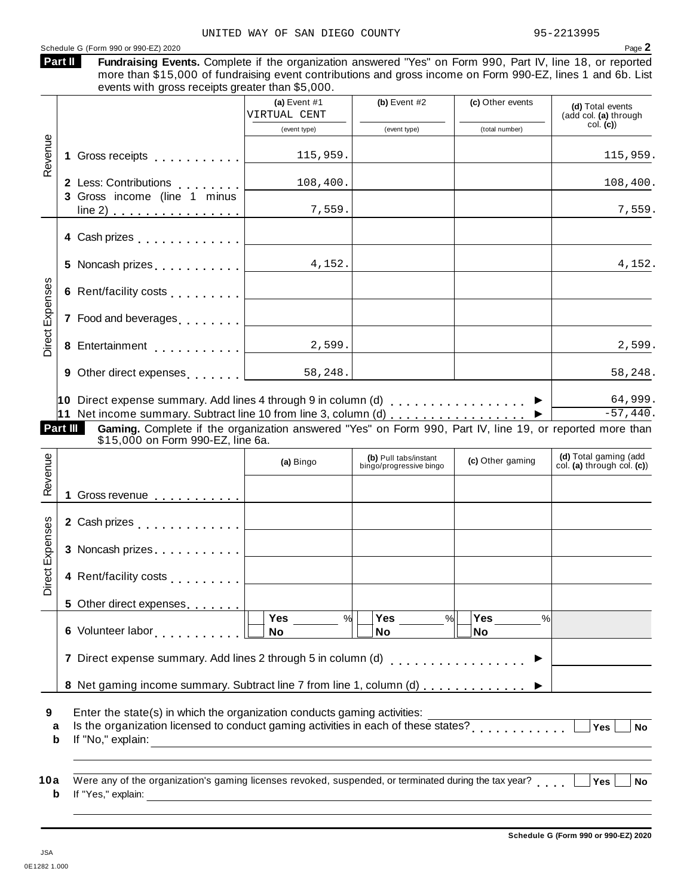#### N DIEGO COUNTY 95-2213995

|                 |                                                                                                                                                                 | UNITED WAY OF SAN DIEGO COUNTY |                |                  | 95-2213995                                |
|-----------------|-----------------------------------------------------------------------------------------------------------------------------------------------------------------|--------------------------------|----------------|------------------|-------------------------------------------|
|                 | Schedule G (Form 990 or 990-EZ) 2020<br>Part II<br>Fundraising Events. Complete if the organization answered "Yes" on Form 990, Part IV, line 18, or reported   |                                |                |                  | Page 2                                    |
|                 | more than \$15,000 of fundraising event contributions and gross income on Form 990-EZ, lines 1 and 6b. List<br>events with gross receipts greater than \$5,000. |                                |                |                  |                                           |
|                 |                                                                                                                                                                 | (a) Event $#1$<br>VIRTUAL CENT | (b) Event $#2$ | (c) Other events | (d) Total events<br>(add col. (a) through |
|                 |                                                                                                                                                                 | (event type)                   | (event type)   | (total number)   | col. (c)                                  |
| Revenue         | 1 Gross receipts <b>1.1 Container and Taylor</b>                                                                                                                | 115,959.                       |                |                  | 115,959.                                  |
|                 | 2 Less: Contributions<br>3 Gross income (line 1 minus                                                                                                           | 108,400.                       |                |                  | 108,400.                                  |
|                 | $line 2)$                                                                                                                                                       | 7,559.                         |                |                  | 7,559.                                    |
|                 | 4 Cash prizes                                                                                                                                                   |                                |                |                  |                                           |
|                 | 5 Noncash prizes                                                                                                                                                | 4,152.                         |                |                  | 4,152.                                    |
|                 | 6 Rent/facility costs [1, 1, 1, 1, 1, 1]                                                                                                                        |                                |                |                  |                                           |
| Direct Expenses | 7 Food and beverages                                                                                                                                            |                                |                |                  |                                           |
|                 | 8 Entertainment                                                                                                                                                 | 2,599.                         |                |                  | 2,599.                                    |
|                 | 9 Other direct expenses [1,1,1,1,1,1]                                                                                                                           | 58,248.                        |                |                  | 58,248.                                   |

| 9 Other direct expenses                                                        | 58,248. | 58,248.  |
|--------------------------------------------------------------------------------|---------|----------|
| <b>10</b> Direct expense summary. Add lines 4 through 9 in column (d) $\ldots$ |         | 64,999.  |
| 11 Net income summary. Subtract line 10 from line 3, column (d)                |         | -57,440. |
|                                                                                |         |          |

| <b>Part III</b> | \$15,000 on Form 990-EZ, line 6a. |  |  |  |  |  | <b>Gaming.</b> Complete if the organization answered "Yes" on Form 990, Part IV, line 19, or reported more than |
|-----------------|-----------------------------------|--|--|--|--|--|-----------------------------------------------------------------------------------------------------------------|

| Revenue         |                                                                                                                                                                                     | (a) Bingo                    | (b) Pull tabs/instant<br>bingo/progressive bingo | (c) Other gaming                  | (d) Total gaming (add<br>col. (a) through col. (c)) |
|-----------------|-------------------------------------------------------------------------------------------------------------------------------------------------------------------------------------|------------------------------|--------------------------------------------------|-----------------------------------|-----------------------------------------------------|
|                 | Gross revenue <b>contains the Containing Containing Containing Containing Containing Containing Containing Containing</b>                                                           |                              |                                                  |                                   |                                                     |
|                 | 2 Cash prizes <b>contained 2</b> Cash prizes                                                                                                                                        |                              |                                                  |                                   |                                                     |
|                 | 3 Noncash prizes                                                                                                                                                                    |                              |                                                  |                                   |                                                     |
| Direct Expenses | 4 Rent/facility costs                                                                                                                                                               |                              |                                                  |                                   |                                                     |
|                 | 5 Other direct expenses                                                                                                                                                             |                              |                                                  |                                   |                                                     |
|                 | 6 Volunteer labor                                                                                                                                                                   | <b>Yes</b><br>%<br><b>No</b> | <b>Yes</b><br>$\frac{9}{6}$<br>No                | <b>Yes</b><br>$\frac{0}{0}$<br>No |                                                     |
|                 |                                                                                                                                                                                     |                              |                                                  |                                   |                                                     |
|                 | 8 Net gaming income summary. Subtract line 7 from line 1, column (d)                                                                                                                |                              |                                                  |                                   |                                                     |
| 9<br>a<br>b     | Enter the state(s) in which the organization conducts gaming activities:<br>Is the organization licensed to conduct gaming activities in each of these states?<br>If "No," explain: |                              |                                                  |                                   | <b>Yes</b><br>No                                    |

| 10a Were any of the organization's gaming licenses revoked, suspended, or terminated during the tax year? $\Box$ Yes $\Box$ No |  |
|--------------------------------------------------------------------------------------------------------------------------------|--|
| <b>b</b> If "Yes," explain:                                                                                                    |  |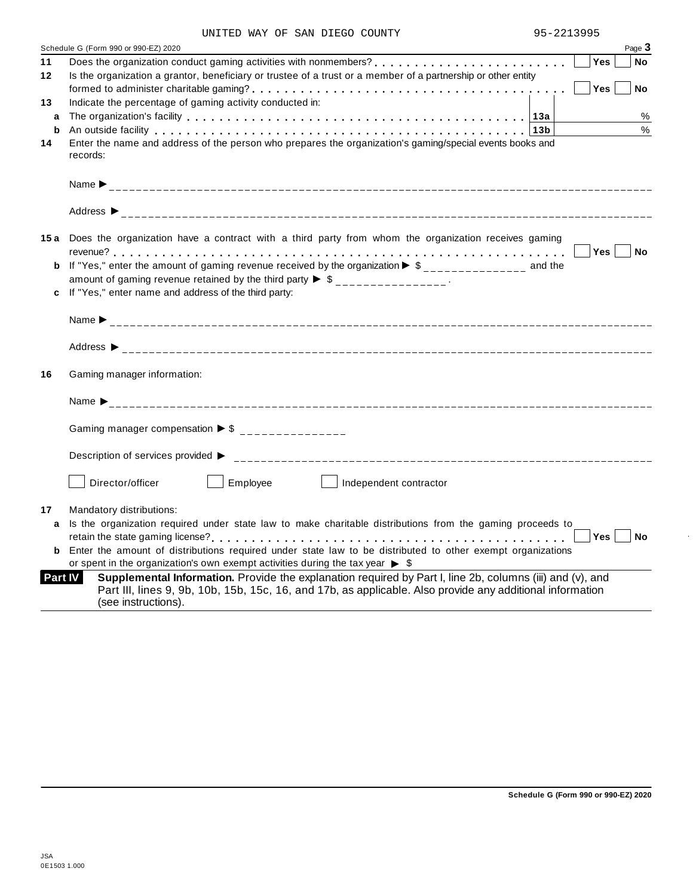| UNITED WAY OF SAN DIEGO COUNTY |  |
|--------------------------------|--|
|--------------------------------|--|

|         | Schedule G (Form 990 or 990-EZ) 2020<br>Page 3                                                                                                                                                                                                |
|---------|-----------------------------------------------------------------------------------------------------------------------------------------------------------------------------------------------------------------------------------------------|
| 11      | <b>Yes</b><br><b>No</b>                                                                                                                                                                                                                       |
| $12 \,$ | Is the organization a grantor, beneficiary or trustee of a trust or a member of a partnership or other entity                                                                                                                                 |
|         | Yes<br>No                                                                                                                                                                                                                                     |
| 13      | Indicate the percentage of gaming activity conducted in:                                                                                                                                                                                      |
| a       | %                                                                                                                                                                                                                                             |
| b       | %<br>An outside facility enterpretation of the control of the control of the control of the control of the control o                                                                                                                          |
| 14      | Enter the name and address of the person who prepares the organization's gaming/special events books and<br>records:                                                                                                                          |
|         |                                                                                                                                                                                                                                               |
|         |                                                                                                                                                                                                                                               |
|         | <b>15a</b> Does the organization have a contract with a third party from whom the organization receives gaming                                                                                                                                |
|         | Yes No                                                                                                                                                                                                                                        |
|         | <b>b</b> If "Yes," enter the amount of gaming revenue received by the organization $\triangleright$ \$_______________ and the                                                                                                                 |
|         | amount of gaming revenue retained by the third party $\triangleright$ \$ _______________.                                                                                                                                                     |
| c       | If "Yes," enter name and address of the third party:                                                                                                                                                                                          |
|         |                                                                                                                                                                                                                                               |
|         |                                                                                                                                                                                                                                               |
| 16      | Gaming manager information:                                                                                                                                                                                                                   |
|         |                                                                                                                                                                                                                                               |
|         | Gaming manager compensation $\triangleright$ \$ _______________                                                                                                                                                                               |
|         | Description of services provided ▶                                                                                                                                                                                                            |
|         | Director/officer<br>Employee<br>Independent contractor                                                                                                                                                                                        |
| 17      | Mandatory distributions:                                                                                                                                                                                                                      |
| a       | Is the organization required under state law to make charitable distributions from the gaming proceeds to                                                                                                                                     |
|         | Yes<br><b>No</b>                                                                                                                                                                                                                              |
| b       | Enter the amount of distributions required under state law to be distributed to other exempt organizations                                                                                                                                    |
|         | or spent in the organization's own exempt activities during the tax year $\triangleright$ \$                                                                                                                                                  |
| Part IV | Supplemental Information. Provide the explanation required by Part I, line 2b, columns (iii) and (v), and<br>Part III, lines 9, 9b, 10b, 15b, 15c, 16, and 17b, as applicable. Also provide any additional information<br>(see instructions). |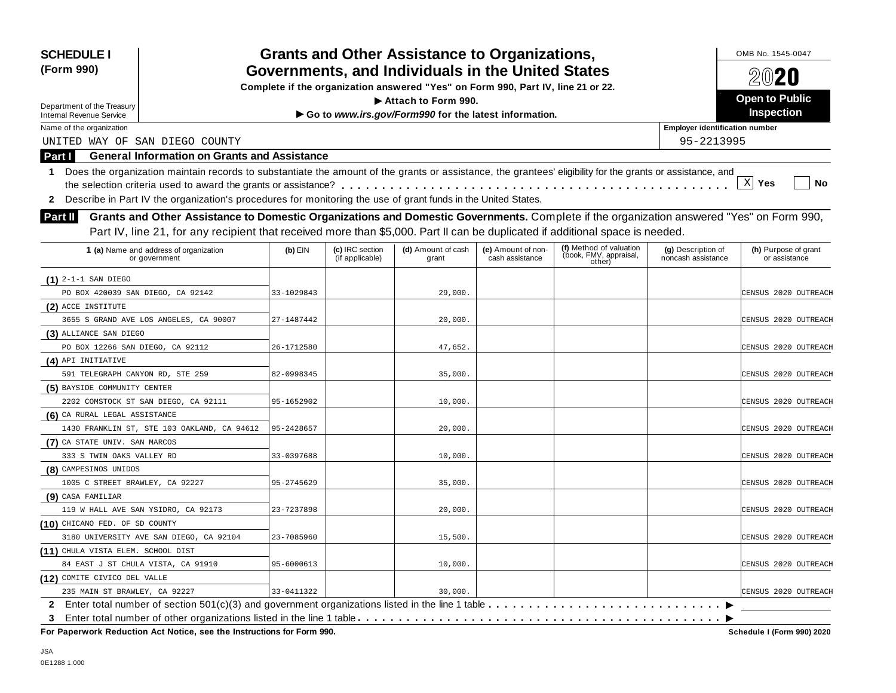| <b>SCHEDULE I</b><br>(Form 990)                                                                                                                                                                                                                                                                                                                                                                                                                            |            |                                    | <b>Grants and Other Assistance to Organizations,</b><br>Governments, and Individuals in the United States<br>Complete if the organization answered "Yes" on Form 990, Part IV, line 21 or 22. |                                       |                                                             |                                          | OMB No. 1545-0047<br>2020             |
|------------------------------------------------------------------------------------------------------------------------------------------------------------------------------------------------------------------------------------------------------------------------------------------------------------------------------------------------------------------------------------------------------------------------------------------------------------|------------|------------------------------------|-----------------------------------------------------------------------------------------------------------------------------------------------------------------------------------------------|---------------------------------------|-------------------------------------------------------------|------------------------------------------|---------------------------------------|
|                                                                                                                                                                                                                                                                                                                                                                                                                                                            |            |                                    | Attach to Form 990.                                                                                                                                                                           |                                       |                                                             |                                          | <b>Open to Public</b>                 |
| Department of the Treasury<br><b>Internal Revenue Service</b>                                                                                                                                                                                                                                                                                                                                                                                              |            |                                    | Go to www.irs.gov/Form990 for the latest information.                                                                                                                                         |                                       |                                                             |                                          | <b>Inspection</b>                     |
| Name of the organization                                                                                                                                                                                                                                                                                                                                                                                                                                   |            |                                    |                                                                                                                                                                                               |                                       |                                                             | <b>Employer identification number</b>    |                                       |
| UNITED WAY OF SAN DIEGO COUNTY                                                                                                                                                                                                                                                                                                                                                                                                                             |            |                                    |                                                                                                                                                                                               |                                       |                                                             | 95-2213995                               |                                       |
| <b>General Information on Grants and Assistance</b><br>Part I                                                                                                                                                                                                                                                                                                                                                                                              |            |                                    |                                                                                                                                                                                               |                                       |                                                             |                                          |                                       |
| Does the organization maintain records to substantiate the amount of the grants or assistance, the grantees' eligibility for the grants or assistance, and<br>1.<br>Describe in Part IV the organization's procedures for monitoring the use of grant funds in the United States.<br>$\mathbf{2}$<br>Grants and Other Assistance to Domestic Organizations and Domestic Governments. Complete if the organization answered "Yes" on Form 990,<br>Part II I |            |                                    |                                                                                                                                                                                               |                                       |                                                             |                                          | $X$ Yes<br>No                         |
| Part IV, line 21, for any recipient that received more than \$5,000. Part II can be duplicated if additional space is needed.                                                                                                                                                                                                                                                                                                                              |            |                                    |                                                                                                                                                                                               |                                       |                                                             |                                          |                                       |
| 1 (a) Name and address of organization<br>or government                                                                                                                                                                                                                                                                                                                                                                                                    | $(b)$ EIN  | (c) IRC section<br>(if applicable) | (d) Amount of cash<br>grant                                                                                                                                                                   | (e) Amount of non-<br>cash assistance | (f) Method of valuation<br>(book, FMV, appraisal,<br>other) | (g) Description of<br>noncash assistance | (h) Purpose of grant<br>or assistance |
| $(1)$ 2-1-1 SAN DIEGO                                                                                                                                                                                                                                                                                                                                                                                                                                      |            |                                    |                                                                                                                                                                                               |                                       |                                                             |                                          |                                       |
| PO BOX 420039 SAN DIEGO, CA 92142                                                                                                                                                                                                                                                                                                                                                                                                                          | 33-1029843 |                                    | 29,000                                                                                                                                                                                        |                                       |                                                             |                                          | CENSUS 2020 OUTREACH                  |
| (2) ACCE INSTITUTE                                                                                                                                                                                                                                                                                                                                                                                                                                         |            |                                    |                                                                                                                                                                                               |                                       |                                                             |                                          |                                       |
| 3655 S GRAND AVE LOS ANGELES, CA 90007                                                                                                                                                                                                                                                                                                                                                                                                                     | 27-1487442 |                                    | 20,000.                                                                                                                                                                                       |                                       |                                                             |                                          | CENSUS 2020 OUTREACH                  |
| (3) ALLIANCE SAN DIEGO                                                                                                                                                                                                                                                                                                                                                                                                                                     |            |                                    |                                                                                                                                                                                               |                                       |                                                             |                                          |                                       |
| PO BOX 12266 SAN DIEGO, CA 92112                                                                                                                                                                                                                                                                                                                                                                                                                           | 26-1712580 |                                    | 47,652.                                                                                                                                                                                       |                                       |                                                             |                                          | CENSUS 2020 OUTREACH                  |
| (4) API INITIATIVE                                                                                                                                                                                                                                                                                                                                                                                                                                         |            |                                    |                                                                                                                                                                                               |                                       |                                                             |                                          |                                       |
| 591 TELEGRAPH CANYON RD, STE 259                                                                                                                                                                                                                                                                                                                                                                                                                           | 82-0998345 |                                    | 35,000.                                                                                                                                                                                       |                                       |                                                             |                                          | CENSUS 2020 OUTREACH                  |
| (5) BAYSIDE COMMUNITY CENTER                                                                                                                                                                                                                                                                                                                                                                                                                               |            |                                    |                                                                                                                                                                                               |                                       |                                                             |                                          |                                       |
| 2202 COMSTOCK ST SAN DIEGO, CA 92111                                                                                                                                                                                                                                                                                                                                                                                                                       | 95-1652902 |                                    | 10,000.                                                                                                                                                                                       |                                       |                                                             |                                          | CENSUS 2020 OUTREACH                  |
| (6) CA RURAL LEGAL ASSISTANCE                                                                                                                                                                                                                                                                                                                                                                                                                              |            |                                    |                                                                                                                                                                                               |                                       |                                                             |                                          |                                       |
| 1430 FRANKLIN ST, STE 103 OAKLAND, CA 94612                                                                                                                                                                                                                                                                                                                                                                                                                | 95-2428657 |                                    | 20,000.                                                                                                                                                                                       |                                       |                                                             |                                          | CENSUS 2020 OUTREACH                  |
| (7) CA STATE UNIV. SAN MARCOS                                                                                                                                                                                                                                                                                                                                                                                                                              |            |                                    |                                                                                                                                                                                               |                                       |                                                             |                                          |                                       |
| 333 S TWIN OAKS VALLEY RD                                                                                                                                                                                                                                                                                                                                                                                                                                  | 33-0397688 |                                    | 10,000.                                                                                                                                                                                       |                                       |                                                             |                                          | CENSUS 2020 OUTREACH                  |
| (8) CAMPESINOS UNIDOS                                                                                                                                                                                                                                                                                                                                                                                                                                      |            |                                    |                                                                                                                                                                                               |                                       |                                                             |                                          |                                       |
| 1005 C STREET BRAWLEY, CA 92227                                                                                                                                                                                                                                                                                                                                                                                                                            | 95-2745629 |                                    | 35,000                                                                                                                                                                                        |                                       |                                                             |                                          | CENSUS 2020 OUTREACH                  |
| (9) CASA FAMILIAR                                                                                                                                                                                                                                                                                                                                                                                                                                          |            |                                    |                                                                                                                                                                                               |                                       |                                                             |                                          |                                       |
| 119 W HALL AVE SAN YSIDRO, CA 92173                                                                                                                                                                                                                                                                                                                                                                                                                        | 23-7237898 |                                    | 20,000.                                                                                                                                                                                       |                                       |                                                             |                                          | CENSUS 2020 OUTREACH                  |
| (10) CHICANO FED. OF SD COUNTY                                                                                                                                                                                                                                                                                                                                                                                                                             |            |                                    |                                                                                                                                                                                               |                                       |                                                             |                                          |                                       |
| 3180 UNIVERSITY AVE SAN DIEGO, CA 92104                                                                                                                                                                                                                                                                                                                                                                                                                    | 23-7085960 |                                    | 15,500.                                                                                                                                                                                       |                                       |                                                             |                                          | CENSUS 2020 OUTREACH                  |
| (11) CHULA VISTA ELEM. SCHOOL DIST                                                                                                                                                                                                                                                                                                                                                                                                                         |            |                                    |                                                                                                                                                                                               |                                       |                                                             |                                          |                                       |
| 84 EAST J ST CHULA VISTA, CA 91910                                                                                                                                                                                                                                                                                                                                                                                                                         | 95-6000613 |                                    | 10,000.                                                                                                                                                                                       |                                       |                                                             |                                          | CENSUS 2020 OUTREACH                  |
| (12) COMITE CIVICO DEL VALLE                                                                                                                                                                                                                                                                                                                                                                                                                               |            |                                    |                                                                                                                                                                                               |                                       |                                                             |                                          |                                       |
| 235 MAIN ST BRAWLEY, CA 92227                                                                                                                                                                                                                                                                                                                                                                                                                              | 33-0411322 |                                    | 30,000.                                                                                                                                                                                       |                                       |                                                             |                                          | CENSUS 2020 OUTREACH                  |
| $\mathbf{2}$<br>3                                                                                                                                                                                                                                                                                                                                                                                                                                          |            |                                    |                                                                                                                                                                                               |                                       |                                                             |                                          |                                       |

 $\overline{P}$  **For Paperwork Reduction Act Notice, see the Instructions for Form 990.** 

Schedule I (Form 990) 2020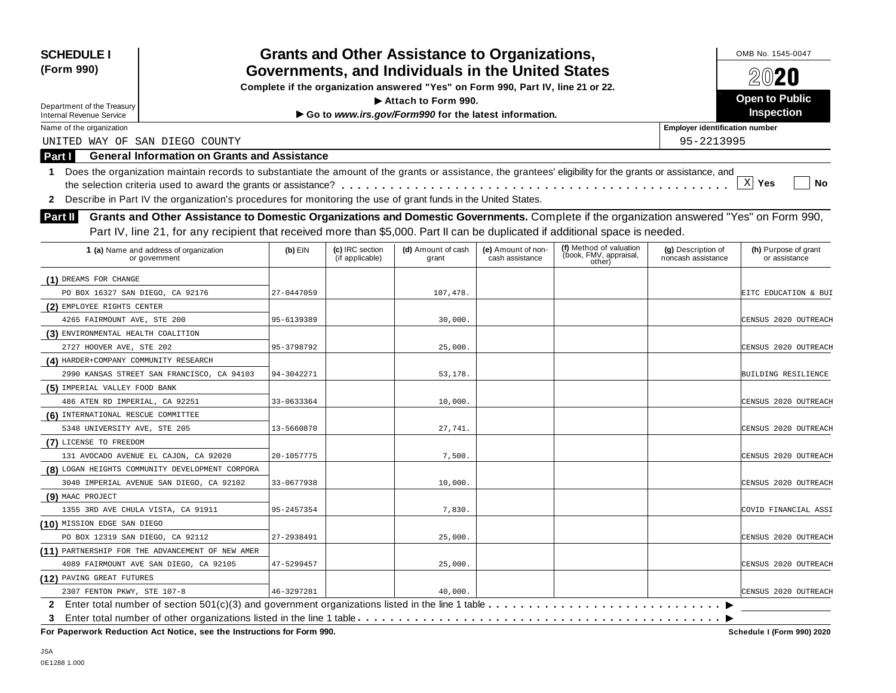| <b>SCHEDULE I</b><br>(Form 990)                  |                                                                                                                                                                                                                                                                                                                                                                                                                                                                                                                                                                                                                                                                                                                                                                                                                                                                                                                                                                                                                                                                                                                                                                                                                                                                                                                                                                                                                                           |  |                                       |  |                                          | OMB No. 1545-0047<br>2020             |
|--------------------------------------------------|-------------------------------------------------------------------------------------------------------------------------------------------------------------------------------------------------------------------------------------------------------------------------------------------------------------------------------------------------------------------------------------------------------------------------------------------------------------------------------------------------------------------------------------------------------------------------------------------------------------------------------------------------------------------------------------------------------------------------------------------------------------------------------------------------------------------------------------------------------------------------------------------------------------------------------------------------------------------------------------------------------------------------------------------------------------------------------------------------------------------------------------------------------------------------------------------------------------------------------------------------------------------------------------------------------------------------------------------------------------------------------------------------------------------------------------------|--|---------------------------------------|--|------------------------------------------|---------------------------------------|
|                                                  |                                                                                                                                                                                                                                                                                                                                                                                                                                                                                                                                                                                                                                                                                                                                                                                                                                                                                                                                                                                                                                                                                                                                                                                                                                                                                                                                                                                                                                           |  |                                       |  |                                          | <b>Open to Public</b>                 |
| <b>Internal Revenue Service</b>                  |                                                                                                                                                                                                                                                                                                                                                                                                                                                                                                                                                                                                                                                                                                                                                                                                                                                                                                                                                                                                                                                                                                                                                                                                                                                                                                                                                                                                                                           |  |                                       |  |                                          | <b>Inspection</b>                     |
| Name of the organization                         | <b>Grants and Other Assistance to Organizations,</b><br>Governments, and Individuals in the United States<br>Complete if the organization answered "Yes" on Form 990, Part IV, line 21 or 22.<br>Attach to Form 990.<br>Department of the Treasury<br>Go to www.irs.gov/Form990 for the latest information.<br><b>General Information on Grants and Assistance</b><br>Does the organization maintain records to substantiate the amount of the grants or assistance, the grantees' eligibility for the grants or assistance, and<br>Describe in Part IV the organization's procedures for monitoring the use of grant funds in the United States.<br>Grants and Other Assistance to Domestic Organizations and Domestic Governments. Complete if the organization answered "Yes" on Form 990,<br>Part IV, line 21, for any recipient that received more than \$5,000. Part II can be duplicated if additional space is needed.<br>(f) Method of valuation<br>(book, FMV, appraisal,<br>other)<br>1 (a) Name and address of organization<br>$(b)$ EIN<br>(c) IRC section<br>(d) Amount of cash<br>(e) Amount of non-<br>(if applicable)<br>cash assistance<br>grant<br>or government<br>27-0447059<br>107,478<br>95-6139389<br>30,000.<br>95-3798792<br>25,000.<br>53,178.<br>94-3042271<br>33-0633364<br>10,000.<br>27,741.<br>13-5660870<br>7,500<br>20-1057775<br>33-0677938<br>10,000<br>7,830.<br>95-2457354<br>27-2938491<br>25,000. |  | <b>Employer identification number</b> |  |                                          |                                       |
| UNITED WAY OF SAN DIEGO COUNTY                   |                                                                                                                                                                                                                                                                                                                                                                                                                                                                                                                                                                                                                                                                                                                                                                                                                                                                                                                                                                                                                                                                                                                                                                                                                                                                                                                                                                                                                                           |  |                                       |  | 95-2213995                               |                                       |
| Part I                                           |                                                                                                                                                                                                                                                                                                                                                                                                                                                                                                                                                                                                                                                                                                                                                                                                                                                                                                                                                                                                                                                                                                                                                                                                                                                                                                                                                                                                                                           |  |                                       |  |                                          |                                       |
| 1.<br>$\mathbf{2}$<br>Part II I                  |                                                                                                                                                                                                                                                                                                                                                                                                                                                                                                                                                                                                                                                                                                                                                                                                                                                                                                                                                                                                                                                                                                                                                                                                                                                                                                                                                                                                                                           |  |                                       |  |                                          | $X$ Yes<br>No                         |
|                                                  |                                                                                                                                                                                                                                                                                                                                                                                                                                                                                                                                                                                                                                                                                                                                                                                                                                                                                                                                                                                                                                                                                                                                                                                                                                                                                                                                                                                                                                           |  |                                       |  |                                          |                                       |
|                                                  |                                                                                                                                                                                                                                                                                                                                                                                                                                                                                                                                                                                                                                                                                                                                                                                                                                                                                                                                                                                                                                                                                                                                                                                                                                                                                                                                                                                                                                           |  |                                       |  | (g) Description of<br>noncash assistance | (h) Purpose of grant<br>or assistance |
| (1) DREAMS FOR CHANGE                            |                                                                                                                                                                                                                                                                                                                                                                                                                                                                                                                                                                                                                                                                                                                                                                                                                                                                                                                                                                                                                                                                                                                                                                                                                                                                                                                                                                                                                                           |  |                                       |  |                                          |                                       |
| PO BOX 16327 SAN DIEGO, CA 92176                 |                                                                                                                                                                                                                                                                                                                                                                                                                                                                                                                                                                                                                                                                                                                                                                                                                                                                                                                                                                                                                                                                                                                                                                                                                                                                                                                                                                                                                                           |  |                                       |  |                                          | EITC EDUCATION & BUI                  |
| (2) EMPLOYEE RIGHTS CENTER                       |                                                                                                                                                                                                                                                                                                                                                                                                                                                                                                                                                                                                                                                                                                                                                                                                                                                                                                                                                                                                                                                                                                                                                                                                                                                                                                                                                                                                                                           |  |                                       |  |                                          |                                       |
| 4265 FAIRMOUNT AVE, STE 200                      |                                                                                                                                                                                                                                                                                                                                                                                                                                                                                                                                                                                                                                                                                                                                                                                                                                                                                                                                                                                                                                                                                                                                                                                                                                                                                                                                                                                                                                           |  |                                       |  |                                          | CENSUS 2020 OUTREACH                  |
| (3) ENVIRONMENTAL HEALTH COALITION               |                                                                                                                                                                                                                                                                                                                                                                                                                                                                                                                                                                                                                                                                                                                                                                                                                                                                                                                                                                                                                                                                                                                                                                                                                                                                                                                                                                                                                                           |  |                                       |  |                                          |                                       |
| 2727 HOOVER AVE, STE 202                         |                                                                                                                                                                                                                                                                                                                                                                                                                                                                                                                                                                                                                                                                                                                                                                                                                                                                                                                                                                                                                                                                                                                                                                                                                                                                                                                                                                                                                                           |  |                                       |  |                                          | CENSUS 2020 OUTREACH                  |
| (4) HARDER+COMPANY COMMUNITY RESEARCH            |                                                                                                                                                                                                                                                                                                                                                                                                                                                                                                                                                                                                                                                                                                                                                                                                                                                                                                                                                                                                                                                                                                                                                                                                                                                                                                                                                                                                                                           |  |                                       |  |                                          |                                       |
| 2990 KANSAS STREET SAN FRANCISCO, CA 94103       |                                                                                                                                                                                                                                                                                                                                                                                                                                                                                                                                                                                                                                                                                                                                                                                                                                                                                                                                                                                                                                                                                                                                                                                                                                                                                                                                                                                                                                           |  |                                       |  |                                          | BUILDING RESILIENCE                   |
| (5) IMPERIAL VALLEY FOOD BANK                    |                                                                                                                                                                                                                                                                                                                                                                                                                                                                                                                                                                                                                                                                                                                                                                                                                                                                                                                                                                                                                                                                                                                                                                                                                                                                                                                                                                                                                                           |  |                                       |  |                                          |                                       |
| 486 ATEN RD IMPERIAL, CA 92251                   |                                                                                                                                                                                                                                                                                                                                                                                                                                                                                                                                                                                                                                                                                                                                                                                                                                                                                                                                                                                                                                                                                                                                                                                                                                                                                                                                                                                                                                           |  |                                       |  |                                          | CENSUS 2020 OUTREACH                  |
| (6) INTERNATIONAL RESCUE COMMITTEE               |                                                                                                                                                                                                                                                                                                                                                                                                                                                                                                                                                                                                                                                                                                                                                                                                                                                                                                                                                                                                                                                                                                                                                                                                                                                                                                                                                                                                                                           |  |                                       |  |                                          |                                       |
| 5348 UNIVERSITY AVE, STE 205                     |                                                                                                                                                                                                                                                                                                                                                                                                                                                                                                                                                                                                                                                                                                                                                                                                                                                                                                                                                                                                                                                                                                                                                                                                                                                                                                                                                                                                                                           |  |                                       |  |                                          | CENSUS 2020 OUTREACH                  |
| (7) LICENSE TO FREEDOM                           |                                                                                                                                                                                                                                                                                                                                                                                                                                                                                                                                                                                                                                                                                                                                                                                                                                                                                                                                                                                                                                                                                                                                                                                                                                                                                                                                                                                                                                           |  |                                       |  |                                          |                                       |
| 131 AVOCADO AVENUE EL CAJON, CA 92020            |                                                                                                                                                                                                                                                                                                                                                                                                                                                                                                                                                                                                                                                                                                                                                                                                                                                                                                                                                                                                                                                                                                                                                                                                                                                                                                                                                                                                                                           |  |                                       |  |                                          | CENSUS 2020 OUTREACH                  |
| (8) LOGAN HEIGHTS COMMUNITY DEVELOPMENT CORPORA  |                                                                                                                                                                                                                                                                                                                                                                                                                                                                                                                                                                                                                                                                                                                                                                                                                                                                                                                                                                                                                                                                                                                                                                                                                                                                                                                                                                                                                                           |  |                                       |  |                                          |                                       |
| 3040 IMPERIAL AVENUE SAN DIEGO, CA 92102         |                                                                                                                                                                                                                                                                                                                                                                                                                                                                                                                                                                                                                                                                                                                                                                                                                                                                                                                                                                                                                                                                                                                                                                                                                                                                                                                                                                                                                                           |  |                                       |  |                                          | CENSUS 2020 OUTREACH                  |
| (9) MAAC PROJECT                                 |                                                                                                                                                                                                                                                                                                                                                                                                                                                                                                                                                                                                                                                                                                                                                                                                                                                                                                                                                                                                                                                                                                                                                                                                                                                                                                                                                                                                                                           |  |                                       |  |                                          |                                       |
| 1355 3RD AVE CHULA VISTA, CA 91911               |                                                                                                                                                                                                                                                                                                                                                                                                                                                                                                                                                                                                                                                                                                                                                                                                                                                                                                                                                                                                                                                                                                                                                                                                                                                                                                                                                                                                                                           |  |                                       |  |                                          | COVID FINANCIAL ASSI                  |
| (10) MISSION EDGE SAN DIEGO                      |                                                                                                                                                                                                                                                                                                                                                                                                                                                                                                                                                                                                                                                                                                                                                                                                                                                                                                                                                                                                                                                                                                                                                                                                                                                                                                                                                                                                                                           |  |                                       |  |                                          |                                       |
| PO BOX 12319 SAN DIEGO, CA 92112                 |                                                                                                                                                                                                                                                                                                                                                                                                                                                                                                                                                                                                                                                                                                                                                                                                                                                                                                                                                                                                                                                                                                                                                                                                                                                                                                                                                                                                                                           |  |                                       |  |                                          | CENSUS 2020 OUTREACH                  |
| (11) PARTNERSHIP FOR THE ADVANCEMENT OF NEW AMER |                                                                                                                                                                                                                                                                                                                                                                                                                                                                                                                                                                                                                                                                                                                                                                                                                                                                                                                                                                                                                                                                                                                                                                                                                                                                                                                                                                                                                                           |  |                                       |  |                                          |                                       |
| 4089 FAIRMOUNT AVE SAN DIEGO, CA 92105           | 47-5299457                                                                                                                                                                                                                                                                                                                                                                                                                                                                                                                                                                                                                                                                                                                                                                                                                                                                                                                                                                                                                                                                                                                                                                                                                                                                                                                                                                                                                                |  | 25,000.                               |  |                                          | CENSUS 2020 OUTREACH                  |
| (12) PAVING GREAT FUTURES                        |                                                                                                                                                                                                                                                                                                                                                                                                                                                                                                                                                                                                                                                                                                                                                                                                                                                                                                                                                                                                                                                                                                                                                                                                                                                                                                                                                                                                                                           |  |                                       |  |                                          |                                       |
| 2307 FENTON PKWY, STE 107-8                      | 46-3297281                                                                                                                                                                                                                                                                                                                                                                                                                                                                                                                                                                                                                                                                                                                                                                                                                                                                                                                                                                                                                                                                                                                                                                                                                                                                                                                                                                                                                                |  | 40,000.                               |  |                                          | CENSUS 2020 OUTREACH                  |
| $\mathbf{2}$<br>3                                |                                                                                                                                                                                                                                                                                                                                                                                                                                                                                                                                                                                                                                                                                                                                                                                                                                                                                                                                                                                                                                                                                                                                                                                                                                                                                                                                                                                                                                           |  |                                       |  |                                          |                                       |

 $\overline{P}$  **For Paperwork Reduction Act Notice, see the Instructions for Form 990.**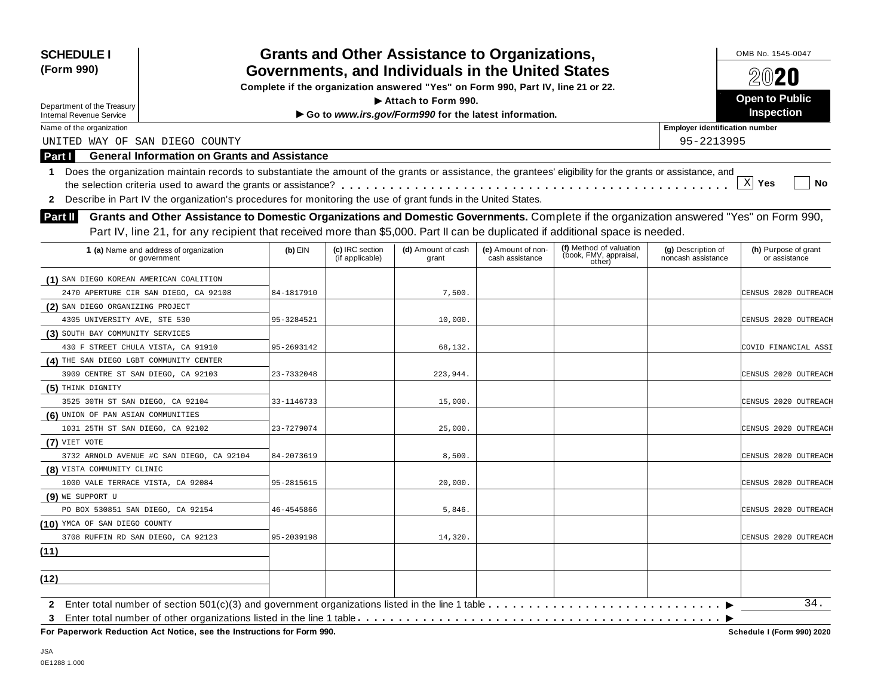| <b>SCHEDULE I</b><br>(Form 990)                                                                                                                                                                                                                                                                                                                                                                                                                                |            |                                    | <b>Grants and Other Assistance to Organizations,</b><br>Governments, and Individuals in the United States |                                       |                                                             |                                          | OMB No. 1545-0047<br>$20$ 20          |
|----------------------------------------------------------------------------------------------------------------------------------------------------------------------------------------------------------------------------------------------------------------------------------------------------------------------------------------------------------------------------------------------------------------------------------------------------------------|------------|------------------------------------|-----------------------------------------------------------------------------------------------------------|---------------------------------------|-------------------------------------------------------------|------------------------------------------|---------------------------------------|
|                                                                                                                                                                                                                                                                                                                                                                                                                                                                |            |                                    | Complete if the organization answered "Yes" on Form 990, Part IV, line 21 or 22.                          |                                       |                                                             |                                          |                                       |
| Department of the Treasury                                                                                                                                                                                                                                                                                                                                                                                                                                     |            |                                    | Attach to Form 990.                                                                                       |                                       |                                                             |                                          | <b>Open to Public</b>                 |
| <b>Internal Revenue Service</b>                                                                                                                                                                                                                                                                                                                                                                                                                                |            |                                    | Go to www.irs.gov/Form990 for the latest information.                                                     |                                       |                                                             |                                          | <b>Inspection</b>                     |
| Name of the organization                                                                                                                                                                                                                                                                                                                                                                                                                                       |            |                                    |                                                                                                           |                                       |                                                             | <b>Employer identification number</b>    |                                       |
| UNITED WAY OF SAN DIEGO COUNTY                                                                                                                                                                                                                                                                                                                                                                                                                                 |            |                                    |                                                                                                           |                                       |                                                             | 95-2213995                               |                                       |
| <b>General Information on Grants and Assistance</b><br>Part I                                                                                                                                                                                                                                                                                                                                                                                                  |            |                                    |                                                                                                           |                                       |                                                             |                                          |                                       |
| Does the organization maintain records to substantiate the amount of the grants or assistance, the grantees' eligibility for the grants or assistance, and<br>1<br>Describe in Part IV the organization's procedures for monitoring the use of grant funds in the United States.<br>$\mathbf{2}$<br>Grants and Other Assistance to Domestic Organizations and Domestic Governments. Complete if the organization answered "Yes" on Form 990,<br><b>Part II</b> |            |                                    |                                                                                                           |                                       |                                                             |                                          | $X$ Yes<br><b>No</b>                  |
| Part IV, line 21, for any recipient that received more than \$5,000. Part II can be duplicated if additional space is needed.                                                                                                                                                                                                                                                                                                                                  |            |                                    |                                                                                                           |                                       |                                                             |                                          |                                       |
| 1 (a) Name and address of organization<br>or government                                                                                                                                                                                                                                                                                                                                                                                                        | $(b)$ EIN  | (c) IRC section<br>(if applicable) | (d) Amount of cash<br>grant                                                                               | (e) Amount of non-<br>cash assistance | (f) Method of valuation<br>(book, FMV, appraisal,<br>other) | (g) Description of<br>noncash assistance | (h) Purpose of grant<br>or assistance |
| (1) SAN DIEGO KOREAN AMERICAN COALITION                                                                                                                                                                                                                                                                                                                                                                                                                        |            |                                    |                                                                                                           |                                       |                                                             |                                          |                                       |
| 2470 APERTURE CIR SAN DIEGO, CA 92108                                                                                                                                                                                                                                                                                                                                                                                                                          | 84-1817910 |                                    | 7,500                                                                                                     |                                       |                                                             |                                          | CENSUS 2020 OUTREACH                  |
| (2) SAN DIEGO ORGANIZING PROJECT                                                                                                                                                                                                                                                                                                                                                                                                                               |            |                                    |                                                                                                           |                                       |                                                             |                                          |                                       |
| 4305 UNIVERSITY AVE, STE 530                                                                                                                                                                                                                                                                                                                                                                                                                                   | 95-3284521 |                                    | 10,000.                                                                                                   |                                       |                                                             |                                          | CENSUS 2020 OUTREACH                  |
| (3) SOUTH BAY COMMUNITY SERVICES                                                                                                                                                                                                                                                                                                                                                                                                                               |            |                                    |                                                                                                           |                                       |                                                             |                                          |                                       |
| 430 F STREET CHULA VISTA, CA 91910                                                                                                                                                                                                                                                                                                                                                                                                                             | 95-2693142 |                                    | 68,132.                                                                                                   |                                       |                                                             |                                          | COVID FINANCIAL ASSI                  |
| (4) THE SAN DIEGO LGBT COMMUNITY CENTER                                                                                                                                                                                                                                                                                                                                                                                                                        |            |                                    |                                                                                                           |                                       |                                                             |                                          |                                       |
| 3909 CENTRE ST SAN DIEGO, CA 92103                                                                                                                                                                                                                                                                                                                                                                                                                             | 23-7332048 |                                    | 223,944.                                                                                                  |                                       |                                                             |                                          | CENSUS 2020 OUTREACH                  |
| (5) THINK DIGNITY                                                                                                                                                                                                                                                                                                                                                                                                                                              |            |                                    |                                                                                                           |                                       |                                                             |                                          |                                       |
| 3525 30TH ST SAN DIEGO, CA 92104                                                                                                                                                                                                                                                                                                                                                                                                                               | 33-1146733 |                                    | 15,000.                                                                                                   |                                       |                                                             |                                          | CENSUS 2020 OUTREACH                  |
| (6) UNION OF PAN ASIAN COMMUNITIES                                                                                                                                                                                                                                                                                                                                                                                                                             |            |                                    |                                                                                                           |                                       |                                                             |                                          |                                       |
| 1031 25TH ST SAN DIEGO, CA 92102                                                                                                                                                                                                                                                                                                                                                                                                                               | 23-7279074 |                                    | 25,000.                                                                                                   |                                       |                                                             |                                          | CENSUS 2020 OUTREACH                  |
| $(7)$ VIET VOTE                                                                                                                                                                                                                                                                                                                                                                                                                                                |            |                                    |                                                                                                           |                                       |                                                             |                                          |                                       |
| 3732 ARNOLD AVENUE #C SAN DIEGO, CA 92104                                                                                                                                                                                                                                                                                                                                                                                                                      | 84-2073619 |                                    | 8,500.                                                                                                    |                                       |                                                             |                                          | CENSUS 2020 OUTREACH                  |
| (8) VISTA COMMUNITY CLINIC                                                                                                                                                                                                                                                                                                                                                                                                                                     |            |                                    |                                                                                                           |                                       |                                                             |                                          |                                       |
| 1000 VALE TERRACE VISTA, CA 92084                                                                                                                                                                                                                                                                                                                                                                                                                              | 95-2815615 |                                    | 20,000.                                                                                                   |                                       |                                                             |                                          | CENSUS 2020 OUTREACH                  |
| (9) WE SUPPORT U                                                                                                                                                                                                                                                                                                                                                                                                                                               |            |                                    |                                                                                                           |                                       |                                                             |                                          |                                       |
| PO BOX 530851 SAN DIEGO, CA 92154                                                                                                                                                                                                                                                                                                                                                                                                                              | 46-4545866 |                                    | 5,846.                                                                                                    |                                       |                                                             |                                          | CENSUS 2020 OUTREACH                  |
| (10) YMCA OF SAN DIEGO COUNTY                                                                                                                                                                                                                                                                                                                                                                                                                                  |            |                                    |                                                                                                           |                                       |                                                             |                                          |                                       |
| 3708 RUFFIN RD SAN DIEGO, CA 92123                                                                                                                                                                                                                                                                                                                                                                                                                             | 95-2039198 |                                    | 14,320.                                                                                                   |                                       |                                                             |                                          | CENSUS 2020 OUTREACH                  |
| (11)                                                                                                                                                                                                                                                                                                                                                                                                                                                           |            |                                    |                                                                                                           |                                       |                                                             |                                          |                                       |
| (12)                                                                                                                                                                                                                                                                                                                                                                                                                                                           |            |                                    |                                                                                                           |                                       |                                                             |                                          |                                       |
| $\mathbf{2}$<br>3                                                                                                                                                                                                                                                                                                                                                                                                                                              |            |                                    |                                                                                                           |                                       |                                                             |                                          | 34.                                   |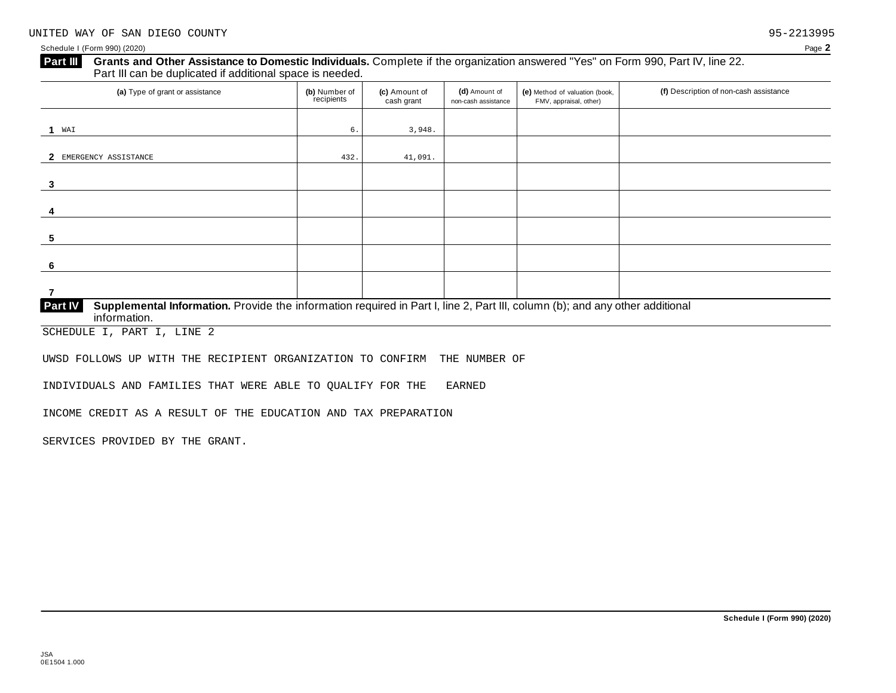## **Grants and Other Assistance to Domestic Individuals.** Complete ifthe organization answered "Yes" on Form 990, Part IV, line 22. **Part III** Grants and Other Assistance to Domestic Individuals<br>Part III can be duplicated if additional space is needed. (a) Type of grant or assistance **(b)** Number of **(c)** Amount of **(d)** Amount of **(e)** Method of valuation (book, **f)** Description of non-cash assistance FMV, appraisal, other) for the recipients **(d)** Amount of non-cash assistance **(c)** Amount of cash grant **1 2** EMERGENCY ASSISTANCE 432. 41,091. **3 4 5 6 7 Supplemental Information.** Provide the information required in Part I, line 2, Part III, column (b); and any other additional information. **Part IV** WAI 6.  $\vert$  6.  $\vert$  3,948.

SCHEDULE I, PART I, LINE 2

UWSD FOLLOWS UP WITH THE RECIPIENT ORGANIZATION TO CONFIRM THE NUMBER OF

INDIVIDUALS AND FAMILIES THAT WERE ABLE TO QUALIFY FOR THE EARNED

INCOME CREDIT AS A RESULT OF THE EDUCATION AND TAX PREPARATION

SERVICES PROVIDED BY THE GRANT.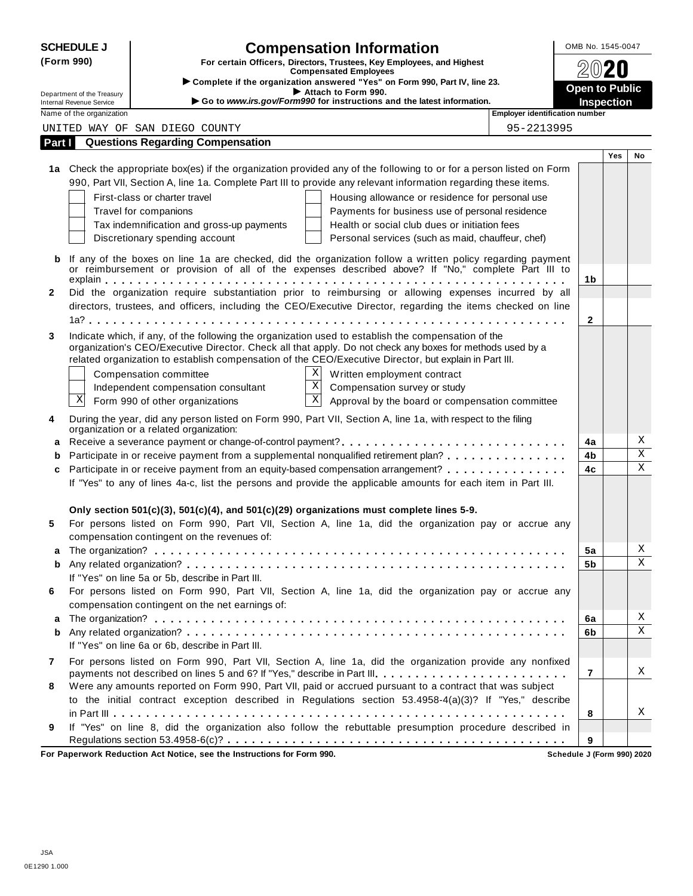|              | <b>SCHEDULE J</b>                                      | <b>Compensation Information</b>                                                                                                                                                                                     | OMB No. 1545-0047                   |     |             |
|--------------|--------------------------------------------------------|---------------------------------------------------------------------------------------------------------------------------------------------------------------------------------------------------------------------|-------------------------------------|-----|-------------|
|              | (Form 990)                                             | For certain Officers, Directors, Trustees, Key Employees, and Highest<br><b>Compensated Employees</b>                                                                                                               |                                     |     |             |
|              |                                                        | Complete if the organization answered "Yes" on Form 990, Part IV, line 23.                                                                                                                                          |                                     |     |             |
|              | Department of the Treasury<br>Internal Revenue Service | Attach to Form 990.<br>Go to www.irs.gov/Form990 for instructions and the latest information.                                                                                                                       | <b>Open to Public</b><br>Inspection |     |             |
|              | Name of the organization                               | <b>Employer identification number</b>                                                                                                                                                                               |                                     |     |             |
|              |                                                        | UNITED WAY OF SAN DIEGO COUNTY<br>95-2213995                                                                                                                                                                        |                                     |     |             |
| Part I       |                                                        | <b>Questions Regarding Compensation</b>                                                                                                                                                                             |                                     |     |             |
|              |                                                        |                                                                                                                                                                                                                     |                                     | Yes | No          |
|              |                                                        | 1a Check the appropriate box(es) if the organization provided any of the following to or for a person listed on Form                                                                                                |                                     |     |             |
|              |                                                        | 990, Part VII, Section A, line 1a. Complete Part III to provide any relevant information regarding these items.                                                                                                     |                                     |     |             |
|              |                                                        | First-class or charter travel<br>Housing allowance or residence for personal use                                                                                                                                    |                                     |     |             |
|              |                                                        | Travel for companions<br>Payments for business use of personal residence                                                                                                                                            |                                     |     |             |
|              |                                                        | Health or social club dues or initiation fees<br>Tax indemnification and gross-up payments                                                                                                                          |                                     |     |             |
|              |                                                        | Discretionary spending account<br>Personal services (such as maid, chauffeur, chef)                                                                                                                                 |                                     |     |             |
|              |                                                        | If any of the boxes on line 1a are checked, did the organization follow a written policy regarding payment                                                                                                          |                                     |     |             |
|              |                                                        | or reimbursement or provision of all of the expenses described above? If "No," complete Part III to                                                                                                                 |                                     |     |             |
|              |                                                        |                                                                                                                                                                                                                     | 1b                                  |     |             |
| $\mathbf{2}$ |                                                        | Did the organization require substantiation prior to reimbursing or allowing expenses incurred by all                                                                                                               |                                     |     |             |
|              |                                                        | directors, trustees, and officers, including the CEO/Executive Director, regarding the items checked on line                                                                                                        |                                     |     |             |
|              |                                                        |                                                                                                                                                                                                                     | $\mathbf{2}$                        |     |             |
| 3            |                                                        | Indicate which, if any, of the following the organization used to establish the compensation of the                                                                                                                 |                                     |     |             |
|              |                                                        | organization's CEO/Executive Director. Check all that apply. Do not check any boxes for methods used by a<br>related organization to establish compensation of the CEO/Executive Director, but explain in Part III. |                                     |     |             |
|              |                                                        | Χ<br>Written employment contract                                                                                                                                                                                    |                                     |     |             |
|              |                                                        | Compensation committee<br>$\overline{\textbf{X}}$<br>Compensation survey or study<br>Independent compensation consultant                                                                                            |                                     |     |             |
|              | Χ                                                      | $\boldsymbol{\mathrm{X}}$<br>Form 990 of other organizations<br>Approval by the board or compensation committee                                                                                                     |                                     |     |             |
|              |                                                        |                                                                                                                                                                                                                     |                                     |     |             |
| 4            |                                                        | During the year, did any person listed on Form 990, Part VII, Section A, line 1a, with respect to the filing<br>organization or a related organization:                                                             |                                     |     |             |
|              |                                                        |                                                                                                                                                                                                                     | 4a                                  |     | Χ           |
|              |                                                        | Participate in or receive payment from a supplemental nonqualified retirement plan?                                                                                                                                 | 4b                                  |     | $\mathbf X$ |
| c            |                                                        | Participate in or receive payment from an equity-based compensation arrangement?                                                                                                                                    | 4c                                  |     | $\mathbf X$ |
|              |                                                        | If "Yes" to any of lines 4a-c, list the persons and provide the applicable amounts for each item in Part III.                                                                                                       |                                     |     |             |
|              |                                                        |                                                                                                                                                                                                                     |                                     |     |             |
|              |                                                        | Only section 501(c)(3), 501(c)(4), and 501(c)(29) organizations must complete lines 5-9.                                                                                                                            |                                     |     |             |
| 5            |                                                        | For persons listed on Form 990, Part VII, Section A, line 1a, did the organization pay or accrue any                                                                                                                |                                     |     |             |
|              |                                                        | compensation contingent on the revenues of:                                                                                                                                                                         |                                     |     |             |
|              |                                                        |                                                                                                                                                                                                                     | 5a                                  |     | Χ           |
| b            |                                                        |                                                                                                                                                                                                                     | 5b                                  |     | X           |
|              |                                                        | If "Yes" on line 5a or 5b, describe in Part III.                                                                                                                                                                    |                                     |     |             |
| 6            |                                                        | For persons listed on Form 990, Part VII, Section A, line 1a, did the organization pay or accrue any                                                                                                                |                                     |     |             |
|              |                                                        | compensation contingent on the net earnings of:                                                                                                                                                                     |                                     |     |             |
| a            |                                                        |                                                                                                                                                                                                                     | 6a                                  |     | Χ           |
| b            |                                                        |                                                                                                                                                                                                                     | 6b                                  |     | $\mathbf X$ |
|              |                                                        | If "Yes" on line 6a or 6b, describe in Part III.                                                                                                                                                                    |                                     |     |             |
| 7            |                                                        | For persons listed on Form 990, Part VII, Section A, line 1a, did the organization provide any nonfixed                                                                                                             |                                     |     |             |
|              |                                                        | payments not described on lines 5 and 6? If "Yes," describe in Part III.                                                                                                                                            | $\overline{7}$                      |     | Χ           |
| 8            |                                                        | Were any amounts reported on Form 990, Part VII, paid or accrued pursuant to a contract that was subject                                                                                                            |                                     |     |             |
|              |                                                        | to the initial contract exception described in Regulations section 53.4958-4(a)(3)? If "Yes," describe                                                                                                              |                                     |     |             |
|              |                                                        |                                                                                                                                                                                                                     | 8                                   |     | Χ           |
| 9            |                                                        | If "Yes" on line 8, did the organization also follow the rebuttable presumption procedure described in                                                                                                              |                                     |     |             |
|              |                                                        |                                                                                                                                                                                                                     | 9                                   |     |             |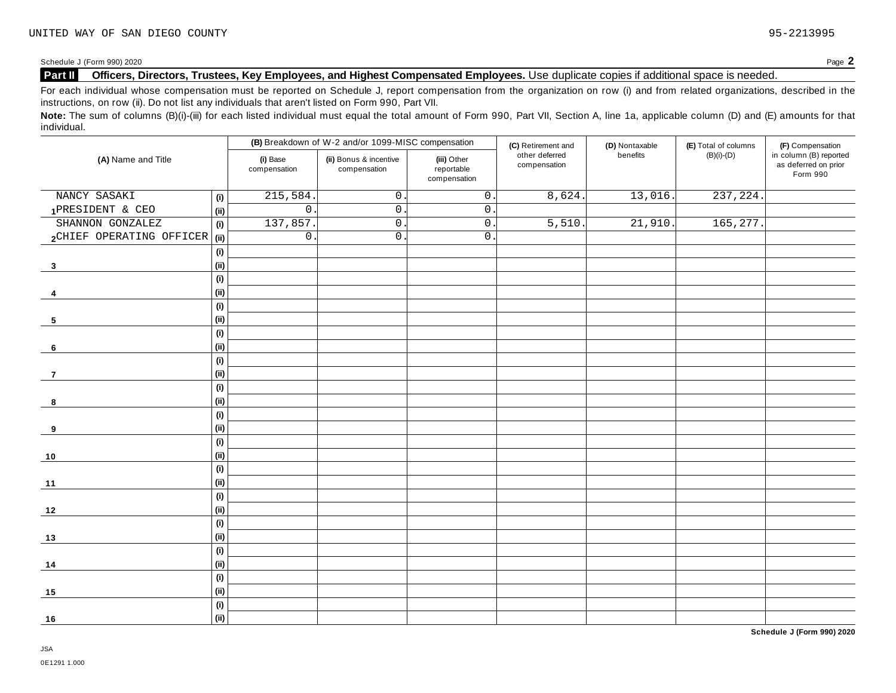Schedule <sup>J</sup> (Form 990) <sup>2020</sup> Page **2**

## **Part II Officers, Directors, Trustees, Key Employees, and Highest Compensated Employees.** Use duplicate copies ifadditional space is needed.

For each individual whose compensation must be reported on Schedule J, report compensation from the organization on row (i) and from related organizations, described in the instructions, on row (ii). Do not list any individuals that aren't listed on Form 990, Part VII.

Note: The sum of columns (B)(i)-(iii) for each listed individual must equal the total amount of Form 990, Part VII, Section A, line 1a, applicable column (D) and (E) amounts for that individual.

|                               |                              |                          | (B) Breakdown of W-2 and/or 1099-MISC compensation |                                           | (C) Retirement and             | (D) Nontaxable | (E) Total of columns   | (F) Compensation                                           |
|-------------------------------|------------------------------|--------------------------|----------------------------------------------------|-------------------------------------------|--------------------------------|----------------|------------------------|------------------------------------------------------------|
| (A) Name and Title            |                              | (i) Base<br>compensation | (ii) Bonus & incentive<br>compensation             | (iii) Other<br>reportable<br>compensation | other deferred<br>compensation | benefits       | $(B)(i)-(D)$           | in column (B) reported<br>as deferred on prior<br>Form 990 |
| NANCY SASAKI                  | (i)                          | 215,584                  | $\mathsf{O}$ .                                     | $\overline{0}$ .                          | 8,624.                         | 13,016.        | $\overline{237,224}$ . |                                                            |
| 1PRESIDENT & CEO              | (ii)                         | $\overline{0}$ .         | $0$ .                                              | $\mathsf{O}$ .                            |                                |                |                        |                                                            |
| SHANNON GONZALEZ              | (i)                          | 137,857                  | $\overline{0}$ .                                   | $\overline{0}$ .                          | 5,510                          | 21,910.        | 165, 277.              |                                                            |
| 2CHIEF OPERATING OFFICER (ii) |                              | $\mathbf 0$              | $0$ .                                              | $\mathbf{0}$ .                            |                                |                |                        |                                                            |
|                               | (i)                          |                          |                                                    |                                           |                                |                |                        |                                                            |
| $\overline{\mathbf{3}}$       | (ii)                         |                          |                                                    |                                           |                                |                |                        |                                                            |
|                               | (i)                          |                          |                                                    |                                           |                                |                |                        |                                                            |
| 4                             | (ii)                         |                          |                                                    |                                           |                                |                |                        |                                                            |
|                               | $\qquad \qquad \textbf{(i)}$ |                          |                                                    |                                           |                                |                |                        |                                                            |
| 5                             | (ii)                         |                          |                                                    |                                           |                                |                |                        |                                                            |
|                               | (i)                          |                          |                                                    |                                           |                                |                |                        |                                                            |
| 6                             | (ii)                         |                          |                                                    |                                           |                                |                |                        |                                                            |
|                               | (i)                          |                          |                                                    |                                           |                                |                |                        |                                                            |
| $\overline{7}$                | (i)                          |                          |                                                    |                                           |                                |                |                        |                                                            |
|                               | (i)                          |                          |                                                    |                                           |                                |                |                        |                                                            |
| 8                             | (ii)                         |                          |                                                    |                                           |                                |                |                        |                                                            |
|                               | $\qquad \qquad \textbf{(i)}$ |                          |                                                    |                                           |                                |                |                        |                                                            |
| 9                             | (ii)                         |                          |                                                    |                                           |                                |                |                        |                                                            |
|                               | (i)                          |                          |                                                    |                                           |                                |                |                        |                                                            |
| 10                            | (ii)                         |                          |                                                    |                                           |                                |                |                        |                                                            |
|                               | (i)                          |                          |                                                    |                                           |                                |                |                        |                                                            |
| $11$                          | (ii)                         |                          |                                                    |                                           |                                |                |                        |                                                            |
|                               | (i)                          |                          |                                                    |                                           |                                |                |                        |                                                            |
| 12                            | (ii)                         |                          |                                                    |                                           |                                |                |                        |                                                            |
|                               | (i)                          |                          |                                                    |                                           |                                |                |                        |                                                            |
| 13                            | (ii)                         |                          |                                                    |                                           |                                |                |                        |                                                            |
|                               | (i)                          |                          |                                                    |                                           |                                |                |                        |                                                            |
| 14                            | (i)                          |                          |                                                    |                                           |                                |                |                        |                                                            |
|                               | (i)                          |                          |                                                    |                                           |                                |                |                        |                                                            |
| 15                            | (ii)                         |                          |                                                    |                                           |                                |                |                        |                                                            |
|                               | (i)                          |                          |                                                    |                                           |                                |                |                        |                                                            |
| 16                            | (ii)                         |                          |                                                    |                                           |                                |                |                        |                                                            |

**Schedule J (Form 990) 2020**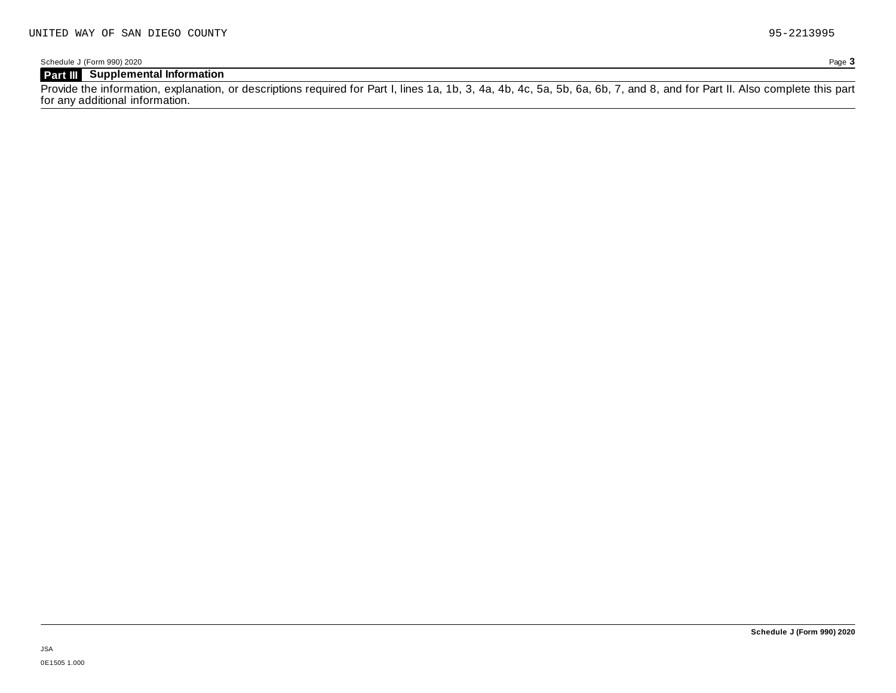## **Part III Supplemental Information**

Provide the information, explanation, or descriptions required for Part I, lines 1a, 1b, 3, 4a, 4b, 4c, 5a, 5b, 6a, 6b, 7, and 8, and for Part II. Also complete this part for any additional information.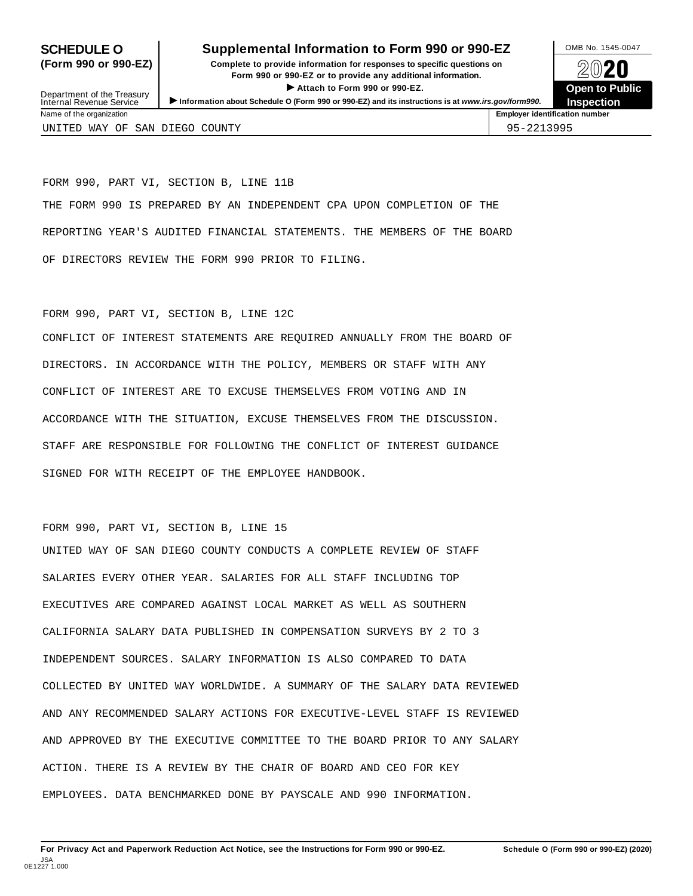#### **SCHEDULE O** Supplemental Information to Form 990 or 990-EZ DAMB No. 1545-0047

**(Form 990 or 990-EZ) Complete to provide information for responses to specific questions on** plete to provide information for responses to specific questions on  $\bigotimes_{\mathbb{Z}}\mathbb{Q}$  20 **EVECT**<br>
Attach to Form 990 or 990-EZ.<br>
and the Communication of the Communication of the Communication of the Communication of the Communication of the Communication of the Communication of the Communication of the Commu Department of the Treasury <br>Depen to Public<br>Name of the organization<br>Name of the organization<br>Name of the organization<br>Name of the organization



Department of the Treasury<br>Internal Revenue Service

UNITED WAY OF SAN DIEGO COUNTY 95-2213995

FORM 990, PART VI, SECTION B, LINE 11B THE FORM 990 IS PREPARED BY AN INDEPENDENT CPA UPON COMPLETION OF THE REPORTING YEAR'S AUDITED FINANCIAL STATEMENTS. THE MEMBERS OF THE BOARD OF DIRECTORS REVIEW THE FORM 990 PRIOR TO FILING.

#### FORM 990, PART VI, SECTION B, LINE 12C

CONFLICT OF INTEREST STATEMENTS ARE REQUIRED ANNUALLY FROM THE BOARD OF DIRECTORS. IN ACCORDANCE WITH THE POLICY, MEMBERS OR STAFF WITH ANY CONFLICT OF INTEREST ARE TO EXCUSE THEMSELVES FROM VOTING AND IN ACCORDANCE WITH THE SITUATION, EXCUSE THEMSELVES FROM THE DISCUSSION. STAFF ARE RESPONSIBLE FOR FOLLOWING THE CONFLICT OF INTEREST GUIDANCE SIGNED FOR WITH RECEIPT OF THE EMPLOYEE HANDBOOK.

#### FORM 990, PART VI, SECTION B, LINE 15

UNITED WAY OF SAN DIEGO COUNTY CONDUCTS A COMPLETE REVIEW OF STAFF SALARIES EVERY OTHER YEAR. SALARIES FOR ALL STAFF INCLUDING TOP EXECUTIVES ARE COMPARED AGAINST LOCAL MARKET AS WELL AS SOUTHERN CALIFORNIA SALARY DATA PUBLISHED IN COMPENSATION SURVEYS BY 2 TO 3 INDEPENDENT SOURCES. SALARY INFORMATION IS ALSO COMPARED TO DATA COLLECTED BY UNITED WAY WORLDWIDE. A SUMMARY OF THE SALARY DATA REVIEWED AND ANY RECOMMENDED SALARY ACTIONS FOR EXECUTIVE-LEVEL STAFF IS REVIEWED AND APPROVED BY THE EXECUTIVE COMMITTEE TO THE BOARD PRIOR TO ANY SALARY ACTION. THERE IS A REVIEW BY THE CHAIR OF BOARD AND CEO FOR KEY EMPLOYEES. DATA BENCHMARKED DONE BY PAYSCALE AND 990 INFORMATION.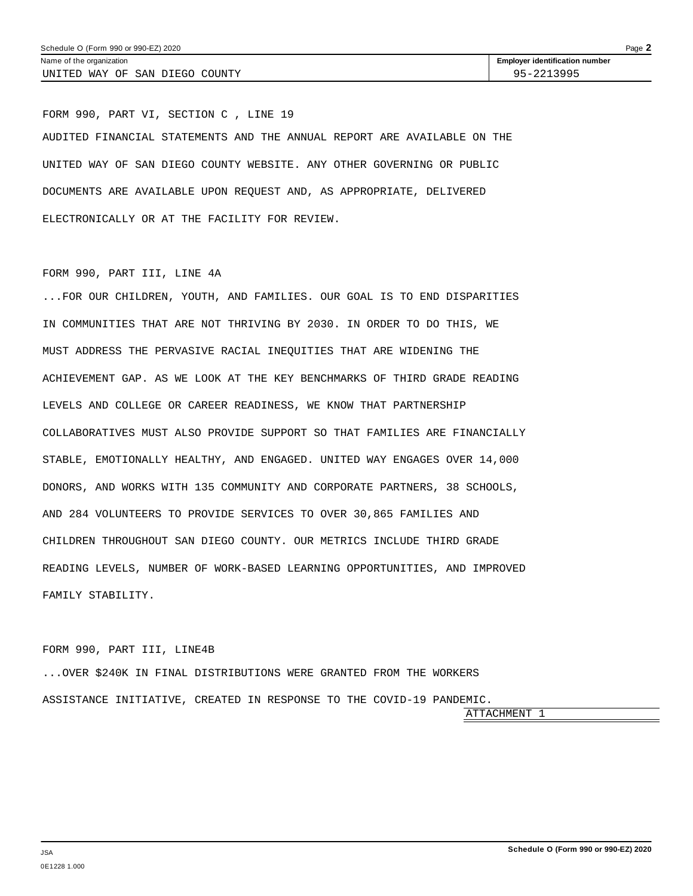FORM 990, PART VI, SECTION C , LINE 19 AUDITED FINANCIAL STATEMENTS AND THE ANNUAL REPORT ARE AVAILABLE ON THE UNITED WAY OF SAN DIEGO COUNTY WEBSITE. ANY OTHER GOVERNING OR PUBLIC DOCUMENTS ARE AVAILABLE UPON REQUEST AND, AS APPROPRIATE, DELIVERED ELECTRONICALLY OR AT THE FACILITY FOR REVIEW.

#### FORM 990, PART III, LINE 4A

...FOR OUR CHILDREN, YOUTH, AND FAMILIES. OUR GOAL IS TO END DISPARITIES IN COMMUNITIES THAT ARE NOT THRIVING BY 2030. IN ORDER TO DO THIS, WE MUST ADDRESS THE PERVASIVE RACIAL INEQUITIES THAT ARE WIDENING THE ACHIEVEMENT GAP. AS WE LOOK AT THE KEY BENCHMARKS OF THIRD GRADE READING LEVELS AND COLLEGE OR CAREER READINESS, WE KNOW THAT PARTNERSHIP COLLABORATIVES MUST ALSO PROVIDE SUPPORT SO THAT FAMILIES ARE FINANCIALLY STABLE, EMOTIONALLY HEALTHY, AND ENGAGED. UNITED WAY ENGAGES OVER 14,000 DONORS, AND WORKS WITH 135 COMMUNITY AND CORPORATE PARTNERS, 38 SCHOOLS, AND 284 VOLUNTEERS TO PROVIDE SERVICES TO OVER 30,865 FAMILIES AND CHILDREN THROUGHOUT SAN DIEGO COUNTY. OUR METRICS INCLUDE THIRD GRADE READING LEVELS, NUMBER OF WORK-BASED LEARNING OPPORTUNITIES, AND IMPROVED FAMILY STABILITY.

#### FORM 990, PART III, LINE4B

...OVER \$240K IN FINAL DISTRIBUTIONS WERE GRANTED FROM THE WORKERS ASSISTANCE INITIATIVE, CREATED IN RESPONSE TO THE COVID-19 PANDEMIC. ATTACHMENT 1

**Schedule O (Form 990 or 990-EZ) 2020**

JSA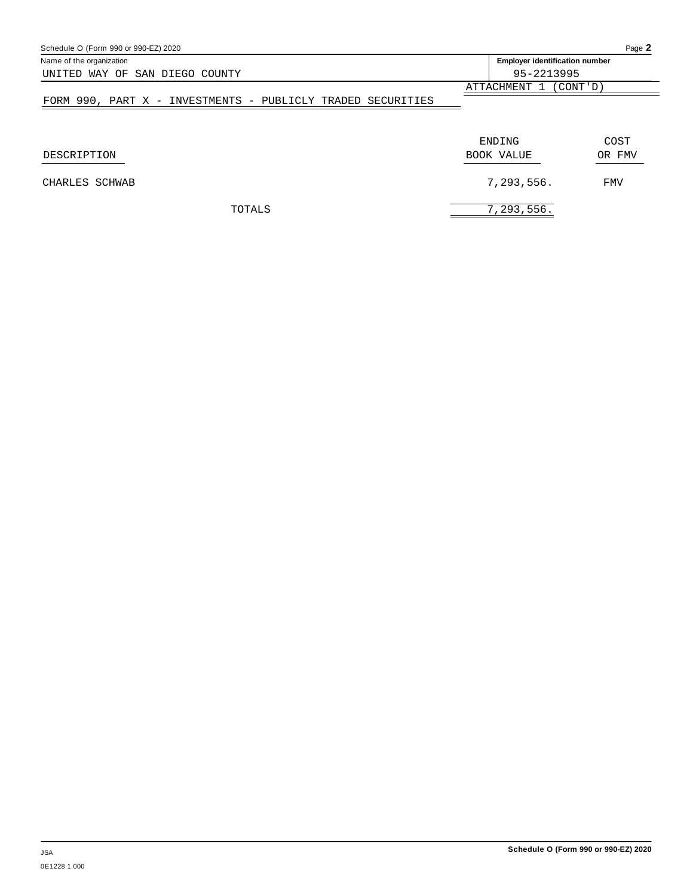| Schedule O (Form 990 or 990-EZ) 2020                        |                       | Page 2                                |  |  |
|-------------------------------------------------------------|-----------------------|---------------------------------------|--|--|
| Name of the organization                                    |                       | <b>Employer identification number</b> |  |  |
| UNITED WAY OF SAN DIEGO COUNTY                              | 95-2213995            |                                       |  |  |
|                                                             | ATTACHMENT 1 (CONT'D) |                                       |  |  |
| FORM 990, PART X - INVESTMENTS - PUBLICLY TRADED SECURITIES |                       |                                       |  |  |
| DESCRIPTION                                                 | ENDING<br>BOOK VALUE  | COST<br>OR FMV                        |  |  |
|                                                             |                       |                                       |  |  |
| CHARLES SCHWAB                                              | 7,293,556.            | <b>FMV</b>                            |  |  |
| TOTALS                                                      | 7,293,556.            |                                       |  |  |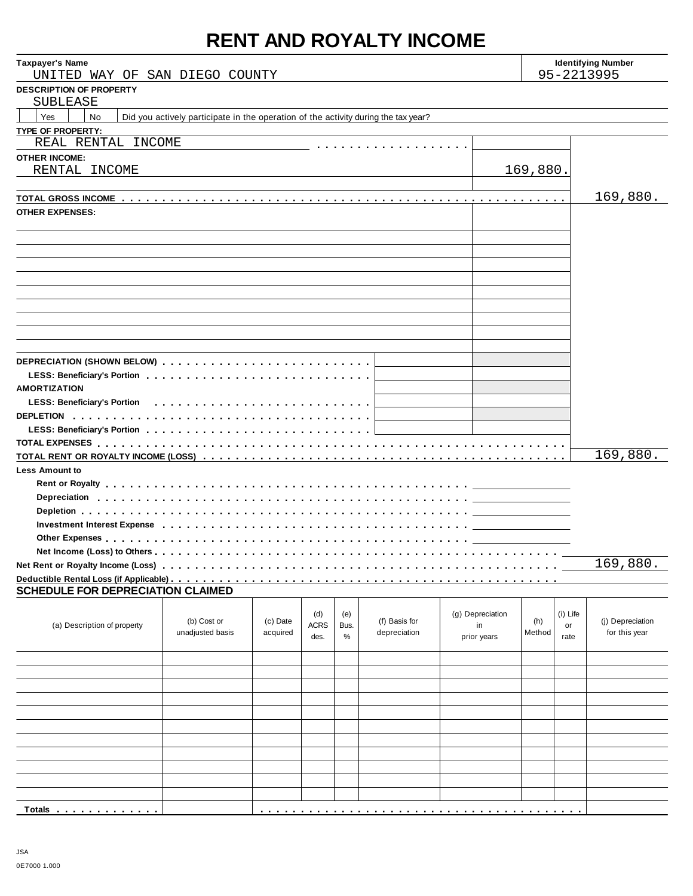# **RENT AND ROYALTY INCOME**

| <b>Taxpayer's Name</b><br>UNITED WAY OF SAN DIEGO COUNTY                                                       |                  |          |             |      |               |                  | <b>Identifying Number</b><br>95-2213995 |          |                  |
|----------------------------------------------------------------------------------------------------------------|------------------|----------|-------------|------|---------------|------------------|-----------------------------------------|----------|------------------|
| <b>DESCRIPTION OF PROPERTY</b><br>SUBLEASE                                                                     |                  |          |             |      |               |                  |                                         |          |                  |
| Yes<br><b>No</b><br>Did you actively participate in the operation of the activity during the tax year?         |                  |          |             |      |               |                  |                                         |          |                  |
| TYPE OF PROPERTY:                                                                                              |                  |          |             |      |               |                  |                                         |          |                  |
| REAL RENTAL INCOME                                                                                             |                  |          |             |      |               |                  |                                         |          |                  |
| <b>OTHER INCOME:</b>                                                                                           |                  |          |             |      |               |                  |                                         |          |                  |
| RENTAL INCOME                                                                                                  |                  |          |             |      |               |                  | 169,880.                                |          |                  |
|                                                                                                                |                  |          |             |      |               |                  |                                         |          |                  |
|                                                                                                                |                  |          |             |      |               |                  |                                         |          | 169,880.         |
| <b>OTHER EXPENSES:</b>                                                                                         |                  |          |             |      |               |                  |                                         |          |                  |
|                                                                                                                |                  |          |             |      |               |                  |                                         |          |                  |
|                                                                                                                |                  |          |             |      |               |                  |                                         |          |                  |
|                                                                                                                |                  |          |             |      |               |                  |                                         |          |                  |
|                                                                                                                |                  |          |             |      |               |                  |                                         |          |                  |
|                                                                                                                |                  |          |             |      |               |                  |                                         |          |                  |
|                                                                                                                |                  |          |             |      |               |                  |                                         |          |                  |
|                                                                                                                |                  |          |             |      |               |                  |                                         |          |                  |
|                                                                                                                |                  |          |             |      |               |                  |                                         |          |                  |
|                                                                                                                |                  |          |             |      |               |                  |                                         |          |                  |
|                                                                                                                |                  |          |             |      |               |                  |                                         |          |                  |
|                                                                                                                |                  |          |             |      |               |                  |                                         |          |                  |
|                                                                                                                |                  |          |             |      |               |                  |                                         |          |                  |
| <b>AMORTIZATION</b>                                                                                            |                  |          |             |      |               |                  |                                         |          |                  |
|                                                                                                                |                  |          |             |      |               |                  |                                         |          |                  |
|                                                                                                                |                  |          |             |      |               |                  |                                         |          |                  |
|                                                                                                                |                  |          |             |      |               |                  |                                         |          |                  |
|                                                                                                                |                  |          |             |      |               |                  |                                         |          |                  |
|                                                                                                                |                  |          |             |      |               |                  |                                         | 169,880. |                  |
| <b>Less Amount to</b>                                                                                          |                  |          |             |      |               |                  |                                         |          |                  |
|                                                                                                                |                  |          |             |      |               |                  |                                         |          |                  |
|                                                                                                                |                  |          |             |      |               |                  |                                         |          |                  |
|                                                                                                                |                  |          |             |      |               |                  |                                         |          |                  |
|                                                                                                                |                  |          |             |      |               |                  |                                         |          |                  |
| Investment Interest Expense enterpreeding research research research in the intervals of the set of the set of |                  |          |             |      |               |                  |                                         |          |                  |
|                                                                                                                |                  |          |             |      |               |                  |                                         |          |                  |
|                                                                                                                |                  |          |             |      |               |                  |                                         |          | 169,880.         |
|                                                                                                                |                  |          |             |      |               |                  |                                         |          |                  |
| <b>SCHEDULE FOR DEPRECIATION CLAIMED</b>                                                                       |                  |          |             |      |               |                  |                                         |          |                  |
|                                                                                                                |                  |          |             |      |               |                  |                                         |          |                  |
|                                                                                                                |                  |          | (d)         | (e)  |               | (g) Depreciation |                                         | (i) Life |                  |
| (a) Description of property                                                                                    | (b) Cost or      | (c) Date | <b>ACRS</b> | Bus. | (f) Basis for | in               | (h)                                     | or       | (j) Depreciation |
|                                                                                                                | unadjusted basis | acquired | des.        | %    | depreciation  | prior years      | Method                                  | rate     | for this year    |
|                                                                                                                |                  |          |             |      |               |                  |                                         |          |                  |
|                                                                                                                |                  |          |             |      |               |                  |                                         |          |                  |
|                                                                                                                |                  |          |             |      |               |                  |                                         |          |                  |
|                                                                                                                |                  |          |             |      |               |                  |                                         |          |                  |
|                                                                                                                |                  |          |             |      |               |                  |                                         |          |                  |
|                                                                                                                |                  |          |             |      |               |                  |                                         |          |                  |
|                                                                                                                |                  |          |             |      |               |                  |                                         |          |                  |

**Totals** m m m m m m m m m m m m m m m m m m m m m m m m m m m m m m m m m m m m m m m m m m m m m m m m m m m m m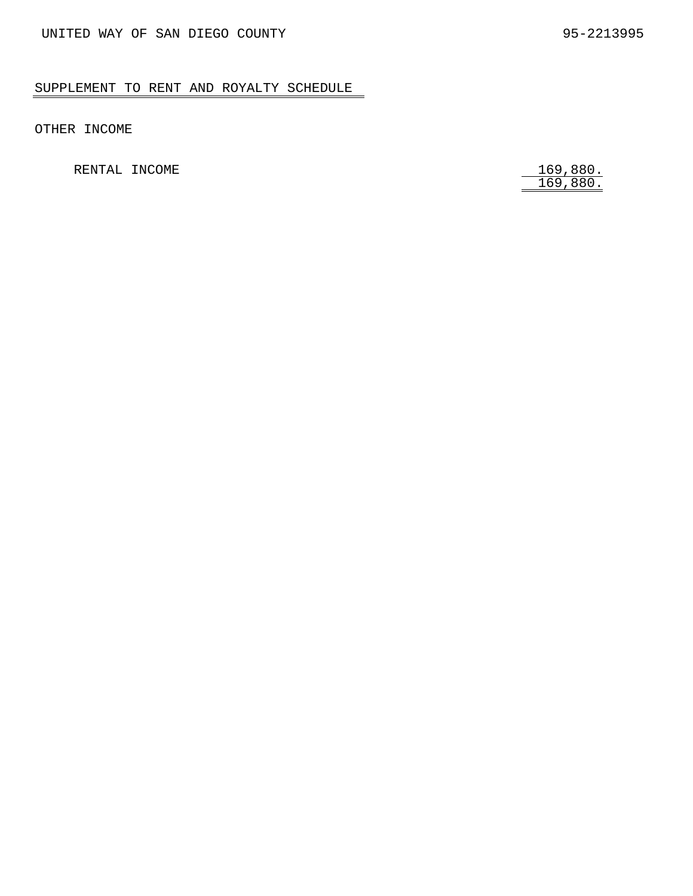## SUPPLEMENT TO RENT AND ROYALTY SCHEDULE

OTHER INCOME

RENTAL INCOME

169,880.<br>169,880.